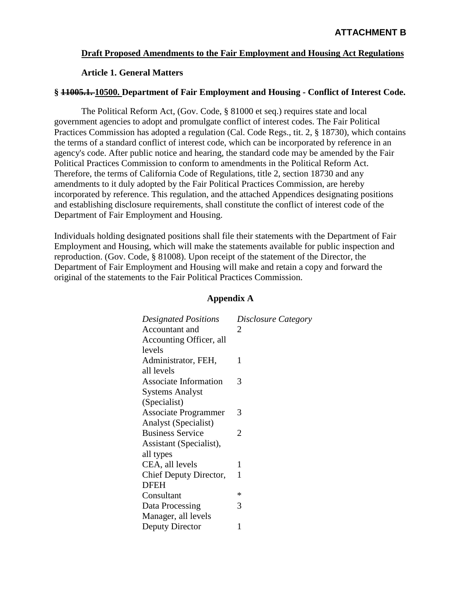# **Draft Proposed Amendments to the Fair Employment and Housing Act Regulations**

### **Article 1. General Matters**

## **§ 11005.1. 10500. Department of Fair Employment and Housing - Conflict of Interest Code.**

The Political Reform Act, (Gov. Code, § 81000 et seq.) requires state and local government agencies to adopt and promulgate conflict of interest codes. The Fair Political Practices Commission has adopted a regulation (Cal. Code Regs., tit. 2, § 18730), which contains the terms of a standard conflict of interest code, which can be incorporated by reference in an agency's code. After public notice and hearing, the standard code may be amended by the Fair Political Practices Commission to conform to amendments in the Political Reform Act. Therefore, the terms of California Code of Regulations, title 2, section 18730 and any amendments to it duly adopted by the Fair Political Practices Commission, are hereby incorporated by reference. This regulation, and the attached Appendices designating positions and establishing disclosure requirements, shall constitute the conflict of interest code of the Department of Fair Employment and Housing.

Individuals holding designated positions shall file their statements with the Department of Fair Employment and Housing, which will make the statements available for public inspection and reproduction. (Gov. Code, § 81008). Upon receipt of the statement of the Director, the Department of Fair Employment and Housing will make and retain a copy and forward the original of the statements to the Fair Political Practices Commission.

#### **Appendix A**

| <b>Designated Positions</b>  | Disclosure Category |
|------------------------------|---------------------|
| Accountant and               | 2                   |
| Accounting Officer, all      |                     |
| levels                       |                     |
| Administrator, FEH,          | 1                   |
| all levels                   |                     |
| <b>Associate Information</b> | 3                   |
| <b>Systems Analyst</b>       |                     |
| (Specialist)                 |                     |
| <b>Associate Programmer</b>  | 3                   |
| Analyst (Specialist)         |                     |
| <b>Business Service</b>      | 2                   |
| Assistant (Specialist),      |                     |
| all types                    |                     |
| CEA, all levels              | 1                   |
| Chief Deputy Director,       | 1                   |
| <b>DFEH</b>                  |                     |
| Consultant                   | *                   |
| Data Processing              | 3                   |
| Manager, all levels          |                     |
| Deputy Director              | 1                   |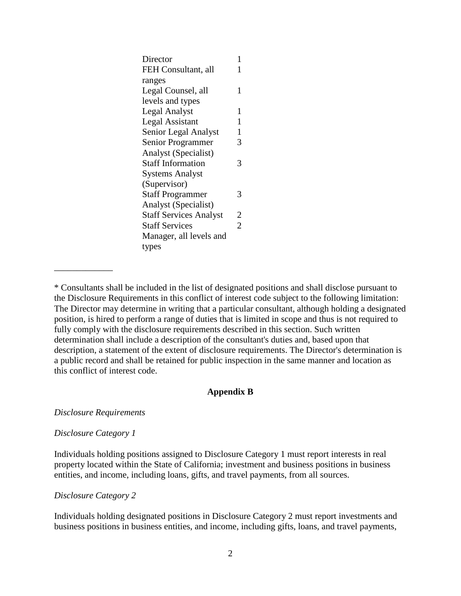Director 1 FEH Consultant, all ranges 1 Legal Counsel, all levels and types 1 Legal Analyst 1 Legal Assistant 1 Senior Legal Analyst 1 Senior Programmer Analyst (Specialist) 3 Staff Information Systems Analyst (Supervisor) 3 Staff Programmer Analyst (Specialist) 3 Staff Services Analyst 2 Staff Services Manager, all levels and types  $\mathcal{D}_{\mathcal{L}}$ 

# **Appendix B**

# *Disclosure Requirements*

### *Disclosure Category 1*

\_\_\_\_\_\_\_\_\_\_\_\_\_

Individuals holding positions assigned to Disclosure Category 1 must report interests in real property located within the State of California; investment and business positions in business entities, and income, including loans, gifts, and travel payments, from all sources.

### *Disclosure Category 2*

Individuals holding designated positions in Disclosure Category 2 must report investments and business positions in business entities, and income, including gifts, loans, and travel payments,

<sup>\*</sup> Consultants shall be included in the list of designated positions and shall disclose pursuant to the Disclosure Requirements in this conflict of interest code subject to the following limitation: The Director may determine in writing that a particular consultant, although holding a designated position, is hired to perform a range of duties that is limited in scope and thus is not required to fully comply with the disclosure requirements described in this section. Such written determination shall include a description of the consultant's duties and, based upon that description, a statement of the extent of disclosure requirements. The Director's determination is a public record and shall be retained for public inspection in the same manner and location as this conflict of interest code.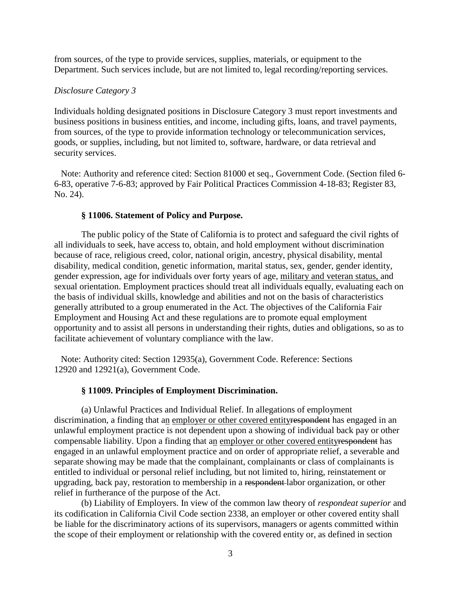from sources, of the type to provide services, supplies, materials, or equipment to the Department. Such services include, but are not limited to, legal recording/reporting services.

# *Disclosure Category 3*

Individuals holding designated positions in Disclosure Category 3 must report investments and business positions in business entities, and income, including gifts, loans, and travel payments, from sources, of the type to provide information technology or telecommunication services, goods, or supplies, including, but not limited to, software, hardware, or data retrieval and security services.

Note: Authority and reference cited: Section 81000 et seq., Government Code. (Section filed 6- 6-83, operative 7-6-83; approved by Fair Political Practices Commission 4-18-83; Register 83, No. 24).

## **§ 11006. Statement of Policy and Purpose.**

The public policy of the State of California is to protect and safeguard the civil rights of all individuals to seek, have access to, obtain, and hold employment without discrimination because of race, religious creed, color, national origin, ancestry, physical disability, mental disability, medical condition, genetic information, marital status, sex, gender, gender identity, gender expression, age for individuals over forty years of age, military and veteran status, and sexual orientation. Employment practices should treat all individuals equally, evaluating each on the basis of individual skills, knowledge and abilities and not on the basis of characteristics generally attributed to a group enumerated in the Act. The objectives of the California Fair Employment and Housing Act and these regulations are to promote equal employment opportunity and to assist all persons in understanding their rights, duties and obligations, so as to facilitate achievement of voluntary compliance with the law.

Note: Authority cited: Section 12935(a), Government Code. Reference: Sections 12920 and 12921(a), Government Code.

### **§ 11009. Principles of Employment Discrimination.**

(a) Unlawful Practices and Individual Relief. In allegations of employment discrimination, a finding that an employer or other covered entityrespondent has engaged in an unlawful employment practice is not dependent upon a showing of individual back pay or other compensable liability. Upon a finding that an employer or other covered entityrespondent has engaged in an unlawful employment practice and on order of appropriate relief, a severable and separate showing may be made that the complainant, complainants or class of complainants is entitled to individual or personal relief including, but not limited to, hiring, reinstatement or upgrading, back pay, restoration to membership in a respondent labor organization, or other relief in furtherance of the purpose of the Act.

(b) Liability of Employers. In view of the common law theory of *respondeat superior* and its codification in California Civil Code section 2338, an employer or other covered entity shall be liable for the discriminatory actions of its supervisors, managers or agents committed within the scope of their employment or relationship with the covered entity or, as defined in section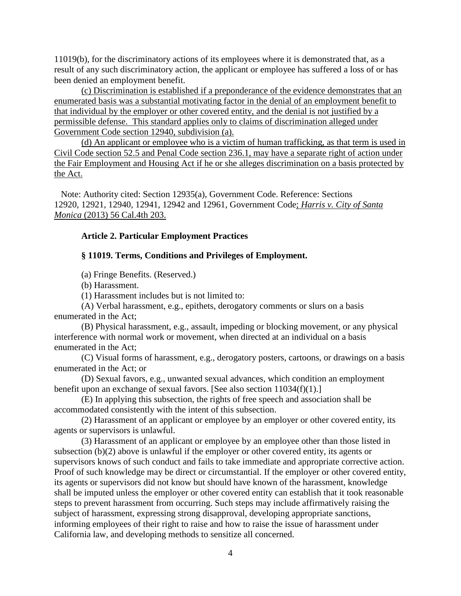11019(b), for the discriminatory actions of its employees where it is demonstrated that, as a result of any such discriminatory action, the applicant or employee has suffered a loss of or has been denied an employment benefit.

(c) Discrimination is established if a preponderance of the evidence demonstrates that an enumerated basis was a substantial motivating factor in the denial of an employment benefit to that individual by the employer or other covered entity, and the denial is not justified by a permissible defense. This standard applies only to claims of discrimination alleged under Government Code section 12940, subdivision (a).

(d) An applicant or employee who is a victim of human trafficking, as that term is used in Civil Code section 52.5 and Penal Code section 236.1, may have a separate right of action under the Fair Employment and Housing Act if he or she alleges discrimination on a basis protected by the Act.

Note: Authority cited: Section 12935(a), Government Code. Reference: Sections 12920, 12921, 12940, 12941, 12942 and 12961, Government Code; *Harris v. City of Santa Monica* (2013) 56 Cal.4th 203.

### **Article 2. Particular Employment Practices**

### **§ 11019. Terms, Conditions and Privileges of Employment.**

(a) Fringe Benefits. (Reserved.)

(b) Harassment.

(1) Harassment includes but is not limited to:

(A) Verbal harassment, e.g., epithets, derogatory comments or slurs on a basis enumerated in the Act;

(B) Physical harassment, e.g., assault, impeding or blocking movement, or any physical interference with normal work or movement, when directed at an individual on a basis enumerated in the Act;

(C) Visual forms of harassment, e.g., derogatory posters, cartoons, or drawings on a basis enumerated in the Act; or

(D) Sexual favors, e.g., unwanted sexual advances, which condition an employment benefit upon an exchange of sexual favors. [See also section 11034(f)(1).]

(E) In applying this subsection, the rights of free speech and association shall be accommodated consistently with the intent of this subsection.

(2) Harassment of an applicant or employee by an employer or other covered entity, its agents or supervisors is unlawful.

(3) Harassment of an applicant or employee by an employee other than those listed in subsection (b)(2) above is unlawful if the employer or other covered entity, its agents or supervisors knows of such conduct and fails to take immediate and appropriate corrective action. Proof of such knowledge may be direct or circumstantial. If the employer or other covered entity, its agents or supervisors did not know but should have known of the harassment, knowledge shall be imputed unless the employer or other covered entity can establish that it took reasonable steps to prevent harassment from occurring. Such steps may include affirmatively raising the subject of harassment, expressing strong disapproval, developing appropriate sanctions, informing employees of their right to raise and how to raise the issue of harassment under California law, and developing methods to sensitize all concerned.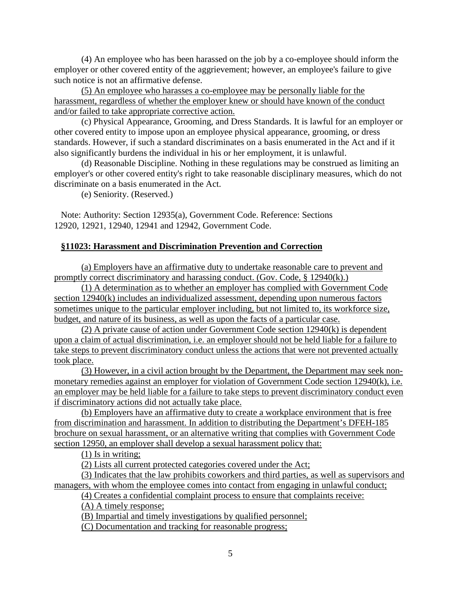(4) An employee who has been harassed on the job by a co-employee should inform the employer or other covered entity of the aggrievement; however, an employee's failure to give such notice is not an affirmative defense.

(5) An employee who harasses a co-employee may be personally liable for the harassment, regardless of whether the employer knew or should have known of the conduct and/or failed to take appropriate corrective action.

(c) Physical Appearance, Grooming, and Dress Standards. It is lawful for an employer or other covered entity to impose upon an employee physical appearance, grooming, or dress standards. However, if such a standard discriminates on a basis enumerated in the Act and if it also significantly burdens the individual in his or her employment, it is unlawful.

(d) Reasonable Discipline. Nothing in these regulations may be construed as limiting an employer's or other covered entity's right to take reasonable disciplinary measures, which do not discriminate on a basis enumerated in the Act.

(e) Seniority. (Reserved.)

Note: Authority: Section 12935(a), Government Code. Reference: Sections 12920, 12921, 12940, 12941 and 12942, Government Code.

# **§11023: Harassment and Discrimination Prevention and Correction**

(a) Employers have an affirmative duty to undertake reasonable care to prevent and promptly correct discriminatory and harassing conduct. (Gov. Code, § 12940(k).)

(1) A determination as to whether an employer has complied with Government Code section 12940(k) includes an individualized assessment, depending upon numerous factors sometimes unique to the particular employer including, but not limited to, its workforce size, budget, and nature of its business, as well as upon the facts of a particular case.

(2) A private cause of action under Government Code section 12940(k) is dependent upon a claim of actual discrimination, i.e. an employer should not be held liable for a failure to take steps to prevent discriminatory conduct unless the actions that were not prevented actually took place.

(3) However, in a civil action brought by the Department, the Department may seek nonmonetary remedies against an employer for violation of Government Code section 12940(k), i.e. an employer may be held liable for a failure to take steps to prevent discriminatory conduct even if discriminatory actions did not actually take place.

(b) Employers have an affirmative duty to create a workplace environment that is free from discrimination and harassment. In addition to distributing the Department's DFEH-185 brochure on sexual harassment, or an alternative writing that complies with Government Code section 12950, an employer shall develop a sexual harassment policy that:

(1) Is in writing;

(2) Lists all current protected categories covered under the Act;

(3) Indicates that the law prohibits coworkers and third parties, as well as supervisors and managers, with whom the employee comes into contact from engaging in unlawful conduct;

(4) Creates a confidential complaint process to ensure that complaints receive:

(A) A timely response;

(B) Impartial and timely investigations by qualified personnel;

(C) Documentation and tracking for reasonable progress;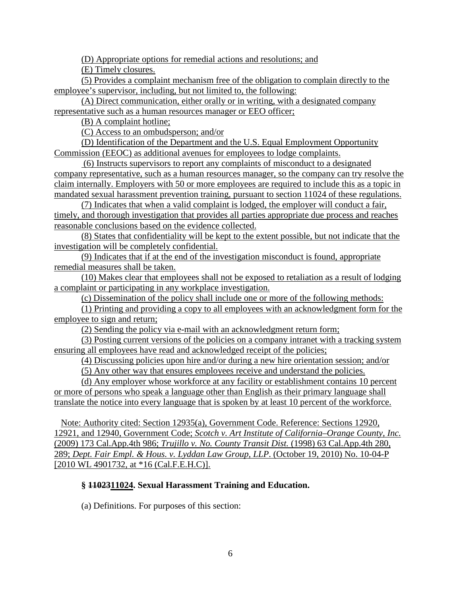(D) Appropriate options for remedial actions and resolutions; and

(E) Timely closures.

(5) Provides a complaint mechanism free of the obligation to complain directly to the employee's supervisor, including, but not limited to, the following:

(A) Direct communication, either orally or in writing, with a designated company representative such as a human resources manager or EEO officer;

(B) A complaint hotline;

(C) Access to an ombudsperson; and/or

(D) Identification of the Department and the U.S. Equal Employment Opportunity Commission (EEOC) as additional avenues for employees to lodge complaints.

(6) Instructs supervisors to report any complaints of misconduct to a designated company representative, such as a human resources manager, so the company can try resolve the claim internally. Employers with 50 or more employees are required to include this as a topic in mandated sexual harassment prevention training, pursuant to section 11024 of these regulations.

(7) Indicates that when a valid complaint is lodged, the employer will conduct a fair, timely, and thorough investigation that provides all parties appropriate due process and reaches reasonable conclusions based on the evidence collected.

(8) States that confidentiality will be kept to the extent possible, but not indicate that the investigation will be completely confidential.

(9) Indicates that if at the end of the investigation misconduct is found, appropriate remedial measures shall be taken.

(10) Makes clear that employees shall not be exposed to retaliation as a result of lodging a complaint or participating in any workplace investigation.

(c) Dissemination of the policy shall include one or more of the following methods:

(1) Printing and providing a copy to all employees with an acknowledgment form for the employee to sign and return;

(2) Sending the policy via e-mail with an acknowledgment return form;

(3) Posting current versions of the policies on a company intranet with a tracking system ensuring all employees have read and acknowledged receipt of the policies;

(4) Discussing policies upon hire and/or during a new hire orientation session; and/or

(5) Any other way that ensures employees receive and understand the policies.

(d) Any employer whose workforce at any facility or establishment contains 10 percent or more of persons who speak a language other than English as their primary language shall translate the notice into every language that is spoken by at least 10 percent of the workforce.

Note: Authority cited: Section 12935(a), Government Code. Reference: Sections 12920, 12921, and 12940, Government Code; *Scotch v. Art Institute of California–Orange County, Inc.*  (2009) 173 Cal.App.4th 986; *Trujillo v. No. County Transit Dist.* (1998) 63 Cal.App.4th 280, 289; *Dept. Fair Empl. & Hous. v. Lyddan Law Group, LLP*. (October 19, 2010) No. 10-04-P [2010 WL 4901732, at \*16 (Cal.F.E.H.C)].

# **§ 1102311024. Sexual Harassment Training and Education.**

(a) Definitions. For purposes of this section: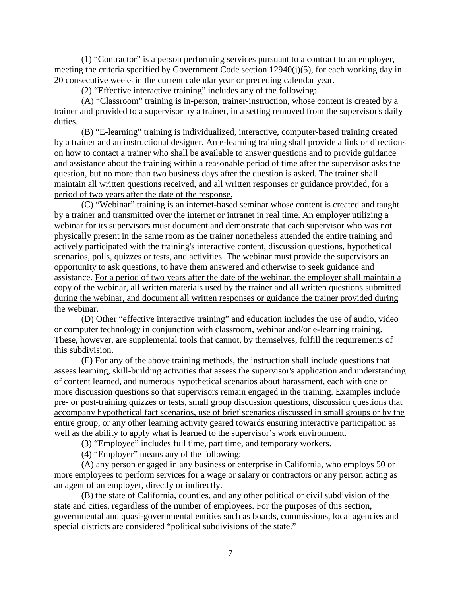(1) "Contractor" is a person performing services pursuant to a contract to an employer, meeting the criteria specified by Government Code section 12940(j)(5), for each working day in 20 consecutive weeks in the current calendar year or preceding calendar year.

(2) "Effective interactive training" includes any of the following:

(A) "Classroom" training is in-person, trainer-instruction, whose content is created by a trainer and provided to a supervisor by a trainer, in a setting removed from the supervisor's daily duties.

(B) "E-learning" training is individualized, interactive, computer-based training created by a trainer and an instructional designer. An e-learning training shall provide a link or directions on how to contact a trainer who shall be available to answer questions and to provide guidance and assistance about the training within a reasonable period of time after the supervisor asks the question, but no more than two business days after the question is asked. The trainer shall maintain all written questions received, and all written responses or guidance provided, for a period of two years after the date of the response.

(C) "Webinar" training is an internet-based seminar whose content is created and taught by a trainer and transmitted over the internet or intranet in real time. An employer utilizing a webinar for its supervisors must document and demonstrate that each supervisor who was not physically present in the same room as the trainer nonetheless attended the entire training and actively participated with the training's interactive content, discussion questions, hypothetical scenarios, polls, quizzes or tests, and activities. The webinar must provide the supervisors an opportunity to ask questions, to have them answered and otherwise to seek guidance and assistance. For a period of two years after the date of the webinar, the employer shall maintain a copy of the webinar, all written materials used by the trainer and all written questions submitted during the webinar, and document all written responses or guidance the trainer provided during the webinar.

(D) Other "effective interactive training" and education includes the use of audio, video or computer technology in conjunction with classroom, webinar and/or e-learning training. These, however, are supplemental tools that cannot, by themselves, fulfill the requirements of this subdivision.

(E) For any of the above training methods, the instruction shall include questions that assess learning, skill-building activities that assess the supervisor's application and understanding of content learned, and numerous hypothetical scenarios about harassment, each with one or more discussion questions so that supervisors remain engaged in the training. Examples include pre- or post-training quizzes or tests, small group discussion questions, discussion questions that accompany hypothetical fact scenarios, use of brief scenarios discussed in small groups or by the entire group, or any other learning activity geared towards ensuring interactive participation as well as the ability to apply what is learned to the supervisor's work environment.

(3) "Employee" includes full time, part time, and temporary workers.

(4) "Employer" means any of the following:

(A) any person engaged in any business or enterprise in California, who employs 50 or more employees to perform services for a wage or salary or contractors or any person acting as an agent of an employer, directly or indirectly.

(B) the state of California, counties, and any other political or civil subdivision of the state and cities, regardless of the number of employees. For the purposes of this section, governmental and quasi-governmental entities such as boards, commissions, local agencies and special districts are considered "political subdivisions of the state."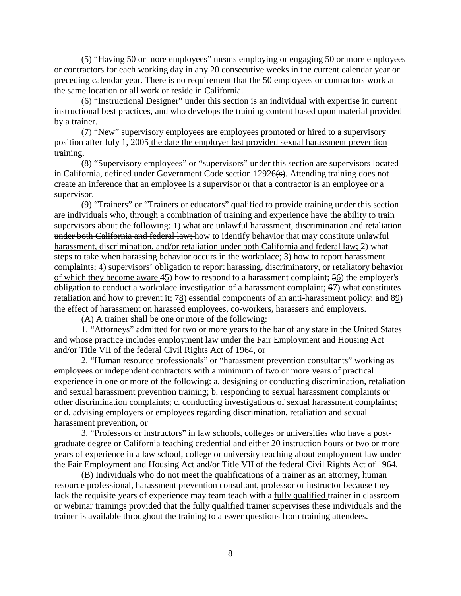(5) "Having 50 or more employees" means employing or engaging 50 or more employees or contractors for each working day in any 20 consecutive weeks in the current calendar year or preceding calendar year. There is no requirement that the 50 employees or contractors work at the same location or all work or reside in California.

(6) "Instructional Designer" under this section is an individual with expertise in current instructional best practices, and who develops the training content based upon material provided by a trainer.

(7) "New" supervisory employees are employees promoted or hired to a supervisory position after July 1, 2005 the date the employer last provided sexual harassment prevention training.

(8) "Supervisory employees" or "supervisors" under this section are supervisors located in California, defined under Government Code section 12926(s). Attending training does not create an inference that an employee is a supervisor or that a contractor is an employee or a supervisor.

(9) "Trainers" or "Trainers or educators" qualified to provide training under this section are individuals who, through a combination of training and experience have the ability to train supervisors about the following: 1) what are unlawful harassment, discrimination and retaliation under both California and federal law; how to identify behavior that may constitute unlawful harassment, discrimination, and/or retaliation under both California and federal law; 2) what steps to take when harassing behavior occurs in the workplace; 3) how to report harassment complaints; 4) supervisors' obligation to report harassing, discriminatory, or retaliatory behavior of which they become aware 45) how to respond to a harassment complaint; 56) the employer's obligation to conduct a workplace investigation of a harassment complaint; 67) what constitutes retaliation and how to prevent it; 78) essential components of an anti-harassment policy; and 89) the effect of harassment on harassed employees, co-workers, harassers and employers.

(A) A trainer shall be one or more of the following:

1. "Attorneys" admitted for two or more years to the bar of any state in the United States and whose practice includes employment law under the Fair Employment and Housing Act and/or Title VII of the federal Civil Rights Act of 1964, or

2. "Human resource professionals" or "harassment prevention consultants" working as employees or independent contractors with a minimum of two or more years of practical experience in one or more of the following: a. designing or conducting discrimination, retaliation and sexual harassment prevention training; b. responding to sexual harassment complaints or other discrimination complaints; c. conducting investigations of sexual harassment complaints; or d. advising employers or employees regarding discrimination, retaliation and sexual harassment prevention, or

3. "Professors or instructors" in law schools, colleges or universities who have a postgraduate degree or California teaching credential and either 20 instruction hours or two or more years of experience in a law school, college or university teaching about employment law under the Fair Employment and Housing Act and/or Title VII of the federal Civil Rights Act of 1964.

(B) Individuals who do not meet the qualifications of a trainer as an attorney, human resource professional, harassment prevention consultant, professor or instructor because they lack the requisite years of experience may team teach with a fully qualified trainer in classroom or webinar trainings provided that the fully qualified trainer supervises these individuals and the trainer is available throughout the training to answer questions from training attendees.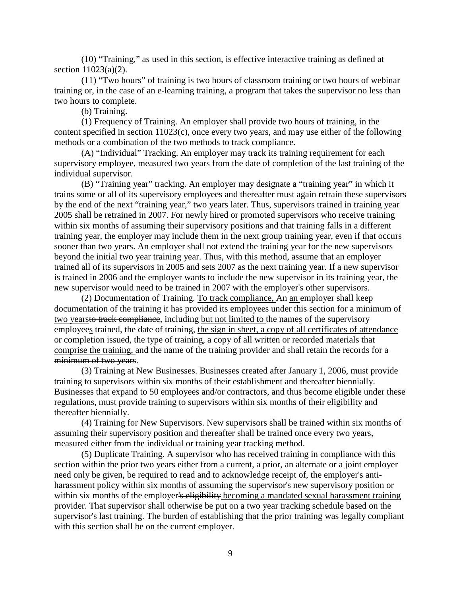(10) "Training," as used in this section, is effective interactive training as defined at section 11023(a)(2).

(11) "Two hours" of training is two hours of classroom training or two hours of webinar training or, in the case of an e-learning training, a program that takes the supervisor no less than two hours to complete.

(b) Training.

(1) Frequency of Training. An employer shall provide two hours of training, in the content specified in section 11023(c), once every two years, and may use either of the following methods or a combination of the two methods to track compliance.

(A) "Individual" Tracking. An employer may track its training requirement for each supervisory employee, measured two years from the date of completion of the last training of the individual supervisor.

(B) "Training year" tracking. An employer may designate a "training year" in which it trains some or all of its supervisory employees and thereafter must again retrain these supervisors by the end of the next "training year," two years later. Thus, supervisors trained in training year 2005 shall be retrained in 2007. For newly hired or promoted supervisors who receive training within six months of assuming their supervisory positions and that training falls in a different training year, the employer may include them in the next group training year, even if that occurs sooner than two years. An employer shall not extend the training year for the new supervisors beyond the initial two year training year. Thus, with this method, assume that an employer trained all of its supervisors in 2005 and sets 2007 as the next training year. If a new supervisor is trained in 2006 and the employer wants to include the new supervisor in its training year, the new supervisor would need to be trained in 2007 with the employer's other supervisors.

(2) Documentation of Training. To track compliance, An an employer shall keep documentation of the training it has provided its employees under this section for a minimum of two yearsto track compliance, including but not limited to the names of the supervisory employees trained, the date of training, the sign in sheet, a copy of all certificates of attendance or completion issued, the type of training, a copy of all written or recorded materials that comprise the training, and the name of the training provider and shall retain the records for a minimum of two years.

(3) Training at New Businesses. Businesses created after January 1, 2006, must provide training to supervisors within six months of their establishment and thereafter biennially. Businesses that expand to 50 employees and/or contractors, and thus become eligible under these regulations, must provide training to supervisors within six months of their eligibility and thereafter biennially.

(4) Training for New Supervisors. New supervisors shall be trained within six months of assuming their supervisory position and thereafter shall be trained once every two years, measured either from the individual or training year tracking method.

(5) Duplicate Training. A supervisor who has received training in compliance with this section within the prior two years either from a current, a prior, an alternate or a joint employer need only be given, be required to read and to acknowledge receipt of, the employer's antiharassment policy within six months of assuming the supervisor's new supervisory position or within six months of the employer's eligibility becoming a mandated sexual harassment training provider. That supervisor shall otherwise be put on a two year tracking schedule based on the supervisor's last training. The burden of establishing that the prior training was legally compliant with this section shall be on the current employer.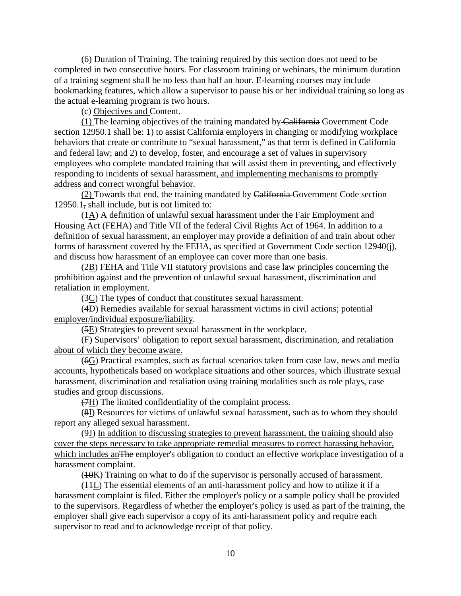(6) Duration of Training. The training required by this section does not need to be completed in two consecutive hours. For classroom training or webinars, the minimum duration of a training segment shall be no less than half an hour. E-learning courses may include bookmarking features, which allow a supervisor to pause his or her individual training so long as the actual e-learning program is two hours.

(c) Objectives and Content.

(1) The learning objectives of the training mandated by California Government Code section 12950.1 shall be: 1) to assist California employers in changing or modifying workplace behaviors that create or contribute to "sexual harassment," as that term is defined in California and federal law; and 2) to develop, foster, and encourage a set of values in supervisory employees who complete mandated training that will assist them in preventing, and effectively responding to incidents of sexual harassment, and implementing mechanisms to promptly address and correct wrongful behavior.

(2) Towards that end, the training mandated by California Government Code section 12950.1, shall include, but is not limited to:

(1A) A definition of unlawful sexual harassment under the Fair Employment and Housing Act (FEHA) and Title VII of the federal Civil Rights Act of 1964. In addition to a definition of sexual harassment, an employer may provide a definition of and train about other forms of harassment covered by the FEHA, as specified at Government Code section 12940(j), and discuss how harassment of an employee can cover more than one basis.

(2B) FEHA and Title VII statutory provisions and case law principles concerning the prohibition against and the prevention of unlawful sexual harassment, discrimination and retaliation in employment.

(3C) The types of conduct that constitutes sexual harassment.

(4D) Remedies available for sexual harassment victims in civil actions; potential employer/individual exposure/liability.

(5E) Strategies to prevent sexual harassment in the workplace.

(F) Supervisors' obligation to report sexual harassment, discrimination, and retaliation about of which they become aware.

(6G) Practical examples, such as factual scenarios taken from case law, news and media accounts, hypotheticals based on workplace situations and other sources, which illustrate sexual harassment, discrimination and retaliation using training modalities such as role plays, case studies and group discussions.

(7H) The limited confidentiality of the complaint process.

(8I) Resources for victims of unlawful sexual harassment, such as to whom they should report any alleged sexual harassment.

(9J) In addition to discussing strategies to prevent harassment, the training should also cover the steps necessary to take appropriate remedial measures to correct harassing behavior, which includes anThe employer's obligation to conduct an effective workplace investigation of a harassment complaint.

(10K) Training on what to do if the supervisor is personally accused of harassment.

(11L) The essential elements of an anti-harassment policy and how to utilize it if a harassment complaint is filed. Either the employer's policy or a sample policy shall be provided to the supervisors. Regardless of whether the employer's policy is used as part of the training, the employer shall give each supervisor a copy of its anti-harassment policy and require each supervisor to read and to acknowledge receipt of that policy.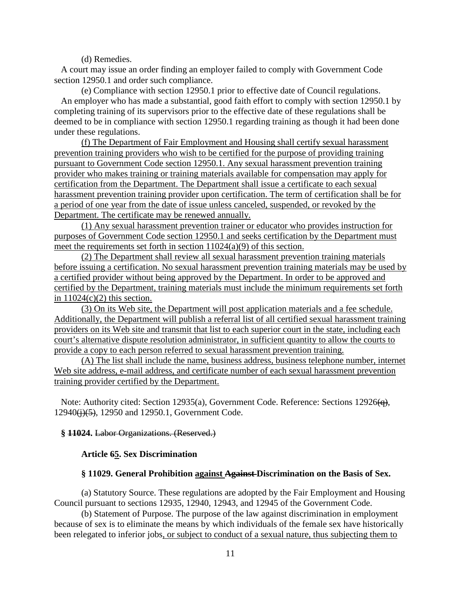#### (d) Remedies.

A court may issue an order finding an employer failed to comply with Government Code section 12950.1 and order such compliance.

(e) Compliance with section 12950.1 prior to effective date of Council regulations. An employer who has made a substantial, good faith effort to comply with section 12950.1 by completing training of its supervisors prior to the effective date of these regulations shall be deemed to be in compliance with section 12950.1 regarding training as though it had been done under these regulations.

(f) The Department of Fair Employment and Housing shall certify sexual harassment prevention training providers who wish to be certified for the purpose of providing training pursuant to Government Code section 12950.1. Any sexual harassment prevention training provider who makes training or training materials available for compensation may apply for certification from the Department. The Department shall issue a certificate to each sexual harassment prevention training provider upon certification. The term of certification shall be for a period of one year from the date of issue unless canceled, suspended, or revoked by the Department. The certificate may be renewed annually.

(1) Any sexual harassment prevention trainer or educator who provides instruction for purposes of Government Code section 12950.1 and seeks certification by the Department must meet the requirements set forth in section  $11024(a)(9)$  of this section.

(2) The Department shall review all sexual harassment prevention training materials before issuing a certification. No sexual harassment prevention training materials may be used by a certified provider without being approved by the Department. In order to be approved and certified by the Department, training materials must include the minimum requirements set forth in  $11024(c)(2)$  this section.

(3) On its Web site, the Department will post application materials and a fee schedule. Additionally, the Department will publish a referral list of all certified sexual harassment training providers on its Web site and transmit that list to each superior court in the state, including each court's alternative dispute resolution administrator, in sufficient quantity to allow the courts to provide a copy to each person referred to sexual harassment prevention training.

(A) The list shall include the name, business address, business telephone number, internet Web site address, e-mail address, and certificate number of each sexual harassment prevention training provider certified by the Department.

Note: Authority cited: Section 12935(a), Government Code. Reference: Sections 12926(q), 12940( $\frac{1}{1}$ )(5), 12950 and 12950.1, Government Code.

### **§ 11024.** Labor Organizations. (Reserved.)

### **Article 65. Sex Discrimination**

### **§ 11029. General Prohibition against Against Discrimination on the Basis of Sex.**

(a) Statutory Source. These regulations are adopted by the Fair Employment and Housing Council pursuant to sections 12935, 12940, 12943, and 12945 of the Government Code.

(b) Statement of Purpose. The purpose of the law against discrimination in employment because of sex is to eliminate the means by which individuals of the female sex have historically been relegated to inferior jobs, or subject to conduct of a sexual nature, thus subjecting them to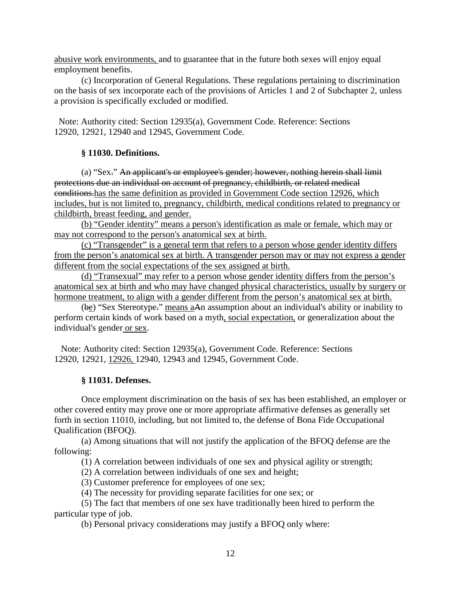abusive work environments, and to guarantee that in the future both sexes will enjoy equal employment benefits.

(c) Incorporation of General Regulations. These regulations pertaining to discrimination on the basis of sex incorporate each of the provisions of Articles 1 and 2 of Subchapter 2, unless a provision is specifically excluded or modified.

 Note: Authority cited: Section 12935(a), Government Code. Reference: Sections 12920, 12921, 12940 and 12945, Government Code.

# **§ 11030. Definitions.**

(a) "Sex." An applicant's or employee's gender; however, nothing herein shall limit protections due an individual on account of pregnancy, childbirth, or related medical conditions.has the same definition as provided in Government Code section 12926, which includes, but is not limited to, pregnancy, childbirth, medical conditions related to pregnancy or childbirth, breast feeding, and gender.

(b) "Gender identity" means a person's identification as male or female, which may or may not correspond to the person's anatomical sex at birth.

(c) "Transgender" is a general term that refers to a person whose gender identity differs from the person's anatomical sex at birth. A transgender person may or may not express a gender different from the social expectations of the sex assigned at birth.

(d) "Transexual" may refer to a person whose gender identity differs from the person's anatomical sex at birth and who may have changed physical characteristics, usually by surgery or hormone treatment, to align with a gender different from the person's anatomical sex at birth.

(be) "Sex Stereotype." means aAn assumption about an individual's ability or inability to perform certain kinds of work based on a myth, social expectation, or generalization about the individual's gender or sex.

Note: Authority cited: Section 12935(a), Government Code. Reference: Sections 12920, 12921, 12926, 12940, 12943 and 12945, Government Code.

# **§ 11031. Defenses.**

Once employment discrimination on the basis of sex has been established, an employer or other covered entity may prove one or more appropriate affirmative defenses as generally set forth in section 11010, including, but not limited to, the defense of Bona Fide Occupational Qualification (BFOQ).

(a) Among situations that will not justify the application of the BFOQ defense are the following:

(1) A correlation between individuals of one sex and physical agility or strength;

(2) A correlation between individuals of one sex and height;

(3) Customer preference for employees of one sex;

(4) The necessity for providing separate facilities for one sex; or

(5) The fact that members of one sex have traditionally been hired to perform the particular type of job.

(b) Personal privacy considerations may justify a BFOQ only where: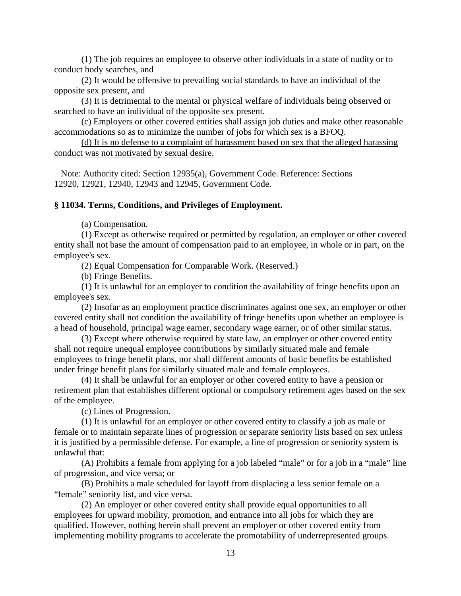(1) The job requires an employee to observe other individuals in a state of nudity or to conduct body searches, and

(2) It would be offensive to prevailing social standards to have an individual of the opposite sex present, and

(3) It is detrimental to the mental or physical welfare of individuals being observed or searched to have an individual of the opposite sex present.

(c) Employers or other covered entities shall assign job duties and make other reasonable accommodations so as to minimize the number of jobs for which sex is a BFOQ.

(d) It is no defense to a complaint of harassment based on sex that the alleged harassing conduct was not motivated by sexual desire.

Note: Authority cited: Section 12935(a), Government Code. Reference: Sections 12920, 12921, 12940, 12943 and 12945, Government Code.

## **§ 11034. Terms, Conditions, and Privileges of Employment.**

(a) Compensation.

(1) Except as otherwise required or permitted by regulation, an employer or other covered entity shall not base the amount of compensation paid to an employee, in whole or in part, on the employee's sex.

(2) Equal Compensation for Comparable Work. (Reserved.)

(b) Fringe Benefits.

(1) It is unlawful for an employer to condition the availability of fringe benefits upon an employee's sex.

(2) Insofar as an employment practice discriminates against one sex, an employer or other covered entity shall not condition the availability of fringe benefits upon whether an employee is a head of household, principal wage earner, secondary wage earner, or of other similar status.

(3) Except where otherwise required by state law, an employer or other covered entity shall not require unequal employee contributions by similarly situated male and female employees to fringe benefit plans, nor shall different amounts of basic benefits be established under fringe benefit plans for similarly situated male and female employees.

(4) It shall be unlawful for an employer or other covered entity to have a pension or retirement plan that establishes different optional or compulsory retirement ages based on the sex of the employee.

(c) Lines of Progression.

(1) It is unlawful for an employer or other covered entity to classify a job as male or female or to maintain separate lines of progression or separate seniority lists based on sex unless it is justified by a permissible defense. For example, a line of progression or seniority system is unlawful that:

(A) Prohibits a female from applying for a job labeled "male" or for a job in a "male" line of progression, and vice versa; or

(B) Prohibits a male scheduled for layoff from displacing a less senior female on a "female" seniority list, and vice versa.

(2) An employer or other covered entity shall provide equal opportunities to all employees for upward mobility, promotion, and entrance into all jobs for which they are qualified. However, nothing herein shall prevent an employer or other covered entity from implementing mobility programs to accelerate the promotability of underrepresented groups.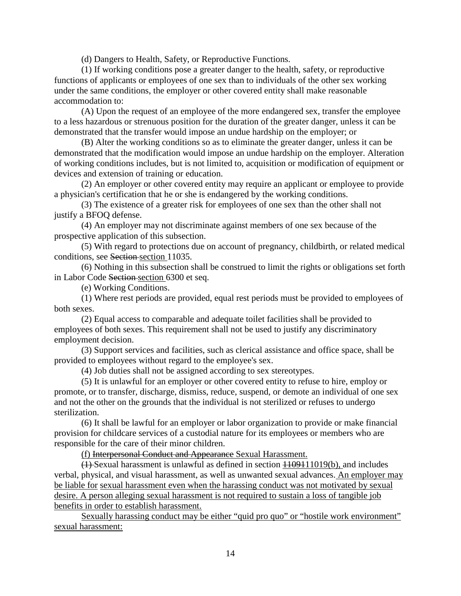(d) Dangers to Health, Safety, or Reproductive Functions.

(1) If working conditions pose a greater danger to the health, safety, or reproductive functions of applicants or employees of one sex than to individuals of the other sex working under the same conditions, the employer or other covered entity shall make reasonable accommodation to:

(A) Upon the request of an employee of the more endangered sex, transfer the employee to a less hazardous or strenuous position for the duration of the greater danger, unless it can be demonstrated that the transfer would impose an undue hardship on the employer; or

(B) Alter the working conditions so as to eliminate the greater danger, unless it can be demonstrated that the modification would impose an undue hardship on the employer. Alteration of working conditions includes, but is not limited to, acquisition or modification of equipment or devices and extension of training or education.

(2) An employer or other covered entity may require an applicant or employee to provide a physician's certification that he or she is endangered by the working conditions.

(3) The existence of a greater risk for employees of one sex than the other shall not justify a BFOQ defense.

(4) An employer may not discriminate against members of one sex because of the prospective application of this subsection.

(5) With regard to protections due on account of pregnancy, childbirth, or related medical conditions, see Section section 11035.

(6) Nothing in this subsection shall be construed to limit the rights or obligations set forth in Labor Code Section section 6300 et seq.

(e) Working Conditions.

(1) Where rest periods are provided, equal rest periods must be provided to employees of both sexes.

(2) Equal access to comparable and adequate toilet facilities shall be provided to employees of both sexes. This requirement shall not be used to justify any discriminatory employment decision.

(3) Support services and facilities, such as clerical assistance and office space, shall be provided to employees without regard to the employee's sex.

(4) Job duties shall not be assigned according to sex stereotypes.

(5) It is unlawful for an employer or other covered entity to refuse to hire, employ or promote, or to transfer, discharge, dismiss, reduce, suspend, or demote an individual of one sex and not the other on the grounds that the individual is not sterilized or refuses to undergo sterilization.

(6) It shall be lawful for an employer or labor organization to provide or make financial provision for childcare services of a custodial nature for its employees or members who are responsible for the care of their minor children.

(f) Interpersonal Conduct and Appearance Sexual Harassment.

(1) Sexual harassment is unlawful as defined in section 1109111019(b), and includes verbal, physical, and visual harassment, as well as unwanted sexual advances. An employer may be liable for sexual harassment even when the harassing conduct was not motivated by sexual desire. A person alleging sexual harassment is not required to sustain a loss of tangible job benefits in order to establish harassment.

Sexually harassing conduct may be either "quid pro quo" or "hostile work environment" sexual harassment: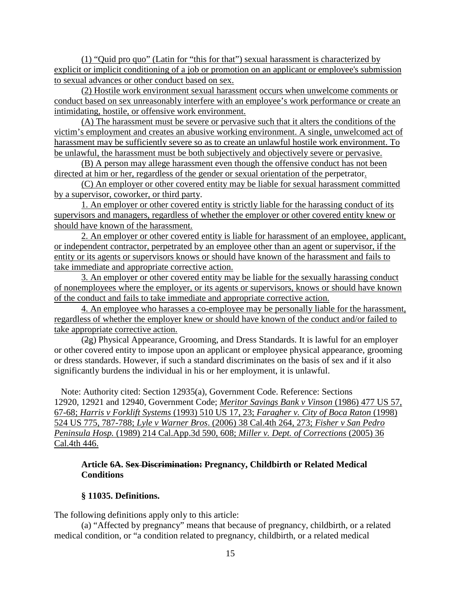(1) "Quid pro quo" (Latin for "this for that") sexual harassment is characterized by explicit or implicit conditioning of a job or promotion on an applicant or employee's submission to sexual advances or other conduct based on sex.

(2) Hostile work environment sexual harassment occurs when unwelcome comments or conduct based on sex unreasonably interfere with an employee's work performance or create an intimidating, hostile, or offensive work environment.

(A) The harassment must be severe or pervasive such that it alters the conditions of the victim's employment and creates an abusive working environment. A single, unwelcomed act of harassment may be sufficiently severe so as to create an unlawful hostile work environment. To be unlawful, the harassment must be both subjectively and objectively severe or pervasive.

(B) A person may allege harassment even though the offensive conduct has not been directed at him or her, regardless of the gender or sexual orientation of the perpetrator.

(C) An employer or other covered entity may be liable for sexual harassment committed by a supervisor, coworker, or third party.

1. An employer or other covered entity is strictly liable for the harassing conduct of its supervisors and managers, regardless of whether the employer or other covered entity knew or should have known of the harassment.

2. An employer or other covered entity is liable for harassment of an employee, applicant, or independent contractor, perpetrated by an employee other than an agent or supervisor, if the entity or its agents or supervisors knows or should have known of the harassment and fails to take immediate and appropriate corrective action.

3. An employer or other covered entity may be liable for the sexually harassing conduct of nonemployees where the employer, or its agents or supervisors, knows or should have known of the conduct and fails to take immediate and appropriate corrective action.

4. An employee who harasses a co-employee may be personally liable for the harassment, regardless of whether the employer knew or should have known of the conduct and/or failed to take appropriate corrective action.

(2g) Physical Appearance, Grooming, and Dress Standards. It is lawful for an employer or other covered entity to impose upon an applicant or employee physical appearance, grooming or dress standards. However, if such a standard discriminates on the basis of sex and if it also significantly burdens the individual in his or her employment, it is unlawful.

Note: Authority cited: Section 12935(a), Government Code. Reference: Sections 12920, 12921 and 12940, Government Code; *Meritor Savings Bank v Vinson* (1986) 477 US 57, 67-68; *Harris v Forklift Systems* (1993) 510 US 17, 23; *Faragher v. City of Boca Raton* (1998) 524 US 775, 787-788; *Lyle v Warner Bros*. (2006) 38 Cal.4th 264, 273; *Fisher v San Pedro Peninsula Hosp.* (1989) 214 Cal.App.3d 590, 608; *Miller v. Dept. of Corrections* (2005) 36 Cal.4th 446.

# **Article 6A. Sex Discrimination: Pregnancy, Childbirth or Related Medical Conditions**

# **§ 11035. Definitions.**

The following definitions apply only to this article:

(a) "Affected by pregnancy" means that because of pregnancy, childbirth, or a related medical condition, or "a condition related to pregnancy, childbirth, or a related medical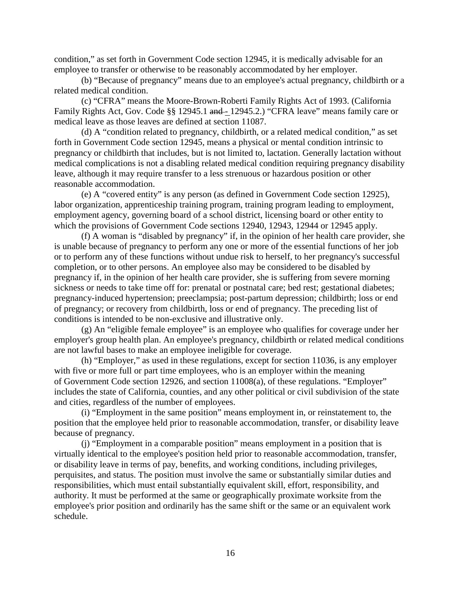condition," as set forth in Government Code section 12945, it is medically advisable for an employee to transfer or otherwise to be reasonably accommodated by her employer.

(b) "Because of pregnancy" means due to an employee's actual pregnancy, childbirth or a related medical condition.

(c) "CFRA" means the Moore-Brown-Roberti Family Rights Act of 1993. (California Family Rights Act, Gov. Code §§ 12945.1 and - 12945.2.) "CFRA leave" means family care or medical leave as those leaves are defined at section 11087.

(d) A "condition related to pregnancy, childbirth, or a related medical condition," as set forth in Government Code section 12945, means a physical or mental condition intrinsic to pregnancy or childbirth that includes, but is not limited to, lactation. Generally lactation without medical complications is not a disabling related medical condition requiring pregnancy disability leave, although it may require transfer to a less strenuous or hazardous position or other reasonable accommodation.

(e) A "covered entity" is any person (as defined in Government Code section 12925), labor organization, apprenticeship training program, training program leading to employment, employment agency, governing board of a school district, licensing board or other entity to which the provisions of Government Code sections 12940, 12943, 12944 or 12945 apply.

(f) A woman is "disabled by pregnancy" if, in the opinion of her health care provider, she is unable because of pregnancy to perform any one or more of the essential functions of her job or to perform any of these functions without undue risk to herself, to her pregnancy's successful completion, or to other persons. An employee also may be considered to be disabled by pregnancy if, in the opinion of her health care provider, she is suffering from severe morning sickness or needs to take time off for: prenatal or postnatal care; bed rest; gestational diabetes; pregnancy-induced hypertension; preeclampsia; post-partum depression; childbirth; loss or end of pregnancy; or recovery from childbirth, loss or end of pregnancy. The preceding list of conditions is intended to be non-exclusive and illustrative only.

(g) An "eligible female employee" is an employee who qualifies for coverage under her employer's group health plan. An employee's pregnancy, childbirth or related medical conditions are not lawful bases to make an employee ineligible for coverage.

(h) "Employer," as used in these regulations, except for section 11036, is any employer with five or more full or part time employees, who is an employer within the meaning of Government Code section 12926, and section 11008(a), of these regulations. "Employer" includes the state of California, counties, and any other political or civil subdivision of the state and cities, regardless of the number of employees.

(i) "Employment in the same position" means employment in, or reinstatement to, the position that the employee held prior to reasonable accommodation, transfer, or disability leave because of pregnancy.

(j) "Employment in a comparable position" means employment in a position that is virtually identical to the employee's position held prior to reasonable accommodation, transfer, or disability leave in terms of pay, benefits, and working conditions, including privileges, perquisites, and status. The position must involve the same or substantially similar duties and responsibilities, which must entail substantially equivalent skill, effort, responsibility, and authority. It must be performed at the same or geographically proximate worksite from the employee's prior position and ordinarily has the same shift or the same or an equivalent work schedule.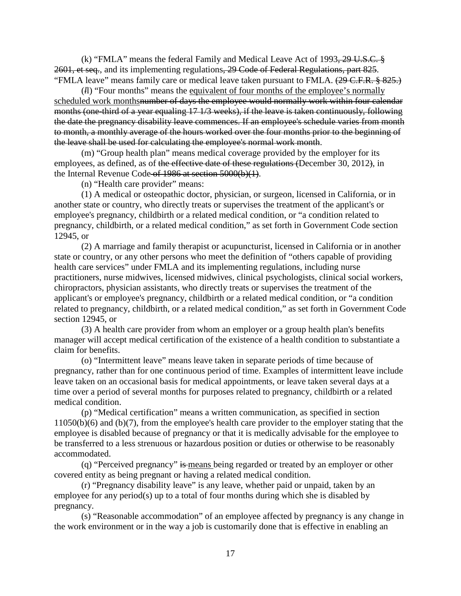(k) "FMLA" means the federal Family and Medical Leave Act of 1993, 29 U.S.C. § 2601, et seq., and its implementing regulations, 29 Code of Federal Regulations, part 825. "FMLA leave" means family care or medical leave taken pursuant to FMLA. (29 C.F.R. § 825.)

(*l*l) "Four months" means the equivalent of four months of the employee's normally scheduled work monthsnumber of days the employee would normally work within four calendar months (one-third of a year equaling 17 1/3 weeks), if the leave is taken continuously, following the date the pregnancy disability leave commences. If an employee's schedule varies from month to month, a monthly average of the hours worked over the four months prior to the beginning of the leave shall be used for calculating the employee's normal work month.

(m) "Group health plan" means medical coverage provided by the employer for its employees, as defined, as of the effective date of these regulations (December 30, 2012), in the Internal Revenue Code of 1986 at section 5000(b)(1).

(n) "Health care provider" means:

(1) A medical or osteopathic doctor, physician, or surgeon, licensed in California, or in another state or country, who directly treats or supervises the treatment of the applicant's or employee's pregnancy, childbirth or a related medical condition, or "a condition related to pregnancy, childbirth, or a related medical condition," as set forth in Government Code section 12945, or

(2) A marriage and family therapist or acupuncturist, licensed in California or in another state or country, or any other persons who meet the definition of "others capable of providing health care services" under FMLA and its implementing regulations, including nurse practitioners, nurse midwives, licensed midwives, clinical psychologists, clinical social workers, chiropractors, physician assistants, who directly treats or supervises the treatment of the applicant's or employee's pregnancy, childbirth or a related medical condition, or "a condition related to pregnancy, childbirth, or a related medical condition," as set forth in Government Code section 12945, or

(3) A health care provider from whom an employer or a group health plan's benefits manager will accept medical certification of the existence of a health condition to substantiate a claim for benefits.

(o) "Intermittent leave" means leave taken in separate periods of time because of pregnancy, rather than for one continuous period of time. Examples of intermittent leave include leave taken on an occasional basis for medical appointments, or leave taken several days at a time over a period of several months for purposes related to pregnancy, childbirth or a related medical condition.

(p) "Medical certification" means a written communication, as specified in section 11050(b)(6) and (b)(7), from the employee's health care provider to the employer stating that the employee is disabled because of pregnancy or that it is medically advisable for the employee to be transferred to a less strenuous or hazardous position or duties or otherwise to be reasonably accommodated.

(q) "Perceived pregnancy" is means being regarded or treated by an employer or other covered entity as being pregnant or having a related medical condition.

(r) "Pregnancy disability leave" is any leave, whether paid or unpaid, taken by an employee for any period(s) up to a total of four months during which she is disabled by pregnancy.

(s) "Reasonable accommodation" of an employee affected by pregnancy is any change in the work environment or in the way a job is customarily done that is effective in enabling an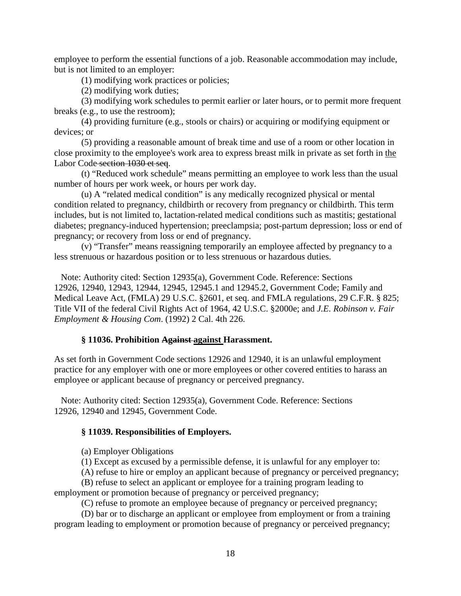employee to perform the essential functions of a job. Reasonable accommodation may include, but is not limited to an employer:

(1) modifying work practices or policies;

(2) modifying work duties;

(3) modifying work schedules to permit earlier or later hours, or to permit more frequent breaks (e.g., to use the restroom);

(4) providing furniture (e.g., stools or chairs) or acquiring or modifying equipment or devices; or

(5) providing a reasonable amount of break time and use of a room or other location in close proximity to the employee's work area to express breast milk in private as set forth in the Labor Code section 1030 et seq.

(t) "Reduced work schedule" means permitting an employee to work less than the usual number of hours per work week, or hours per work day.

(u) A "related medical condition" is any medically recognized physical or mental condition related to pregnancy, childbirth or recovery from pregnancy or childbirth. This term includes, but is not limited to, lactation-related medical conditions such as mastitis; gestational diabetes; pregnancy-induced hypertension; preeclampsia; post-partum depression; loss or end of pregnancy; or recovery from loss or end of pregnancy.

(v) "Transfer" means reassigning temporarily an employee affected by pregnancy to a less strenuous or hazardous position or to less strenuous or hazardous duties.

Note: Authority cited: Section 12935(a), Government Code. Reference: Sections 12926, 12940, 12943, 12944, 12945, 12945.1 and 12945.2, Government Code; Family and Medical Leave Act, (FMLA) 29 U.S.C. §2601, et seq. and FMLA regulations, 29 C.F.R. § 825; Title VII of the federal Civil Rights Act of 1964, 42 U.S.C. §2000e; and *J.E. Robinson v. Fair Employment & Housing Com*. (1992) 2 Cal. 4th 226.

# **§ 11036. Prohibition Against against Harassment.**

As set forth in Government Code sections 12926 and 12940, it is an unlawful employment practice for any employer with one or more employees or other covered entities to harass an employee or applicant because of pregnancy or perceived pregnancy.

Note: Authority cited: Section 12935(a), Government Code. Reference: Sections 12926, 12940 and 12945, Government Code.

# **§ 11039. Responsibilities of Employers.**

(a) Employer Obligations

(1) Except as excused by a permissible defense, it is unlawful for any employer to:

(A) refuse to hire or employ an applicant because of pregnancy or perceived pregnancy;

(B) refuse to select an applicant or employee for a training program leading to employment or promotion because of pregnancy or perceived pregnancy;

(C) refuse to promote an employee because of pregnancy or perceived pregnancy;

(D) bar or to discharge an applicant or employee from employment or from a training program leading to employment or promotion because of pregnancy or perceived pregnancy;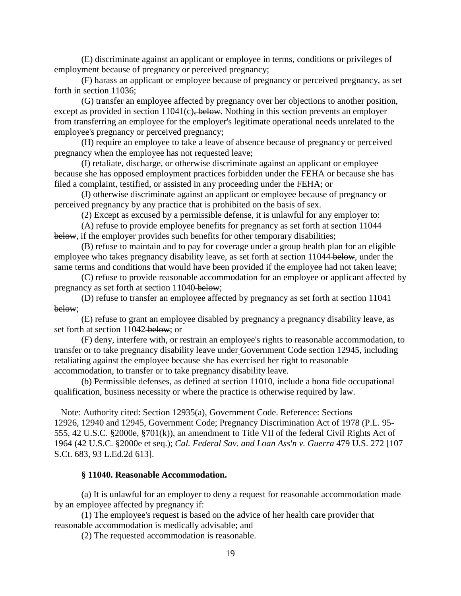(E) discriminate against an applicant or employee in terms, conditions or privileges of employment because of pregnancy or perceived pregnancy;

(F) harass an applicant or employee because of pregnancy or perceived pregnancy, as set forth in section 11036;

(G) transfer an employee affected by pregnancy over her objections to another position, except as provided in section  $11041(c)$ , below. Nothing in this section prevents an employer from transferring an employee for the employer's legitimate operational needs unrelated to the employee's pregnancy or perceived pregnancy;

(H) require an employee to take a leave of absence because of pregnancy or perceived pregnancy when the employee has not requested leave;

(I) retaliate, discharge, or otherwise discriminate against an applicant or employee because she has opposed employment practices forbidden under the FEHA or because she has filed a complaint, testified, or assisted in any proceeding under the FEHA; or

(J) otherwise discriminate against an applicant or employee because of pregnancy or perceived pregnancy by any practice that is prohibited on the basis of sex.

(2) Except as excused by a permissible defense, it is unlawful for any employer to:

(A) refuse to provide employee benefits for pregnancy as set forth at section 11044 below, if the employer provides such benefits for other temporary disabilities;

(B) refuse to maintain and to pay for coverage under a group health plan for an eligible employee who takes pregnancy disability leave, as set forth at section 11044-below, under the same terms and conditions that would have been provided if the employee had not taken leave;

(C) refuse to provide reasonable accommodation for an employee or applicant affected by pregnancy as set forth at section 11040 below;

(D) refuse to transfer an employee affected by pregnancy as set forth at section 11041 below;

(E) refuse to grant an employee disabled by pregnancy a pregnancy disability leave, as set forth at section 11042-below; or

(F) deny, interfere with, or restrain an employee's rights to reasonable accommodation, to transfer or to take pregnancy disability leave under Government Code section 12945, including retaliating against the employee because she has exercised her right to reasonable accommodation, to transfer or to take pregnancy disability leave.

(b) Permissible defenses, as defined at section 11010, include a bona fide occupational qualification, business necessity or where the practice is otherwise required by law.

Note: Authority cited: Section 12935(a), Government Code. Reference: Sections 12926, 12940 and 12945, Government Code; Pregnancy Discrimination Act of 1978 (P.L. 95- 555, 42 U.S.C. §2000e, §701(k)), an amendment to Title VII of the federal Civil Rights Act of 1964 (42 U.S.C. §2000e et seq.); *Cal. Federal Sav. and Loan Ass'n v. Guerra* 479 U.S. 272 [107 S.Ct. 683, 93 L.Ed.2d 613].

#### **§ 11040. Reasonable Accommodation.**

(a) It is unlawful for an employer to deny a request for reasonable accommodation made by an employee affected by pregnancy if:

(1) The employee's request is based on the advice of her health care provider that reasonable accommodation is medically advisable; and

(2) The requested accommodation is reasonable.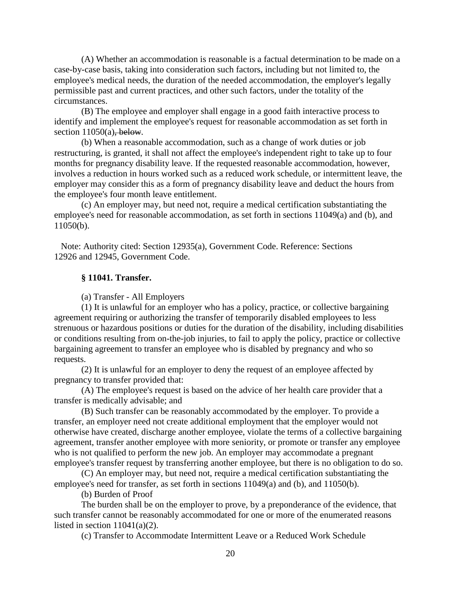(A) Whether an accommodation is reasonable is a factual determination to be made on a case-by-case basis, taking into consideration such factors, including but not limited to, the employee's medical needs, the duration of the needed accommodation, the employer's legally permissible past and current practices, and other such factors, under the totality of the circumstances.

(B) The employee and employer shall engage in a good faith interactive process to identify and implement the employee's request for reasonable accommodation as set forth in section  $11050(a)$ , below.

(b) When a reasonable accommodation, such as a change of work duties or job restructuring, is granted, it shall not affect the employee's independent right to take up to four months for pregnancy disability leave. If the requested reasonable accommodation, however, involves a reduction in hours worked such as a reduced work schedule, or intermittent leave, the employer may consider this as a form of pregnancy disability leave and deduct the hours from the employee's four month leave entitlement.

(c) An employer may, but need not, require a medical certification substantiating the employee's need for reasonable accommodation, as set forth in sections 11049(a) and (b), and 11050(b).

Note: Authority cited: Section 12935(a), Government Code. Reference: Sections 12926 and 12945, Government Code.

### **§ 11041. Transfer.**

(a) Transfer - All Employers

(1) It is unlawful for an employer who has a policy, practice, or collective bargaining agreement requiring or authorizing the transfer of temporarily disabled employees to less strenuous or hazardous positions or duties for the duration of the disability, including disabilities or conditions resulting from on-the-job injuries, to fail to apply the policy, practice or collective bargaining agreement to transfer an employee who is disabled by pregnancy and who so requests.

(2) It is unlawful for an employer to deny the request of an employee affected by pregnancy to transfer provided that:

(A) The employee's request is based on the advice of her health care provider that a transfer is medically advisable; and

(B) Such transfer can be reasonably accommodated by the employer. To provide a transfer, an employer need not create additional employment that the employer would not otherwise have created, discharge another employee, violate the terms of a collective bargaining agreement, transfer another employee with more seniority, or promote or transfer any employee who is not qualified to perform the new job. An employer may accommodate a pregnant employee's transfer request by transferring another employee, but there is no obligation to do so.

(C) An employer may, but need not, require a medical certification substantiating the employee's need for transfer, as set forth in sections 11049(a) and (b), and 11050(b).

(b) Burden of Proof

The burden shall be on the employer to prove, by a preponderance of the evidence, that such transfer cannot be reasonably accommodated for one or more of the enumerated reasons listed in section  $11041(a)(2)$ .

(c) Transfer to Accommodate Intermittent Leave or a Reduced Work Schedule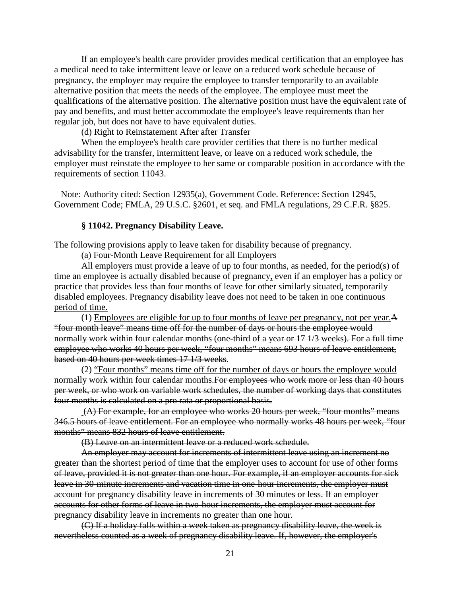If an employee's health care provider provides medical certification that an employee has a medical need to take intermittent leave or leave on a reduced work schedule because of pregnancy, the employer may require the employee to transfer temporarily to an available alternative position that meets the needs of the employee. The employee must meet the qualifications of the alternative position. The alternative position must have the equivalent rate of pay and benefits, and must better accommodate the employee's leave requirements than her regular job, but does not have to have equivalent duties.

(d) Right to Reinstatement After after Transfer

When the employee's health care provider certifies that there is no further medical advisability for the transfer, intermittent leave, or leave on a reduced work schedule, the employer must reinstate the employee to her same or comparable position in accordance with the requirements of section 11043.

Note: Authority cited: Section 12935(a), Government Code. Reference: Section 12945, Government Code; FMLA, 29 U.S.C. §2601, et seq. and FMLA regulations, 29 C.F.R. §825.

#### **§ 11042. Pregnancy Disability Leave.**

The following provisions apply to leave taken for disability because of pregnancy.

(a) Four-Month Leave Requirement for all Employers

All employers must provide a leave of up to four months, as needed, for the period(s) of time an employee is actually disabled because of pregnancy, even if an employer has a policy or practice that provides less than four months of leave for other similarly situated, temporarily disabled employees. Pregnancy disability leave does not need to be taken in one continuous period of time.

(1) Employees are eligible for up to four months of leave per pregnancy, not per year.A "four month leave" means time off for the number of days or hours the employee would normally work within four calendar months (one-third of a year or 17 1/3 weeks). For a full time employee who works 40 hours per week, "four months" means 693 hours of leave entitlement, based on 40 hours per week times 17 1/3 weeks.

(2) "Four months" means time off for the number of days or hours the employee would normally work within four calendar months. For employees who work more or less than 40 hours per week, or who work on variable work schedules, the number of working days that constitutes four months is calculated on a pro rata or proportional basis.

(A) For example, for an employee who works 20 hours per week, "four months" means 346.5 hours of leave entitlement. For an employee who normally works 48 hours per week, "four months" means 832 hours of leave entitlement.

(B) Leave on an intermittent leave or a reduced work schedule.

An employer may account for increments of intermittent leave using an increment no greater than the shortest period of time that the employer uses to account for use of other forms of leave, provided it is not greater than one hour. For example, if an employer accounts for sick leave in 30-minute increments and vacation time in one-hour increments, the employer must account for pregnancy disability leave in increments of 30 minutes or less. If an employer accounts for other forms of leave in two-hour increments, the employer must account for pregnancy disability leave in increments no greater than one hour.

(C) If a holiday falls within a week taken as pregnancy disability leave, the week is nevertheless counted as a week of pregnancy disability leave. If, however, the employer's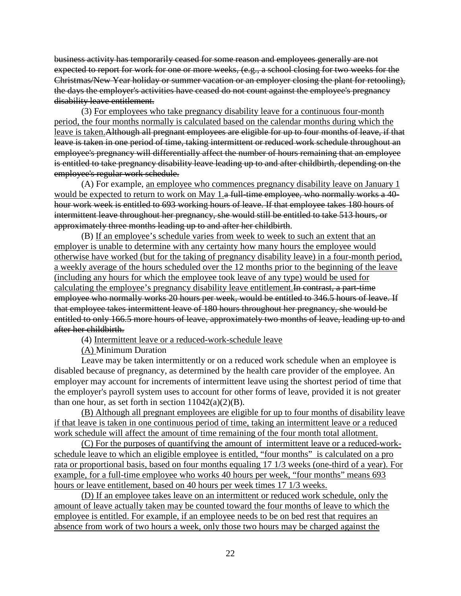business activity has temporarily ceased for some reason and employees generally are not expected to report for work for one or more weeks, (e.g., a school closing for two weeks for the Christmas/New Year holiday or summer vacation or an employer closing the plant for retooling), the days the employer's activities have ceased do not count against the employee's pregnancy disability leave entitlement.

(3) For employees who take pregnancy disability leave for a continuous four-month period, the four months normally is calculated based on the calendar months during which the leave is taken. Although all pregnant employees are eligible for up to four months of leave, if that leave is taken in one period of time, taking intermittent or reduced work schedule throughout an employee's pregnancy will differentially affect the number of hours remaining that an employee is entitled to take pregnancy disability leave leading up to and after childbirth, depending on the employee's regular work schedule.

(A) For example, an employee who commences pregnancy disability leave on January 1 would be expected to return to work on May 1.a full-time employee, who normally works a 40hour work week is entitled to 693 working hours of leave. If that employee takes 180 hours of intermittent leave throughout her pregnancy, she would still be entitled to take 513 hours, or approximately three months leading up to and after her childbirth.

(B) If an employee's schedule varies from week to week to such an extent that an employer is unable to determine with any certainty how many hours the employee would otherwise have worked (but for the taking of pregnancy disability leave) in a four-month period, a weekly average of the hours scheduled over the 12 months prior to the beginning of the leave (including any hours for which the employee took leave of any type) would be used for calculating the employee's pregnancy disability leave entitlement.In contrast, a part-time employee who normally works 20 hours per week, would be entitled to 346.5 hours of leave. If that employee takes intermittent leave of 180 hours throughout her pregnancy, she would be entitled to only 166.5 more hours of leave, approximately two months of leave, leading up to and after her childbirth.

(4) Intermittent leave or a reduced-work-schedule leave

(A) Minimum Duration

Leave may be taken intermittently or on a reduced work schedule when an employee is disabled because of pregnancy, as determined by the health care provider of the employee. An employer may account for increments of intermittent leave using the shortest period of time that the employer's payroll system uses to account for other forms of leave, provided it is not greater than one hour, as set forth in section  $11042(a)(2)(B)$ .

(B) Although all pregnant employees are eligible for up to four months of disability leave if that leave is taken in one continuous period of time, taking an intermittent leave or a reduced work schedule will affect the amount of time remaining of the four month total allotment.

(C) For the purposes of quantifying the amount of intermittent leave or a reduced-workschedule leave to which an eligible employee is entitled, "four months" is calculated on a pro rata or proportional basis, based on four months equaling 17 1/3 weeks (one-third of a year). For example, for a full-time employee who works 40 hours per week, "four months" means 693 hours or leave entitlement, based on 40 hours per week times 17 1/3 weeks.

(D) If an employee takes leave on an intermittent or reduced work schedule, only the amount of leave actually taken may be counted toward the four months of leave to which the employee is entitled. For example, if an employee needs to be on bed rest that requires an absence from work of two hours a week, only those two hours may be charged against the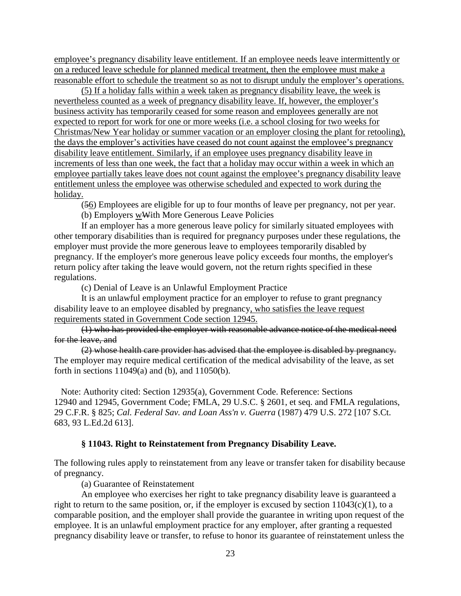employee's pregnancy disability leave entitlement. If an employee needs leave intermittently or on a reduced leave schedule for planned medical treatment, then the employee must make a reasonable effort to schedule the treatment so as not to disrupt unduly the employer's operations.

(5) If a holiday falls within a week taken as pregnancy disability leave, the week is nevertheless counted as a week of pregnancy disability leave. If, however, the employer's business activity has temporarily ceased for some reason and employees generally are not expected to report for work for one or more weeks (i.e. a school closing for two weeks for Christmas/New Year holiday or summer vacation or an employer closing the plant for retooling), the days the employer's activities have ceased do not count against the employee's pregnancy disability leave entitlement. Similarly, if an employee uses pregnancy disability leave in increments of less than one week, the fact that a holiday may occur within a week in which an employee partially takes leave does not count against the employee's pregnancy disability leave entitlement unless the employee was otherwise scheduled and expected to work during the holiday.

(56) Employees are eligible for up to four months of leave per pregnancy, not per year. (b) Employers wWith More Generous Leave Policies

If an employer has a more generous leave policy for similarly situated employees with other temporary disabilities than is required for pregnancy purposes under these regulations, the employer must provide the more generous leave to employees temporarily disabled by pregnancy. If the employer's more generous leave policy exceeds four months, the employer's return policy after taking the leave would govern, not the return rights specified in these regulations.

(c) Denial of Leave is an Unlawful Employment Practice

It is an unlawful employment practice for an employer to refuse to grant pregnancy disability leave to an employee disabled by pregnancy, who satisfies the leave request requirements stated in Government Code section 12945.

(1) who has provided the employer with reasonable advance notice of the medical need for the leave, and

(2) whose health care provider has advised that the employee is disabled by pregnancy. The employer may require medical certification of the medical advisability of the leave, as set forth in sections  $11049(a)$  and  $(b)$ , and  $11050(b)$ .

Note: Authority cited: Section 12935(a), Government Code. Reference: Sections 12940 and 12945, Government Code; FMLA, 29 U.S.C. § 2601, et seq. and FMLA regulations, 29 C.F.R. § 825; *Cal. Federal Sav. and Loan Ass'n v. Guerra* (1987) 479 U.S. 272 [107 S.Ct. 683, 93 L.Ed.2d 613].

# **§ 11043. Right to Reinstatement from Pregnancy Disability Leave.**

The following rules apply to reinstatement from any leave or transfer taken for disability because of pregnancy.

(a) Guarantee of Reinstatement

An employee who exercises her right to take pregnancy disability leave is guaranteed a right to return to the same position, or, if the employer is excused by section  $11043(c)(1)$ , to a comparable position, and the employer shall provide the guarantee in writing upon request of the employee. It is an unlawful employment practice for any employer, after granting a requested pregnancy disability leave or transfer, to refuse to honor its guarantee of reinstatement unless the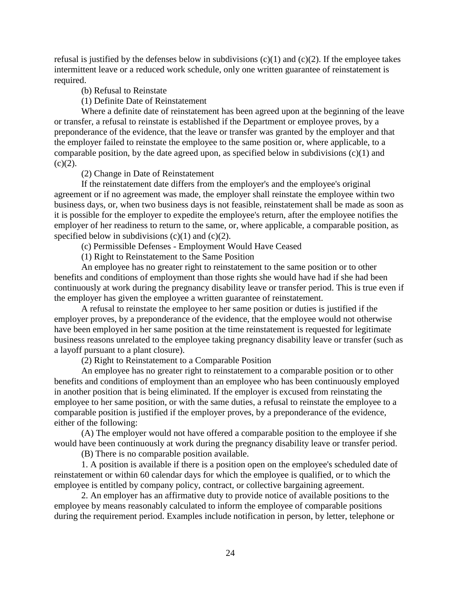refusal is justified by the defenses below in subdivisions  $(c)(1)$  and  $(c)(2)$ . If the employee takes intermittent leave or a reduced work schedule, only one written guarantee of reinstatement is required.

(b) Refusal to Reinstate

(1) Definite Date of Reinstatement

Where a definite date of reinstatement has been agreed upon at the beginning of the leave or transfer, a refusal to reinstate is established if the Department or employee proves, by a preponderance of the evidence, that the leave or transfer was granted by the employer and that the employer failed to reinstate the employee to the same position or, where applicable, to a comparable position, by the date agreed upon, as specified below in subdivisions (c)(1) and  $(c)(2)$ .

(2) Change in Date of Reinstatement

If the reinstatement date differs from the employer's and the employee's original agreement or if no agreement was made, the employer shall reinstate the employee within two business days, or, when two business days is not feasible, reinstatement shall be made as soon as it is possible for the employer to expedite the employee's return, after the employee notifies the employer of her readiness to return to the same, or, where applicable, a comparable position, as specified below in subdivisions  $(c)(1)$  and  $(c)(2)$ .

(c) Permissible Defenses - Employment Would Have Ceased

(1) Right to Reinstatement to the Same Position

An employee has no greater right to reinstatement to the same position or to other benefits and conditions of employment than those rights she would have had if she had been continuously at work during the pregnancy disability leave or transfer period. This is true even if the employer has given the employee a written guarantee of reinstatement.

A refusal to reinstate the employee to her same position or duties is justified if the employer proves, by a preponderance of the evidence, that the employee would not otherwise have been employed in her same position at the time reinstatement is requested for legitimate business reasons unrelated to the employee taking pregnancy disability leave or transfer (such as a layoff pursuant to a plant closure).

(2) Right to Reinstatement to a Comparable Position

An employee has no greater right to reinstatement to a comparable position or to other benefits and conditions of employment than an employee who has been continuously employed in another position that is being eliminated. If the employer is excused from reinstating the employee to her same position, or with the same duties, a refusal to reinstate the employee to a comparable position is justified if the employer proves, by a preponderance of the evidence, either of the following:

(A) The employer would not have offered a comparable position to the employee if she would have been continuously at work during the pregnancy disability leave or transfer period.

(B) There is no comparable position available.

1. A position is available if there is a position open on the employee's scheduled date of reinstatement or within 60 calendar days for which the employee is qualified, or to which the employee is entitled by company policy, contract, or collective bargaining agreement.

2. An employer has an affirmative duty to provide notice of available positions to the employee by means reasonably calculated to inform the employee of comparable positions during the requirement period. Examples include notification in person, by letter, telephone or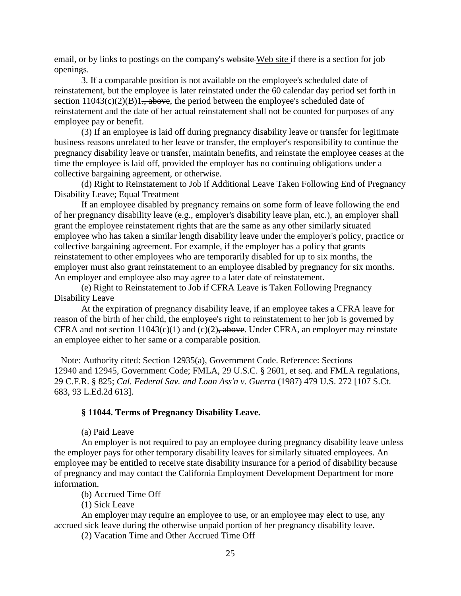email, or by links to postings on the company's website Web site if there is a section for job openings.

3. If a comparable position is not available on the employee's scheduled date of reinstatement, but the employee is later reinstated under the 60 calendar day period set forth in section  $11043(c)(2)(B)1$ , above, the period between the employee's scheduled date of reinstatement and the date of her actual reinstatement shall not be counted for purposes of any employee pay or benefit.

(3) If an employee is laid off during pregnancy disability leave or transfer for legitimate business reasons unrelated to her leave or transfer, the employer's responsibility to continue the pregnancy disability leave or transfer, maintain benefits, and reinstate the employee ceases at the time the employee is laid off, provided the employer has no continuing obligations under a collective bargaining agreement, or otherwise.

(d) Right to Reinstatement to Job if Additional Leave Taken Following End of Pregnancy Disability Leave; Equal Treatment

If an employee disabled by pregnancy remains on some form of leave following the end of her pregnancy disability leave (e.g., employer's disability leave plan, etc.), an employer shall grant the employee reinstatement rights that are the same as any other similarly situated employee who has taken a similar length disability leave under the employer's policy, practice or collective bargaining agreement. For example, if the employer has a policy that grants reinstatement to other employees who are temporarily disabled for up to six months, the employer must also grant reinstatement to an employee disabled by pregnancy for six months. An employer and employee also may agree to a later date of reinstatement.

(e) Right to Reinstatement to Job if CFRA Leave is Taken Following Pregnancy Disability Leave

At the expiration of pregnancy disability leave, if an employee takes a CFRA leave for reason of the birth of her child, the employee's right to reinstatement to her job is governed by CFRA and not section  $11043(c)(1)$  and  $(c)(2)$ , above. Under CFRA, an employer may reinstate an employee either to her same or a comparable position.

Note: Authority cited: Section 12935(a), Government Code. Reference: Sections 12940 and 12945, Government Code; FMLA, 29 U.S.C. § 2601, et seq. and FMLA regulations, 29 C.F.R. § 825; *Cal. Federal Sav. and Loan Ass'n v. Guerra* (1987) 479 U.S. 272 [107 S.Ct. 683, 93 L.Ed.2d 613].

#### **§ 11044. Terms of Pregnancy Disability Leave.**

(a) Paid Leave

An employer is not required to pay an employee during pregnancy disability leave unless the employer pays for other temporary disability leaves for similarly situated employees. An employee may be entitled to receive state disability insurance for a period of disability because of pregnancy and may contact the California Employment Development Department for more information.

(b) Accrued Time Off

(1) Sick Leave

An employer may require an employee to use, or an employee may elect to use, any accrued sick leave during the otherwise unpaid portion of her pregnancy disability leave.

(2) Vacation Time and Other Accrued Time Off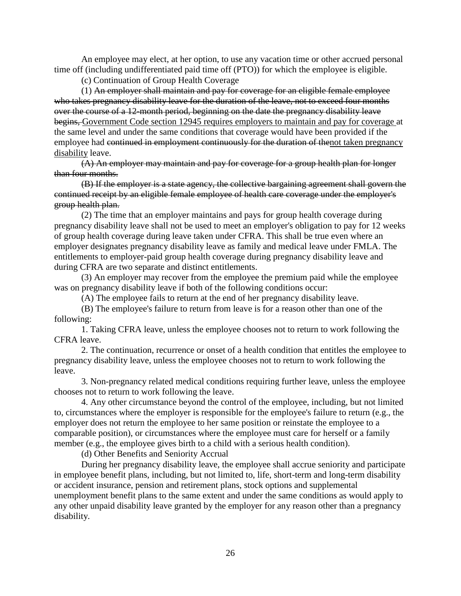An employee may elect, at her option, to use any vacation time or other accrued personal time off (including undifferentiated paid time off (PTO)) for which the employee is eligible.

(c) Continuation of Group Health Coverage

(1) An employer shall maintain and pay for coverage for an eligible female employee who takes pregnancy disability leave for the duration of the leave, not to exceed four months over the course of a 12-month period, beginning on the date the pregnancy disability leave begins, Government Code section 12945 requires employers to maintain and pay for coverage at the same level and under the same conditions that coverage would have been provided if the employee had continued in employment continuously for the duration of thenot taken pregnancy disability leave.

(A) An employer may maintain and pay for coverage for a group health plan for longer than four months.

(B) If the employer is a state agency, the collective bargaining agreement shall govern the continued receipt by an eligible female employee of health care coverage under the employer's group health plan.

(2) The time that an employer maintains and pays for group health coverage during pregnancy disability leave shall not be used to meet an employer's obligation to pay for 12 weeks of group health coverage during leave taken under CFRA. This shall be true even where an employer designates pregnancy disability leave as family and medical leave under FMLA. The entitlements to employer-paid group health coverage during pregnancy disability leave and during CFRA are two separate and distinct entitlements.

(3) An employer may recover from the employee the premium paid while the employee was on pregnancy disability leave if both of the following conditions occur:

(A) The employee fails to return at the end of her pregnancy disability leave.

(B) The employee's failure to return from leave is for a reason other than one of the following:

1. Taking CFRA leave, unless the employee chooses not to return to work following the CFRA leave.

2. The continuation, recurrence or onset of a health condition that entitles the employee to pregnancy disability leave, unless the employee chooses not to return to work following the leave.

3. Non-pregnancy related medical conditions requiring further leave, unless the employee chooses not to return to work following the leave.

4. Any other circumstance beyond the control of the employee, including, but not limited to, circumstances where the employer is responsible for the employee's failure to return (e.g., the employer does not return the employee to her same position or reinstate the employee to a comparable position), or circumstances where the employee must care for herself or a family member (e.g., the employee gives birth to a child with a serious health condition).

(d) Other Benefits and Seniority Accrual

During her pregnancy disability leave, the employee shall accrue seniority and participate in employee benefit plans, including, but not limited to, life, short-term and long-term disability or accident insurance, pension and retirement plans, stock options and supplemental unemployment benefit plans to the same extent and under the same conditions as would apply to any other unpaid disability leave granted by the employer for any reason other than a pregnancy disability.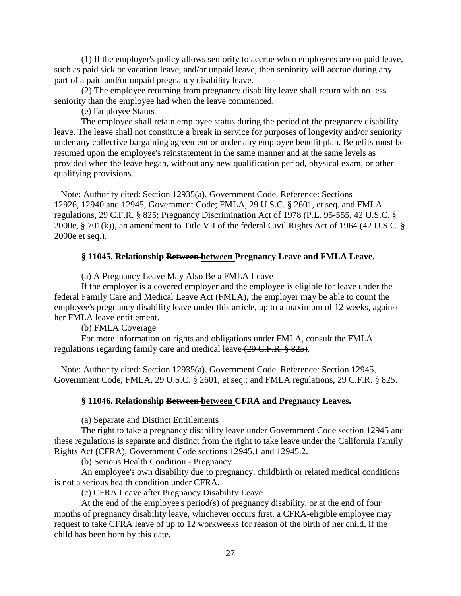(1) If the employer's policy allows seniority to accrue when employees are on paid leave, such as paid sick or vacation leave, and/or unpaid leave, then seniority will accrue during any part of a paid and/or unpaid pregnancy disability leave.

(2) The employee returning from pregnancy disability leave shall return with no less seniority than the employee had when the leave commenced.

(e) Employee Status

The employee shall retain employee status during the period of the pregnancy disability leave. The leave shall not constitute a break in service for purposes of longevity and/or seniority under any collective bargaining agreement or under any employee benefit plan. Benefits must be resumed upon the employee's reinstatement in the same manner and at the same levels as provided when the leave began, without any new qualification period, physical exam, or other qualifying provisions.

Note: Authority cited: Section 12935(a), Government Code. Reference: Sections 12926, 12940 and 12945, Government Code; FMLA, 29 U.S.C. § 2601, et seq. and FMLA regulations, 29 C.F.R. § 825; Pregnancy Discrimination Act of 1978 (P.L. 95-555, 42 U.S.C. § 2000e, § 701(k)), an amendment to Title VII of the federal Civil Rights Act of 1964 (42 U.S.C. § 2000e et seq.).

## **§ 11045. Relationship Between between Pregnancy Leave and FMLA Leave.**

(a) A Pregnancy Leave May Also Be a FMLA Leave

If the employer is a covered employer and the employee is eligible for leave under the federal Family Care and Medical Leave Act (FMLA), the employer may be able to count the employee's pregnancy disability leave under this article, up to a maximum of 12 weeks, against her FMLA leave entitlement.

(b) FMLA Coverage

For more information on rights and obligations under FMLA, consult the FMLA regulations regarding family care and medical leave (29 C.F.R. § 825).

Note: Authority cited: Section 12935(a), Government Code. Reference: Section 12945, Government Code; FMLA, 29 U.S.C. § 2601, et seq.; and FMLA regulations, 29 C.F.R. § 825.

### **§ 11046. Relationship Between between CFRA and Pregnancy Leaves.**

(a) Separate and Distinct Entitlements

The right to take a pregnancy disability leave under Government Code section 12945 and these regulations is separate and distinct from the right to take leave under the California Family Rights Act (CFRA), Government Code sections 12945.1 and 12945.2.

(b) Serious Health Condition - Pregnancy

An employee's own disability due to pregnancy, childbirth or related medical conditions is not a serious health condition under CFRA.

(c) CFRA Leave after Pregnancy Disability Leave

At the end of the employee's period(s) of pregnancy disability, or at the end of four months of pregnancy disability leave, whichever occurs first, a CFRA-eligible employee may request to take CFRA leave of up to 12 workweeks for reason of the birth of her child, if the child has been born by this date.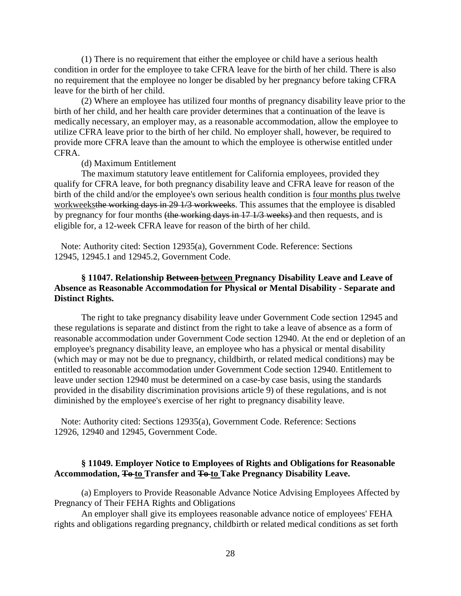(1) There is no requirement that either the employee or child have a serious health condition in order for the employee to take CFRA leave for the birth of her child. There is also no requirement that the employee no longer be disabled by her pregnancy before taking CFRA leave for the birth of her child.

(2) Where an employee has utilized four months of pregnancy disability leave prior to the birth of her child, and her health care provider determines that a continuation of the leave is medically necessary, an employer may, as a reasonable accommodation, allow the employee to utilize CFRA leave prior to the birth of her child. No employer shall, however, be required to provide more CFRA leave than the amount to which the employee is otherwise entitled under CFRA.

#### (d) Maximum Entitlement

The maximum statutory leave entitlement for California employees, provided they qualify for CFRA leave, for both pregnancy disability leave and CFRA leave for reason of the birth of the child and/or the employee's own serious health condition is four months plus twelve workweeksthe working days in 29 1/3 workweeks. This assumes that the employee is disabled by pregnancy for four months (the working days in 17 1/3 weeks) and then requests, and is eligible for, a 12-week CFRA leave for reason of the birth of her child.

Note: Authority cited: Section 12935(a), Government Code. Reference: Sections 12945, 12945.1 and 12945.2, Government Code.

# **§ 11047. Relationship Between between Pregnancy Disability Leave and Leave of Absence as Reasonable Accommodation for Physical or Mental Disability - Separate and Distinct Rights.**

The right to take pregnancy disability leave under Government Code section 12945 and these regulations is separate and distinct from the right to take a leave of absence as a form of reasonable accommodation under Government Code section 12940. At the end or depletion of an employee's pregnancy disability leave, an employee who has a physical or mental disability (which may or may not be due to pregnancy, childbirth, or related medical conditions) may be entitled to reasonable accommodation under Government Code section 12940. Entitlement to leave under section 12940 must be determined on a case-by case basis, using the standards provided in the disability discrimination provisions article 9) of these regulations, and is not diminished by the employee's exercise of her right to pregnancy disability leave.

Note: Authority cited: Sections 12935(a), Government Code. Reference: Sections 12926, 12940 and 12945, Government Code.

### **§ 11049. Employer Notice to Employees of Rights and Obligations for Reasonable Accommodation, To to Transfer and To to Take Pregnancy Disability Leave.**

(a) Employers to Provide Reasonable Advance Notice Advising Employees Affected by Pregnancy of Their FEHA Rights and Obligations

An employer shall give its employees reasonable advance notice of employees' FEHA rights and obligations regarding pregnancy, childbirth or related medical conditions as set forth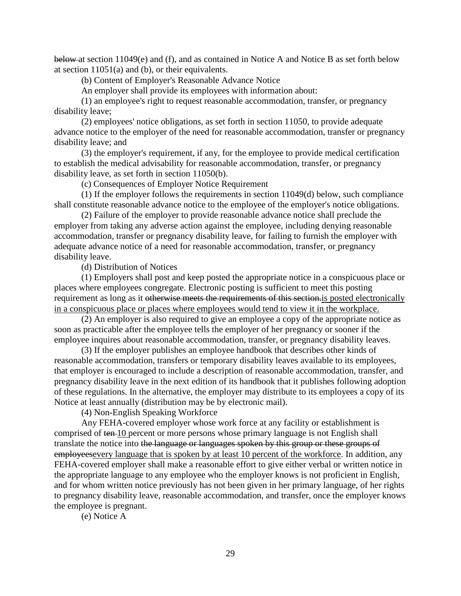below at section  $11049(e)$  and (f), and as contained in Notice A and Notice B as set forth below at section 11051(a) and (b), or their equivalents.

(b) Content of Employer's Reasonable Advance Notice

An employer shall provide its employees with information about:

(1) an employee's right to request reasonable accommodation, transfer, or pregnancy disability leave;

(2) employees' notice obligations, as set forth in section 11050, to provide adequate advance notice to the employer of the need for reasonable accommodation, transfer or pregnancy disability leave; and

(3) the employer's requirement, if any, for the employee to provide medical certification to establish the medical advisability for reasonable accommodation, transfer, or pregnancy disability leave, as set forth in section 11050(b).

(c) Consequences of Employer Notice Requirement

(1) If the employer follows the requirements in section 11049(d) below, such compliance shall constitute reasonable advance notice to the employee of the employer's notice obligations.

(2) Failure of the employer to provide reasonable advance notice shall preclude the employer from taking any adverse action against the employee, including denying reasonable accommodation, transfer or pregnancy disability leave, for failing to furnish the employer with adequate advance notice of a need for reasonable accommodation, transfer, or pregnancy disability leave.

(d) Distribution of Notices

(1) Employers shall post and keep posted the appropriate notice in a conspicuous place or places where employees congregate. Electronic posting is sufficient to meet this posting requirement as long as it otherwise meets the requirements of this section.is posted electronically in a conspicuous place or places where employees would tend to view it in the workplace.

(2) An employer is also required to give an employee a copy of the appropriate notice as soon as practicable after the employee tells the employer of her pregnancy or sooner if the employee inquires about reasonable accommodation, transfer, or pregnancy disability leaves.

(3) If the employer publishes an employee handbook that describes other kinds of reasonable accommodation, transfers or temporary disability leaves available to its employees, that employer is encouraged to include a description of reasonable accommodation, transfer, and pregnancy disability leave in the next edition of its handbook that it publishes following adoption of these regulations. In the alternative, the employer may distribute to its employees a copy of its Notice at least annually (distribution may be by electronic mail).

(4) Non-English Speaking Workforce

Any FEHA-covered employer whose work force at any facility or establishment is comprised of ten 10 percent or more persons whose primary language is not English shall translate the notice into the language or languages spoken by this group or these groups of employeesevery language that is spoken by at least 10 percent of the workforce. In addition, any FEHA-covered employer shall make a reasonable effort to give either verbal or written notice in the appropriate language to any employee who the employer knows is not proficient in English, and for whom written notice previously has not been given in her primary language, of her rights to pregnancy disability leave, reasonable accommodation, and transfer, once the employer knows the employee is pregnant.

(e) Notice A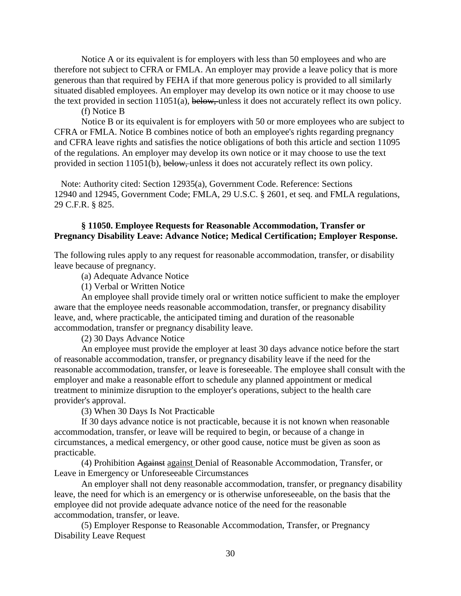Notice A or its equivalent is for employers with less than 50 employees and who are therefore not subject to CFRA or FMLA. An employer may provide a leave policy that is more generous than that required by FEHA if that more generous policy is provided to all similarly situated disabled employees. An employer may develop its own notice or it may choose to use the text provided in section 11051(a), below, unless it does not accurately reflect its own policy.

(f) Notice B

Notice B or its equivalent is for employers with 50 or more employees who are subject to CFRA or FMLA. Notice B combines notice of both an employee's rights regarding pregnancy and CFRA leave rights and satisfies the notice obligations of both this article and section 11095 of the regulations. An employer may develop its own notice or it may choose to use the text provided in section 11051(b), below, unless it does not accurately reflect its own policy.

Note: Authority cited: Section 12935(a), Government Code. Reference: Sections 12940 and 12945, Government Code; FMLA, 29 U.S.C. § 2601, et seq. and FMLA regulations, 29 C.F.R. § 825.

## **§ 11050. Employee Requests for Reasonable Accommodation, Transfer or Pregnancy Disability Leave: Advance Notice; Medical Certification; Employer Response.**

The following rules apply to any request for reasonable accommodation, transfer, or disability leave because of pregnancy.

(a) Adequate Advance Notice

(1) Verbal or Written Notice

An employee shall provide timely oral or written notice sufficient to make the employer aware that the employee needs reasonable accommodation, transfer, or pregnancy disability leave, and, where practicable, the anticipated timing and duration of the reasonable accommodation, transfer or pregnancy disability leave.

(2) 30 Days Advance Notice

An employee must provide the employer at least 30 days advance notice before the start of reasonable accommodation, transfer, or pregnancy disability leave if the need for the reasonable accommodation, transfer, or leave is foreseeable. The employee shall consult with the employer and make a reasonable effort to schedule any planned appointment or medical treatment to minimize disruption to the employer's operations, subject to the health care provider's approval.

(3) When 30 Days Is Not Practicable

If 30 days advance notice is not practicable, because it is not known when reasonable accommodation, transfer, or leave will be required to begin, or because of a change in circumstances, a medical emergency, or other good cause, notice must be given as soon as practicable.

(4) Prohibition Against against Denial of Reasonable Accommodation, Transfer, or Leave in Emergency or Unforeseeable Circumstances

An employer shall not deny reasonable accommodation, transfer, or pregnancy disability leave, the need for which is an emergency or is otherwise unforeseeable, on the basis that the employee did not provide adequate advance notice of the need for the reasonable accommodation, transfer, or leave.

(5) Employer Response to Reasonable Accommodation, Transfer, or Pregnancy Disability Leave Request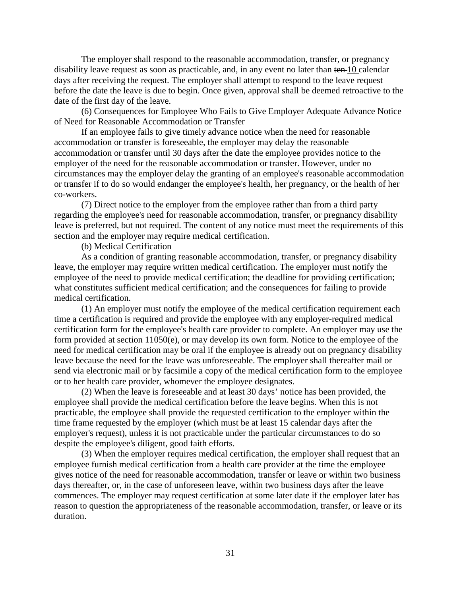The employer shall respond to the reasonable accommodation, transfer, or pregnancy disability leave request as soon as practicable, and, in any event no later than ten 10 calendar days after receiving the request. The employer shall attempt to respond to the leave request before the date the leave is due to begin. Once given, approval shall be deemed retroactive to the date of the first day of the leave.

(6) Consequences for Employee Who Fails to Give Employer Adequate Advance Notice of Need for Reasonable Accommodation or Transfer

If an employee fails to give timely advance notice when the need for reasonable accommodation or transfer is foreseeable, the employer may delay the reasonable accommodation or transfer until 30 days after the date the employee provides notice to the employer of the need for the reasonable accommodation or transfer. However, under no circumstances may the employer delay the granting of an employee's reasonable accommodation or transfer if to do so would endanger the employee's health, her pregnancy, or the health of her co-workers.

(7) Direct notice to the employer from the employee rather than from a third party regarding the employee's need for reasonable accommodation, transfer, or pregnancy disability leave is preferred, but not required. The content of any notice must meet the requirements of this section and the employer may require medical certification.

(b) Medical Certification

As a condition of granting reasonable accommodation, transfer, or pregnancy disability leave, the employer may require written medical certification. The employer must notify the employee of the need to provide medical certification; the deadline for providing certification; what constitutes sufficient medical certification; and the consequences for failing to provide medical certification.

(1) An employer must notify the employee of the medical certification requirement each time a certification is required and provide the employee with any employer-required medical certification form for the employee's health care provider to complete. An employer may use the form provided at section 11050(e), or may develop its own form. Notice to the employee of the need for medical certification may be oral if the employee is already out on pregnancy disability leave because the need for the leave was unforeseeable. The employer shall thereafter mail or send via electronic mail or by facsimile a copy of the medical certification form to the employee or to her health care provider, whomever the employee designates.

(2) When the leave is foreseeable and at least 30 days' notice has been provided, the employee shall provide the medical certification before the leave begins. When this is not practicable, the employee shall provide the requested certification to the employer within the time frame requested by the employer (which must be at least 15 calendar days after the employer's request), unless it is not practicable under the particular circumstances to do so despite the employee's diligent, good faith efforts.

(3) When the employer requires medical certification, the employer shall request that an employee furnish medical certification from a health care provider at the time the employee gives notice of the need for reasonable accommodation, transfer or leave or within two business days thereafter, or, in the case of unforeseen leave, within two business days after the leave commences. The employer may request certification at some later date if the employer later has reason to question the appropriateness of the reasonable accommodation, transfer, or leave or its duration.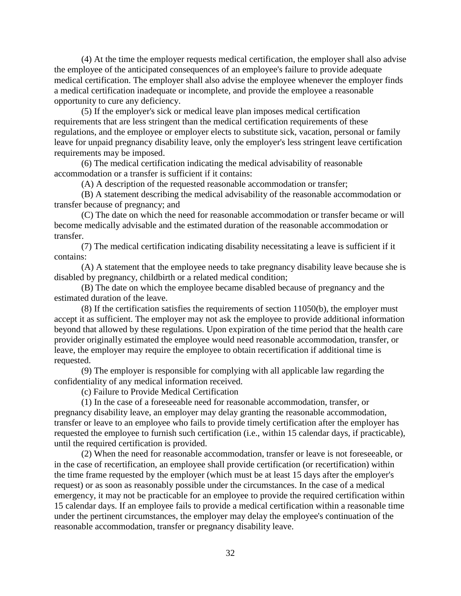(4) At the time the employer requests medical certification, the employer shall also advise the employee of the anticipated consequences of an employee's failure to provide adequate medical certification. The employer shall also advise the employee whenever the employer finds a medical certification inadequate or incomplete, and provide the employee a reasonable opportunity to cure any deficiency.

(5) If the employer's sick or medical leave plan imposes medical certification requirements that are less stringent than the medical certification requirements of these regulations, and the employee or employer elects to substitute sick, vacation, personal or family leave for unpaid pregnancy disability leave, only the employer's less stringent leave certification requirements may be imposed.

(6) The medical certification indicating the medical advisability of reasonable accommodation or a transfer is sufficient if it contains:

(A) A description of the requested reasonable accommodation or transfer;

(B) A statement describing the medical advisability of the reasonable accommodation or transfer because of pregnancy; and

(C) The date on which the need for reasonable accommodation or transfer became or will become medically advisable and the estimated duration of the reasonable accommodation or transfer.

(7) The medical certification indicating disability necessitating a leave is sufficient if it contains:

(A) A statement that the employee needs to take pregnancy disability leave because she is disabled by pregnancy, childbirth or a related medical condition;

(B) The date on which the employee became disabled because of pregnancy and the estimated duration of the leave.

(8) If the certification satisfies the requirements of section 11050(b), the employer must accept it as sufficient. The employer may not ask the employee to provide additional information beyond that allowed by these regulations. Upon expiration of the time period that the health care provider originally estimated the employee would need reasonable accommodation, transfer, or leave, the employer may require the employee to obtain recertification if additional time is requested.

(9) The employer is responsible for complying with all applicable law regarding the confidentiality of any medical information received.

(c) Failure to Provide Medical Certification

(1) In the case of a foreseeable need for reasonable accommodation, transfer, or pregnancy disability leave, an employer may delay granting the reasonable accommodation, transfer or leave to an employee who fails to provide timely certification after the employer has requested the employee to furnish such certification (i.e., within 15 calendar days, if practicable), until the required certification is provided.

(2) When the need for reasonable accommodation, transfer or leave is not foreseeable, or in the case of recertification, an employee shall provide certification (or recertification) within the time frame requested by the employer (which must be at least 15 days after the employer's request) or as soon as reasonably possible under the circumstances. In the case of a medical emergency, it may not be practicable for an employee to provide the required certification within 15 calendar days. If an employee fails to provide a medical certification within a reasonable time under the pertinent circumstances, the employer may delay the employee's continuation of the reasonable accommodation, transfer or pregnancy disability leave.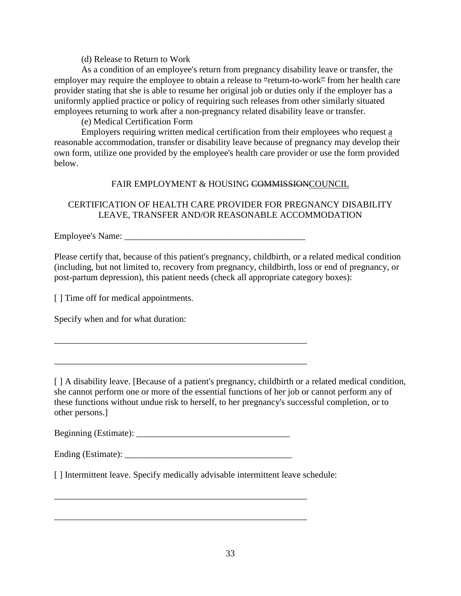(d) Release to Return to Work

As a condition of an employee's return from pregnancy disability leave or transfer, the employer may require the employee to obtain a release to "return-to-work" from her health care provider stating that she is able to resume her original job or duties only if the employer has a uniformly applied practice or policy of requiring such releases from other similarly situated employees returning to work after a non-pregnancy related disability leave or transfer.

(e) Medical Certification Form

Employers requiring written medical certification from their employees who request a reasonable accommodation, transfer or disability leave because of pregnancy may develop their own form, utilize one provided by the employee's health care provider or use the form provided below.

# FAIR EMPLOYMENT & HOUSING COMMISSIONCOUNCIL

# CERTIFICATION OF HEALTH CARE PROVIDER FOR PREGNANCY DISABILITY LEAVE, TRANSFER AND/OR REASONABLE ACCOMMODATION

Employee's Name: \_\_\_\_\_\_\_\_\_\_\_\_\_\_\_\_\_\_\_\_\_\_\_\_\_\_\_\_\_\_\_\_\_\_\_\_\_\_\_\_

\_\_\_\_\_\_\_\_\_\_\_\_\_\_\_\_\_\_\_\_\_\_\_\_\_\_\_\_\_\_\_\_\_\_\_\_\_\_\_\_\_\_\_\_\_\_\_\_\_\_\_\_\_\_\_\_

\_\_\_\_\_\_\_\_\_\_\_\_\_\_\_\_\_\_\_\_\_\_\_\_\_\_\_\_\_\_\_\_\_\_\_\_\_\_\_\_\_\_\_\_\_\_\_\_\_\_\_\_\_\_\_\_

Please certify that, because of this patient's pregnancy, childbirth, or a related medical condition (including, but not limited to, recovery from pregnancy, childbirth, loss or end of pregnancy, or post-partum depression), this patient needs (check all appropriate category boxes):

[] Time off for medical appointments.

Specify when and for what duration:

[ ] A disability leave. [Because of a patient's pregnancy, childbirth or a related medical condition, she cannot perform one or more of the essential functions of her job or cannot perform any of these functions without undue risk to herself, to her pregnancy's successful completion, or to other persons.]

Beginning (Estimate):  $\frac{1}{2}$ 

Ending (Estimate): \_\_\_\_\_\_\_\_\_\_\_\_\_\_\_\_\_\_\_\_\_\_\_\_\_\_\_\_\_\_\_\_\_\_\_\_\_

\_\_\_\_\_\_\_\_\_\_\_\_\_\_\_\_\_\_\_\_\_\_\_\_\_\_\_\_\_\_\_\_\_\_\_\_\_\_\_\_\_\_\_\_\_\_\_\_\_\_\_\_\_\_\_\_

\_\_\_\_\_\_\_\_\_\_\_\_\_\_\_\_\_\_\_\_\_\_\_\_\_\_\_\_\_\_\_\_\_\_\_\_\_\_\_\_\_\_\_\_\_\_\_\_\_\_\_\_\_\_\_\_

[] Intermittent leave. Specify medically advisable intermittent leave schedule: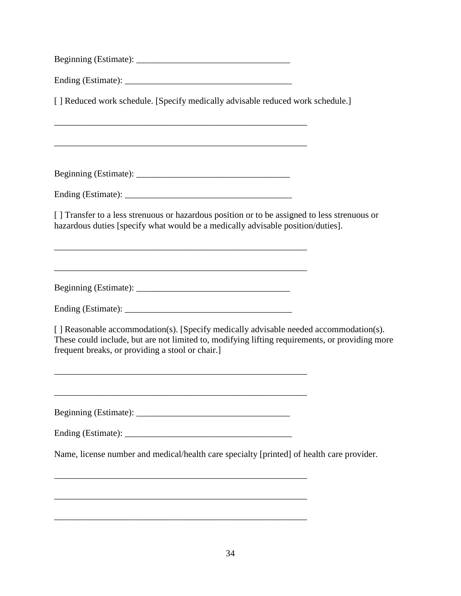Beginning (Estimate): \_\_\_\_\_\_\_\_\_\_\_\_\_\_\_\_\_\_\_\_\_\_\_\_\_\_\_\_\_\_\_\_\_\_

Ending (Estimate): \_\_\_\_\_\_\_\_\_\_\_\_\_\_\_\_\_\_\_\_\_\_\_\_\_\_\_\_\_\_\_\_\_\_\_\_\_

\_\_\_\_\_\_\_\_\_\_\_\_\_\_\_\_\_\_\_\_\_\_\_\_\_\_\_\_\_\_\_\_\_\_\_\_\_\_\_\_\_\_\_\_\_\_\_\_\_\_\_\_\_\_\_\_

\_\_\_\_\_\_\_\_\_\_\_\_\_\_\_\_\_\_\_\_\_\_\_\_\_\_\_\_\_\_\_\_\_\_\_\_\_\_\_\_\_\_\_\_\_\_\_\_\_\_\_\_\_\_\_\_

[ ] Reduced work schedule. [Specify medically advisable reduced work schedule.]

Beginning (Estimate): \_\_\_\_\_\_\_\_\_\_\_\_\_\_\_\_\_\_\_\_\_\_\_\_\_\_\_\_\_\_\_\_\_\_

Ending (Estimate): \_\_\_\_\_\_\_\_\_\_\_\_\_\_\_\_\_\_\_\_\_\_\_\_\_\_\_\_\_\_\_\_\_\_\_\_\_

[ ] Transfer to a less strenuous or hazardous position or to be assigned to less strenuous or hazardous duties [specify what would be a medically advisable position/duties].

Beginning (Estimate): \_\_\_\_\_\_\_\_\_\_\_\_\_\_\_\_\_\_\_\_\_\_\_\_\_\_\_\_\_\_\_\_\_\_

\_\_\_\_\_\_\_\_\_\_\_\_\_\_\_\_\_\_\_\_\_\_\_\_\_\_\_\_\_\_\_\_\_\_\_\_\_\_\_\_\_\_\_\_\_\_\_\_\_\_\_\_\_\_\_\_

\_\_\_\_\_\_\_\_\_\_\_\_\_\_\_\_\_\_\_\_\_\_\_\_\_\_\_\_\_\_\_\_\_\_\_\_\_\_\_\_\_\_\_\_\_\_\_\_\_\_\_\_\_\_\_\_

Ending (Estimate): \_\_\_\_\_\_\_\_\_\_\_\_\_\_\_\_\_\_\_\_\_\_\_\_\_\_\_\_\_\_\_\_\_\_\_\_\_

[ ] Reasonable accommodation(s). [Specify medically advisable needed accommodation(s). These could include, but are not limited to, modifying lifting requirements, or providing more frequent breaks, or providing a stool or chair.]

Beginning (Estimate): \_\_\_\_\_\_\_\_\_\_\_\_\_\_\_\_\_\_\_\_\_\_\_\_\_\_\_\_\_\_\_\_\_\_

\_\_\_\_\_\_\_\_\_\_\_\_\_\_\_\_\_\_\_\_\_\_\_\_\_\_\_\_\_\_\_\_\_\_\_\_\_\_\_\_\_\_\_\_\_\_\_\_\_\_\_\_\_\_\_\_

Ending (Estimate): \_\_\_\_\_\_\_\_\_\_\_\_\_\_\_\_\_\_\_\_\_\_\_\_\_\_\_\_\_\_\_\_\_\_\_\_\_

\_\_\_\_\_\_\_\_\_\_\_\_\_\_\_\_\_\_\_\_\_\_\_\_\_\_\_\_\_\_\_\_\_\_\_\_\_\_\_\_\_\_\_\_\_\_\_\_\_\_\_\_\_\_\_\_

\_\_\_\_\_\_\_\_\_\_\_\_\_\_\_\_\_\_\_\_\_\_\_\_\_\_\_\_\_\_\_\_\_\_\_\_\_\_\_\_\_\_\_\_\_\_\_\_\_\_\_\_\_\_\_\_

\_\_\_\_\_\_\_\_\_\_\_\_\_\_\_\_\_\_\_\_\_\_\_\_\_\_\_\_\_\_\_\_\_\_\_\_\_\_\_\_\_\_\_\_\_\_\_\_\_\_\_\_\_\_\_\_

Name, license number and medical/health care specialty [printed] of health care provider.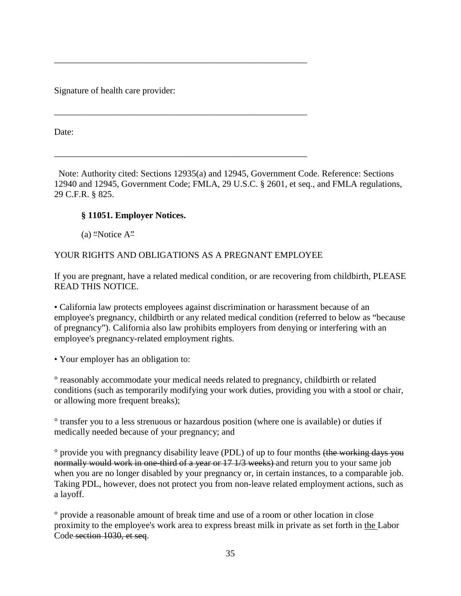Signature of health care provider:

Date:

 Note: Authority cited: Sections 12935(a) and 12945, Government Code. Reference: Sections 12940 and 12945, Government Code; FMLA, 29 U.S.C. § 2601, et seq., and FMLA regulations, 29 C.F.R. § 825.

# **§ 11051. Employer Notices.**

(a) "Notice  $A$ "

# YOUR RIGHTS AND OBLIGATIONS AS A PREGNANT EMPLOYEE

\_\_\_\_\_\_\_\_\_\_\_\_\_\_\_\_\_\_\_\_\_\_\_\_\_\_\_\_\_\_\_\_\_\_\_\_\_\_\_\_\_\_\_\_\_\_\_\_\_\_\_\_\_\_\_\_

\_\_\_\_\_\_\_\_\_\_\_\_\_\_\_\_\_\_\_\_\_\_\_\_\_\_\_\_\_\_\_\_\_\_\_\_\_\_\_\_\_\_\_\_\_\_\_\_\_\_\_\_\_\_\_\_

\_\_\_\_\_\_\_\_\_\_\_\_\_\_\_\_\_\_\_\_\_\_\_\_\_\_\_\_\_\_\_\_\_\_\_\_\_\_\_\_\_\_\_\_\_\_\_\_\_\_\_\_\_\_\_\_

If you are pregnant, have a related medical condition, or are recovering from childbirth, PLEASE READ THIS NOTICE.

• California law protects employees against discrimination or harassment because of an employee's pregnancy, childbirth or any related medical condition (referred to below as "because of pregnancy"). California also law prohibits employers from denying or interfering with an employee's pregnancy-related employment rights.

• Your employer has an obligation to:

° reasonably accommodate your medical needs related to pregnancy, childbirth or related conditions (such as temporarily modifying your work duties, providing you with a stool or chair, or allowing more frequent breaks);

° transfer you to a less strenuous or hazardous position (where one is available) or duties if medically needed because of your pregnancy; and

° provide you with pregnancy disability leave (PDL) of up to four months (the working days you normally would work in one-third of a year or 17 1/3 weeks) and return you to your same job when you are no longer disabled by your pregnancy or, in certain instances, to a comparable job. Taking PDL, however, does not protect you from non-leave related employment actions, such as a layoff.

° provide a reasonable amount of break time and use of a room or other location in close proximity to the employee's work area to express breast milk in private as set forth in the Labor Code section 1030, et seq.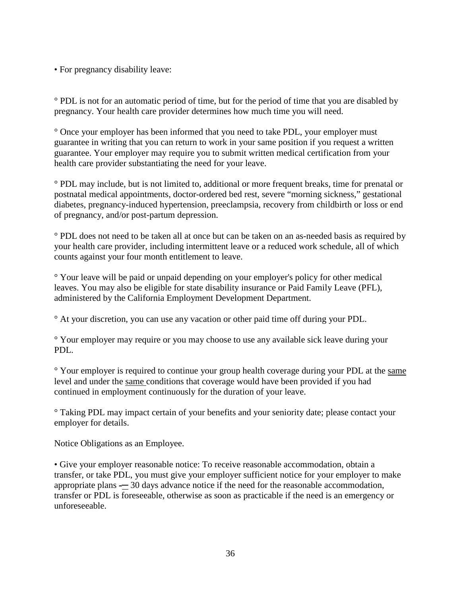• For pregnancy disability leave:

° PDL is not for an automatic period of time, but for the period of time that you are disabled by pregnancy. Your health care provider determines how much time you will need.

° Once your employer has been informed that you need to take PDL, your employer must guarantee in writing that you can return to work in your same position if you request a written guarantee. Your employer may require you to submit written medical certification from your health care provider substantiating the need for your leave.

° PDL may include, but is not limited to, additional or more frequent breaks, time for prenatal or postnatal medical appointments, doctor-ordered bed rest, severe "morning sickness," gestational diabetes, pregnancy-induced hypertension, preeclampsia, recovery from childbirth or loss or end of pregnancy, and/or post-partum depression.

° PDL does not need to be taken all at once but can be taken on an as-needed basis as required by your health care provider, including intermittent leave or a reduced work schedule, all of which counts against your four month entitlement to leave.

° Your leave will be paid or unpaid depending on your employer's policy for other medical leaves. You may also be eligible for state disability insurance or Paid Family Leave (PFL), administered by the California Employment Development Department.

° At your discretion, you can use any vacation or other paid time off during your PDL.

° Your employer may require or you may choose to use any available sick leave during your PDL.

° Your employer is required to continue your group health coverage during your PDL at the same level and under the same conditions that coverage would have been provided if you had continued in employment continuously for the duration of your leave.

° Taking PDL may impact certain of your benefits and your seniority date; please contact your employer for details.

Notice Obligations as an Employee.

• Give your employer reasonable notice: To receive reasonable accommodation, obtain a transfer, or take PDL, you must give your employer sufficient notice for your employer to make appropriate plans -─ 30 days advance notice if the need for the reasonable accommodation, transfer or PDL is foreseeable, otherwise as soon as practicable if the need is an emergency or unforeseeable.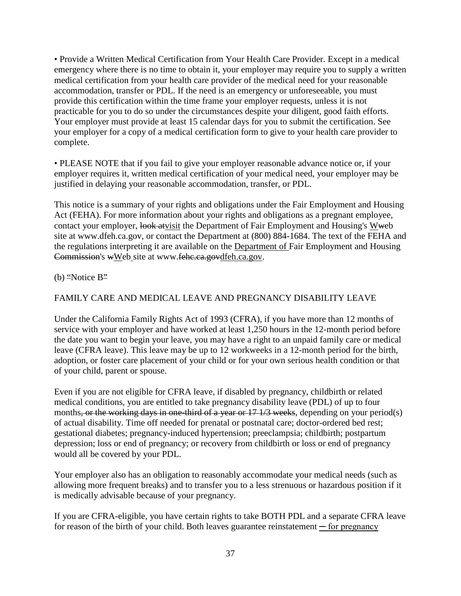• Provide a Written Medical Certification from Your Health Care Provider. Except in a medical emergency where there is no time to obtain it, your employer may require you to supply a written medical certification from your health care provider of the medical need for your reasonable accommodation, transfer or PDL. If the need is an emergency or unforeseeable, you must provide this certification within the time frame your employer requests, unless it is not practicable for you to do so under the circumstances despite your diligent, good faith efforts. Your employer must provide at least 15 calendar days for you to submit the certification. See your employer for a copy of a medical certification form to give to your health care provider to complete.

• PLEASE NOTE that if you fail to give your employer reasonable advance notice or, if your employer requires it, written medical certification of your medical need, your employer may be justified in delaying your reasonable accommodation, transfer, or PDL.

This notice is a summary of your rights and obligations under the Fair Employment and Housing Act (FEHA). For more information about your rights and obligations as a pregnant employee, contact your employer, look atvisit the Department of Fair Employment and Housing's Wweb site at www.dfeh.ca.gov, or contact the Department at (800) 884-1684. The text of the FEHA and the regulations interpreting it are available on the Department of Fair Employment and Housing Commission's wWeb site at www.fehe.ca.govdfeh.ca.gov.

(b) "Notice  $B$ "

# FAMILY CARE AND MEDICAL LEAVE AND PREGNANCY DISABILITY LEAVE

Under the California Family Rights Act of 1993 (CFRA), if you have more than 12 months of service with your employer and have worked at least 1,250 hours in the 12-month period before the date you want to begin your leave, you may have a right to an unpaid family care or medical leave (CFRA leave). This leave may be up to 12 workweeks in a 12-month period for the birth, adoption, or foster care placement of your child or for your own serious health condition or that of your child, parent or spouse.

Even if you are not eligible for CFRA leave, if disabled by pregnancy, childbirth or related medical conditions, you are entitled to take pregnancy disability leave (PDL) of up to four months, or the working days in one-third of a year or 17 1/3 weeks, depending on your period(s) of actual disability. Time off needed for prenatal or postnatal care; doctor-ordered bed rest; gestational diabetes; pregnancy-induced hypertension; preeclampsia; childbirth; postpartum depression; loss or end of pregnancy; or recovery from childbirth or loss or end of pregnancy would all be covered by your PDL.

Your employer also has an obligation to reasonably accommodate your medical needs (such as allowing more frequent breaks) and to transfer you to a less strenuous or hazardous position if it is medically advisable because of your pregnancy.

If you are CFRA-eligible, you have certain rights to take BOTH PDL and a separate CFRA leave for reason of the birth of your child. Both leaves guarantee reinstatement  $-$  for pregnancy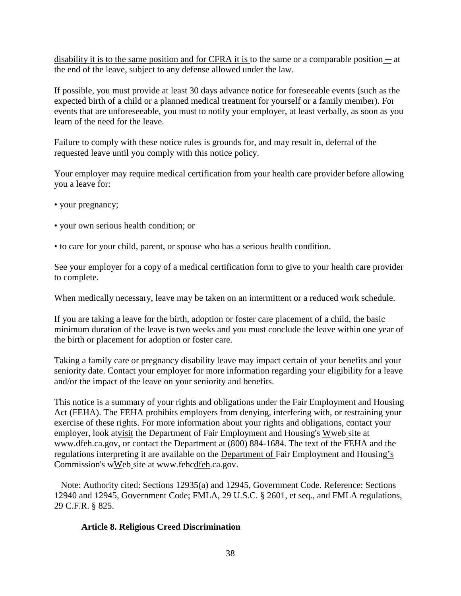disability it is to the same position and for CFRA it is to the same or a comparable position  $-\alpha t$ the end of the leave, subject to any defense allowed under the law.

If possible, you must provide at least 30 days advance notice for foreseeable events (such as the expected birth of a child or a planned medical treatment for yourself or a family member). For events that are unforeseeable, you must to notify your employer, at least verbally, as soon as you learn of the need for the leave.

Failure to comply with these notice rules is grounds for, and may result in, deferral of the requested leave until you comply with this notice policy.

Your employer may require medical certification from your health care provider before allowing you a leave for:

- your pregnancy;
- your own serious health condition; or
- to care for your child, parent, or spouse who has a serious health condition.

See your employer for a copy of a medical certification form to give to your health care provider to complete.

When medically necessary, leave may be taken on an intermittent or a reduced work schedule.

If you are taking a leave for the birth, adoption or foster care placement of a child, the basic minimum duration of the leave is two weeks and you must conclude the leave within one year of the birth or placement for adoption or foster care.

Taking a family care or pregnancy disability leave may impact certain of your benefits and your seniority date. Contact your employer for more information regarding your eligibility for a leave and/or the impact of the leave on your seniority and benefits.

This notice is a summary of your rights and obligations under the Fair Employment and Housing Act (FEHA). The FEHA prohibits employers from denying, interfering with, or restraining your exercise of these rights. For more information about your rights and obligations, contact your employer, look atvisit the Department of Fair Employment and Housing's Wweb site at www.dfeh.ca.gov, or contact the Department at (800) 884-1684. The text of the FEHA and the regulations interpreting it are available on the Department of Fair Employment and Housing's Commission's wWeb site at www.fehedfeh.ca.gov.

Note: Authority cited: Sections 12935(a) and 12945, Government Code. Reference: Sections 12940 and 12945, Government Code; FMLA, 29 U.S.C. § 2601, et seq., and FMLA regulations, 29 C.F.R. § 825.

# **Article 8. Religious Creed Discrimination**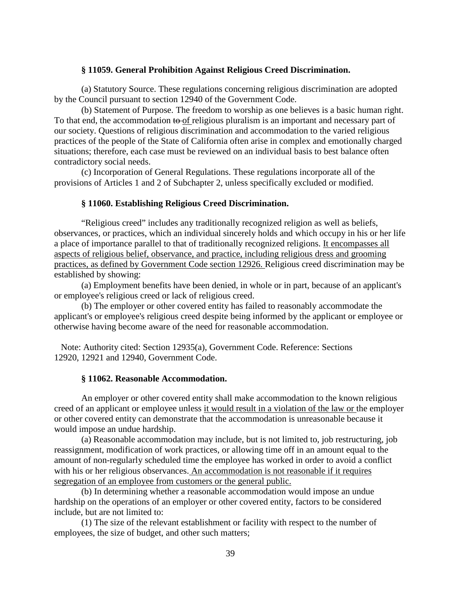### **§ 11059. General Prohibition Against Religious Creed Discrimination.**

(a) Statutory Source. These regulations concerning religious discrimination are adopted by the Council pursuant to section 12940 of the Government Code.

(b) Statement of Purpose. The freedom to worship as one believes is a basic human right. To that end, the accommodation to of religious pluralism is an important and necessary part of our society. Questions of religious discrimination and accommodation to the varied religious practices of the people of the State of California often arise in complex and emotionally charged situations; therefore, each case must be reviewed on an individual basis to best balance often contradictory social needs.

(c) Incorporation of General Regulations. These regulations incorporate all of the provisions of Articles 1 and 2 of Subchapter 2, unless specifically excluded or modified.

#### **§ 11060. Establishing Religious Creed Discrimination.**

"Religious creed" includes any traditionally recognized religion as well as beliefs, observances, or practices, which an individual sincerely holds and which occupy in his or her life a place of importance parallel to that of traditionally recognized religions. It encompasses all aspects of religious belief, observance, and practice, including religious dress and grooming practices, as defined by Government Code section 12926. Religious creed discrimination may be established by showing:

(a) Employment benefits have been denied, in whole or in part, because of an applicant's or employee's religious creed or lack of religious creed.

(b) The employer or other covered entity has failed to reasonably accommodate the applicant's or employee's religious creed despite being informed by the applicant or employee or otherwise having become aware of the need for reasonable accommodation.

Note: Authority cited: Section 12935(a), Government Code. Reference: Sections 12920, 12921 and 12940, Government Code.

#### **§ 11062. Reasonable Accommodation.**

An employer or other covered entity shall make accommodation to the known religious creed of an applicant or employee unless it would result in a violation of the law or the employer or other covered entity can demonstrate that the accommodation is unreasonable because it would impose an undue hardship.

(a) Reasonable accommodation may include, but is not limited to, job restructuring, job reassignment, modification of work practices, or allowing time off in an amount equal to the amount of non-regularly scheduled time the employee has worked in order to avoid a conflict with his or her religious observances. An accommodation is not reasonable if it requires segregation of an employee from customers or the general public.

(b) In determining whether a reasonable accommodation would impose an undue hardship on the operations of an employer or other covered entity, factors to be considered include, but are not limited to:

(1) The size of the relevant establishment or facility with respect to the number of employees, the size of budget, and other such matters;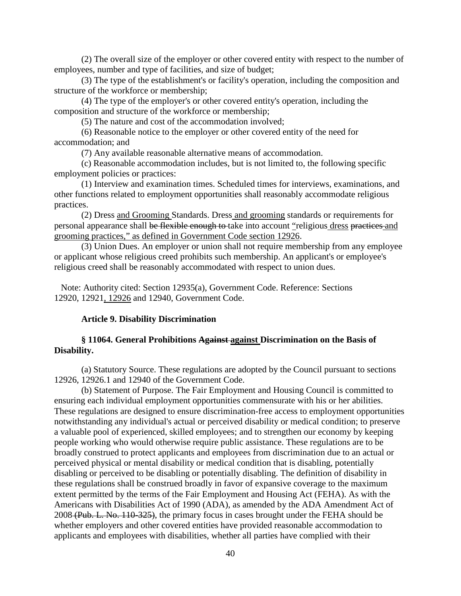(2) The overall size of the employer or other covered entity with respect to the number of employees, number and type of facilities, and size of budget;

(3) The type of the establishment's or facility's operation, including the composition and structure of the workforce or membership;

(4) The type of the employer's or other covered entity's operation, including the composition and structure of the workforce or membership;

(5) The nature and cost of the accommodation involved;

(6) Reasonable notice to the employer or other covered entity of the need for accommodation; and

(7) Any available reasonable alternative means of accommodation.

(c) Reasonable accommodation includes, but is not limited to, the following specific employment policies or practices:

(1) Interview and examination times. Scheduled times for interviews, examinations, and other functions related to employment opportunities shall reasonably accommodate religious practices.

(2) Dress and Grooming Standards. Dress and grooming standards or requirements for personal appearance shall be flexible enough to take into account "religious dress practices and grooming practices," as defined in Government Code section 12926.

(3) Union Dues. An employer or union shall not require membership from any employee or applicant whose religious creed prohibits such membership. An applicant's or employee's religious creed shall be reasonably accommodated with respect to union dues.

Note: Authority cited: Section 12935(a), Government Code. Reference: Sections 12920, 12921, 12926 and 12940, Government Code.

#### **Article 9. Disability Discrimination**

## **§ 11064. General Prohibitions Against against Discrimination on the Basis of Disability.**

(a) Statutory Source. These regulations are adopted by the Council pursuant to sections 12926, 12926.1 and 12940 of the Government Code.

(b) Statement of Purpose. The Fair Employment and Housing Council is committed to ensuring each individual employment opportunities commensurate with his or her abilities. These regulations are designed to ensure discrimination-free access to employment opportunities notwithstanding any individual's actual or perceived disability or medical condition; to preserve a valuable pool of experienced, skilled employees; and to strengthen our economy by keeping people working who would otherwise require public assistance. These regulations are to be broadly construed to protect applicants and employees from discrimination due to an actual or perceived physical or mental disability or medical condition that is disabling, potentially disabling or perceived to be disabling or potentially disabling. The definition of disability in these regulations shall be construed broadly in favor of expansive coverage to the maximum extent permitted by the terms of the Fair Employment and Housing Act (FEHA). As with the Americans with Disabilities Act of 1990 (ADA), as amended by the ADA Amendment Act of 2008 (Pub. L. No. 110-325), the primary focus in cases brought under the FEHA should be whether employers and other covered entities have provided reasonable accommodation to applicants and employees with disabilities, whether all parties have complied with their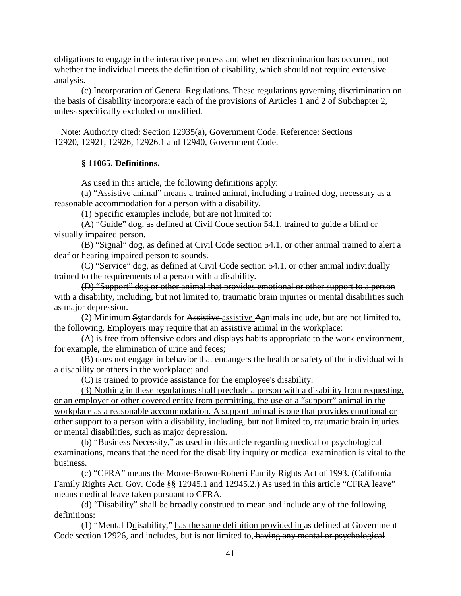obligations to engage in the interactive process and whether discrimination has occurred, not whether the individual meets the definition of disability, which should not require extensive analysis.

(c) Incorporation of General Regulations. These regulations governing discrimination on the basis of disability incorporate each of the provisions of Articles 1 and 2 of Subchapter 2, unless specifically excluded or modified.

Note: Authority cited: Section 12935(a), Government Code. Reference: Sections 12920, 12921, 12926, 12926.1 and 12940, Government Code.

### **§ 11065. Definitions.**

As used in this article, the following definitions apply:

(a) "Assistive animal" means a trained animal, including a trained dog, necessary as a reasonable accommodation for a person with a disability.

(1) Specific examples include, but are not limited to:

(A) "Guide" dog, as defined at Civil Code section 54.1, trained to guide a blind or visually impaired person.

(B) "Signal" dog, as defined at Civil Code section 54.1, or other animal trained to alert a deaf or hearing impaired person to sounds.

(C) "Service" dog, as defined at Civil Code section 54.1, or other animal individually trained to the requirements of a person with a disability.

(D) "Support" dog or other animal that provides emotional or other support to a person with a disability, including, but not limited to, traumatic brain injuries or mental disabilities such as major depression.

(2) Minimum Sstandards for Assistive assistive Aanimals include, but are not limited to, the following. Employers may require that an assistive animal in the workplace:

(A) is free from offensive odors and displays habits appropriate to the work environment, for example, the elimination of urine and feces;

(B) does not engage in behavior that endangers the health or safety of the individual with a disability or others in the workplace; and

(C) is trained to provide assistance for the employee's disability.

(3) Nothing in these regulations shall preclude a person with a disability from requesting, or an employer or other covered entity from permitting, the use of a "support" animal in the workplace as a reasonable accommodation. A support animal is one that provides emotional or other support to a person with a disability, including, but not limited to, traumatic brain injuries or mental disabilities, such as major depression.

(b) "Business Necessity," as used in this article regarding medical or psychological examinations, means that the need for the disability inquiry or medical examination is vital to the business.

(c) "CFRA" means the Moore-Brown-Roberti Family Rights Act of 1993. (California Family Rights Act, Gov. Code §§ 12945.1 and 12945.2.) As used in this article "CFRA leave" means medical leave taken pursuant to CFRA.

(d) "Disability" shall be broadly construed to mean and include any of the following definitions:

(1) "Mental Ddisability," has the same definition provided in as defined at Government Code section 12926, and includes, but is not limited to, having any mental or psychological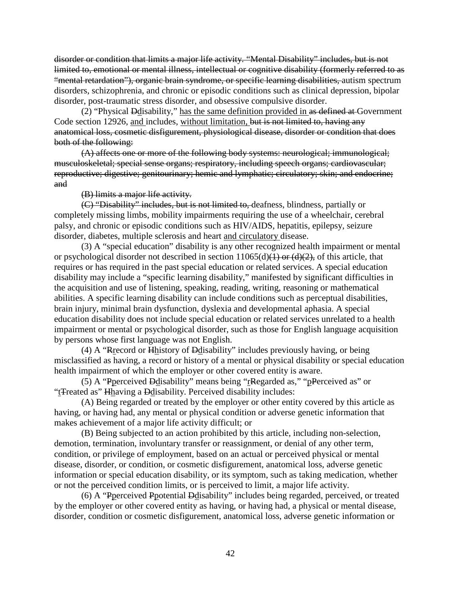disorder or condition that limits a major life activity. "Mental Disability" includes, but is not limited to, emotional or mental illness, intellectual or cognitive disability (formerly referred to as "mental retardation"), organic brain syndrome, or specific learning disabilities, autism spectrum disorders, schizophrenia, and chronic or episodic conditions such as clinical depression, bipolar disorder, post-traumatic stress disorder, and obsessive compulsive disorder.

(2) "Physical Ddisability," has the same definition provided in as defined at Government Code section 12926, and includes, without limitation, but is not limited to, having any anatomical loss, cosmetic disfigurement, physiological disease, disorder or condition that does both of the following:

(A) affects one or more of the following body systems: neurological; immunological; musculoskeletal; special sense organs; respiratory, including speech organs; cardiovascular; reproductive; digestive; genitourinary; hemic and lymphatic; circulatory; skin; and endocrine; and

(B) limits a major life activity.

(C) "Disability" includes, but is not limited to, deafness, blindness, partially or completely missing limbs, mobility impairments requiring the use of a wheelchair, cerebral palsy, and chronic or episodic conditions such as HIV/AIDS, hepatitis, epilepsy, seizure disorder, diabetes, multiple sclerosis and heart and circulatory disease.

(3) A "special education" disability is any other recognized health impairment or mental or psychological disorder not described in section  $11065(d)(1)$  or  $(d)(2)$ , of this article, that requires or has required in the past special education or related services. A special education disability may include a "specific learning disability," manifested by significant difficulties in the acquisition and use of listening, speaking, reading, writing, reasoning or mathematical abilities. A specific learning disability can include conditions such as perceptual disabilities, brain injury, minimal brain dysfunction, dyslexia and developmental aphasia. A special education disability does not include special education or related services unrelated to a health impairment or mental or psychological disorder, such as those for English language acquisition by persons whose first language was not English.

(4) A "Rrecord or Hhistory of Ddisability" includes previously having, or being misclassified as having, a record or history of a mental or physical disability or special education health impairment of which the employer or other covered entity is aware.

(5) A "Pperceived Ddisability" means being "rRegarded as," "pPerceived as" or "tTreated as" Hhaving a Ddisability. Perceived disability includes:

(A) Being regarded or treated by the employer or other entity covered by this article as having, or having had, any mental or physical condition or adverse genetic information that makes achievement of a major life activity difficult; or

(B) Being subjected to an action prohibited by this article, including non-selection, demotion, termination, involuntary transfer or reassignment, or denial of any other term, condition, or privilege of employment, based on an actual or perceived physical or mental disease, disorder, or condition, or cosmetic disfigurement, anatomical loss, adverse genetic information or special education disability, or its symptom, such as taking medication, whether or not the perceived condition limits, or is perceived to limit, a major life activity.

(6) A "Pperceived Ppotential Ddisability" includes being regarded, perceived, or treated by the employer or other covered entity as having, or having had, a physical or mental disease, disorder, condition or cosmetic disfigurement, anatomical loss, adverse genetic information or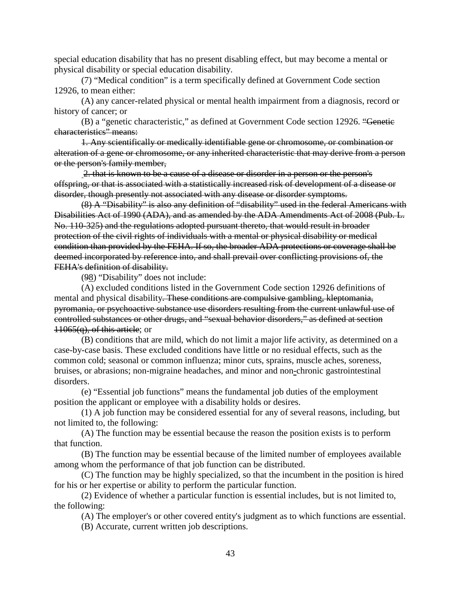special education disability that has no present disabling effect, but may become a mental or physical disability or special education disability.

(7) "Medical condition" is a term specifically defined at Government Code section 12926, to mean either:

(A) any cancer-related physical or mental health impairment from a diagnosis, record or history of cancer; or

(B) a "genetic characteristic," as defined at Government Code section 12926. "Genetic characteristics" means:

1. Any scientifically or medically identifiable gene or chromosome, or combination or alteration of a gene or chromosome, or any inherited characteristic that may derive from a person or the person's family member,

2. that is known to be a cause of a disease or disorder in a person or the person's offspring, or that is associated with a statistically increased risk of development of a disease or disorder, though presently not associated with any disease or disorder symptoms.

(8) A "Disability" is also any definition of "disability" used in the federal Americans with Disabilities Act of 1990 (ADA), and as amended by the ADA Amendments Act of 2008 (Pub. L. No. 110-325) and the regulations adopted pursuant thereto, that would result in broader protection of the civil rights of individuals with a mental or physical disability or medical condition than provided by the FEHA. If so, the broader ADA protections or coverage shall be deemed incorporated by reference into, and shall prevail over conflicting provisions of, the FEHA's definition of disability.

(98) "Disability" does not include:

(A) excluded conditions listed in the Government Code section 12926 definitions of mental and physical disability. These conditions are compulsive gambling, kleptomania, pyromania, or psychoactive substance use disorders resulting from the current unlawful use of controlled substances or other drugs, and "sexual behavior disorders," as defined at section 11065(q), of this article; or

(B) conditions that are mild, which do not limit a major life activity, as determined on a case-by-case basis. These excluded conditions have little or no residual effects, such as the common cold; seasonal or common influenza; minor cuts, sprains, muscle aches, soreness, bruises, or abrasions; non-migraine headaches, and minor and non-chronic gastrointestinal disorders.

(e) "Essential job functions" means the fundamental job duties of the employment position the applicant or employee with a disability holds or desires.

(1) A job function may be considered essential for any of several reasons, including, but not limited to, the following:

(A) The function may be essential because the reason the position exists is to perform that function.

(B) The function may be essential because of the limited number of employees available among whom the performance of that job function can be distributed.

(C) The function may be highly specialized, so that the incumbent in the position is hired for his or her expertise or ability to perform the particular function.

(2) Evidence of whether a particular function is essential includes, but is not limited to, the following:

(A) The employer's or other covered entity's judgment as to which functions are essential.

(B) Accurate, current written job descriptions.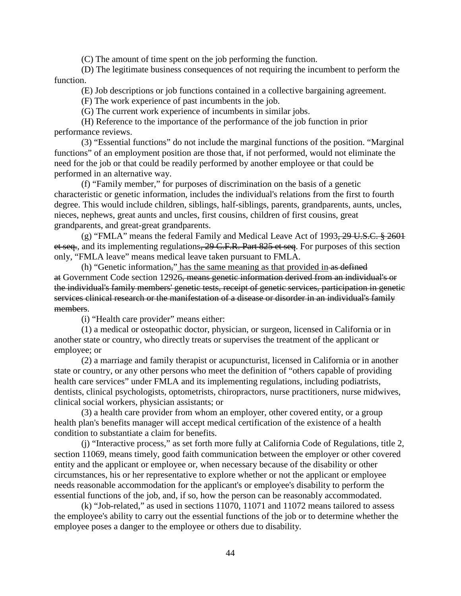(C) The amount of time spent on the job performing the function.

(D) The legitimate business consequences of not requiring the incumbent to perform the function.

(E) Job descriptions or job functions contained in a collective bargaining agreement.

(F) The work experience of past incumbents in the job.

(G) The current work experience of incumbents in similar jobs.

(H) Reference to the importance of the performance of the job function in prior performance reviews.

(3) "Essential functions" do not include the marginal functions of the position. "Marginal functions" of an employment position are those that, if not performed, would not eliminate the need for the job or that could be readily performed by another employee or that could be performed in an alternative way.

(f) "Family member," for purposes of discrimination on the basis of a genetic characteristic or genetic information, includes the individual's relations from the first to fourth degree. This would include children, siblings, half-siblings, parents, grandparents, aunts, uncles, nieces, nephews, great aunts and uncles, first cousins, children of first cousins, great grandparents, and great-great grandparents.

(g) "FMLA" means the federal Family and Medical Leave Act of 1993, 29 U.S.C. § 2601 et seq., and its implementing regulations, 29 C.F.R. Part 825 et seq. For purposes of this section only, "FMLA leave" means medical leave taken pursuant to FMLA.

(h) "Genetic information," has the same meaning as that provided in as defined at Government Code section 12926, means genetic information derived from an individual's or the individual's family members' genetic tests, receipt of genetic services, participation in genetic services clinical research or the manifestation of a disease or disorder in an individual's family members.

(i) "Health care provider" means either:

(1) a medical or osteopathic doctor, physician, or surgeon, licensed in California or in another state or country, who directly treats or supervises the treatment of the applicant or employee; or

(2) a marriage and family therapist or acupuncturist, licensed in California or in another state or country, or any other persons who meet the definition of "others capable of providing health care services" under FMLA and its implementing regulations, including podiatrists, dentists, clinical psychologists, optometrists, chiropractors, nurse practitioners, nurse midwives, clinical social workers, physician assistants; or

(3) a health care provider from whom an employer, other covered entity, or a group health plan's benefits manager will accept medical certification of the existence of a health condition to substantiate a claim for benefits.

(j) "Interactive process," as set forth more fully at California Code of Regulations, title 2, section 11069, means timely, good faith communication between the employer or other covered entity and the applicant or employee or, when necessary because of the disability or other circumstances, his or her representative to explore whether or not the applicant or employee needs reasonable accommodation for the applicant's or employee's disability to perform the essential functions of the job, and, if so, how the person can be reasonably accommodated.

(k) "Job-related," as used in sections 11070, 11071 and 11072 means tailored to assess the employee's ability to carry out the essential functions of the job or to determine whether the employee poses a danger to the employee or others due to disability.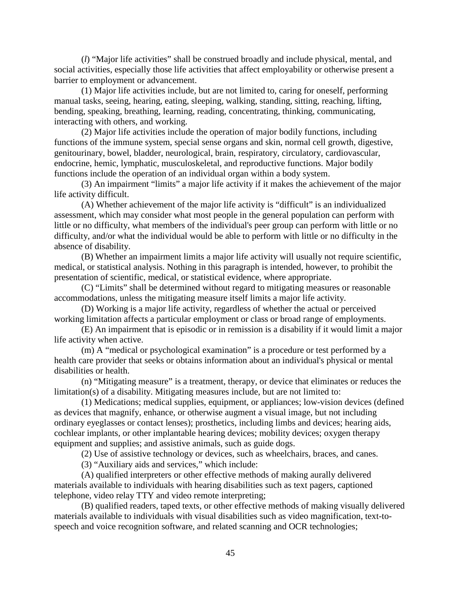(*l*) "Major life activities" shall be construed broadly and include physical, mental, and social activities, especially those life activities that affect employability or otherwise present a barrier to employment or advancement.

(1) Major life activities include, but are not limited to, caring for oneself, performing manual tasks, seeing, hearing, eating, sleeping, walking, standing, sitting, reaching, lifting, bending, speaking, breathing, learning, reading, concentrating, thinking, communicating, interacting with others, and working.

(2) Major life activities include the operation of major bodily functions, including functions of the immune system, special sense organs and skin, normal cell growth, digestive, genitourinary, bowel, bladder, neurological, brain, respiratory, circulatory, cardiovascular, endocrine, hemic, lymphatic, musculoskeletal, and reproductive functions. Major bodily functions include the operation of an individual organ within a body system.

(3) An impairment "limits" a major life activity if it makes the achievement of the major life activity difficult.

(A) Whether achievement of the major life activity is "difficult" is an individualized assessment, which may consider what most people in the general population can perform with little or no difficulty, what members of the individual's peer group can perform with little or no difficulty, and/or what the individual would be able to perform with little or no difficulty in the absence of disability.

(B) Whether an impairment limits a major life activity will usually not require scientific, medical, or statistical analysis. Nothing in this paragraph is intended, however, to prohibit the presentation of scientific, medical, or statistical evidence, where appropriate.

(C) "Limits" shall be determined without regard to mitigating measures or reasonable accommodations, unless the mitigating measure itself limits a major life activity.

(D) Working is a major life activity, regardless of whether the actual or perceived working limitation affects a particular employment or class or broad range of employments.

(E) An impairment that is episodic or in remission is a disability if it would limit a major life activity when active.

(m) A "medical or psychological examination" is a procedure or test performed by a health care provider that seeks or obtains information about an individual's physical or mental disabilities or health.

(n) "Mitigating measure" is a treatment, therapy, or device that eliminates or reduces the limitation(s) of a disability. Mitigating measures include, but are not limited to:

(1) Medications; medical supplies, equipment, or appliances; low-vision devices (defined as devices that magnify, enhance, or otherwise augment a visual image, but not including ordinary eyeglasses or contact lenses); prosthetics, including limbs and devices; hearing aids, cochlear implants, or other implantable hearing devices; mobility devices; oxygen therapy equipment and supplies; and assistive animals, such as guide dogs.

(2) Use of assistive technology or devices, such as wheelchairs, braces, and canes.

(3) "Auxiliary aids and services," which include:

(A) qualified interpreters or other effective methods of making aurally delivered materials available to individuals with hearing disabilities such as text pagers, captioned telephone, video relay TTY and video remote interpreting;

(B) qualified readers, taped texts, or other effective methods of making visually delivered materials available to individuals with visual disabilities such as video magnification, text-tospeech and voice recognition software, and related scanning and OCR technologies;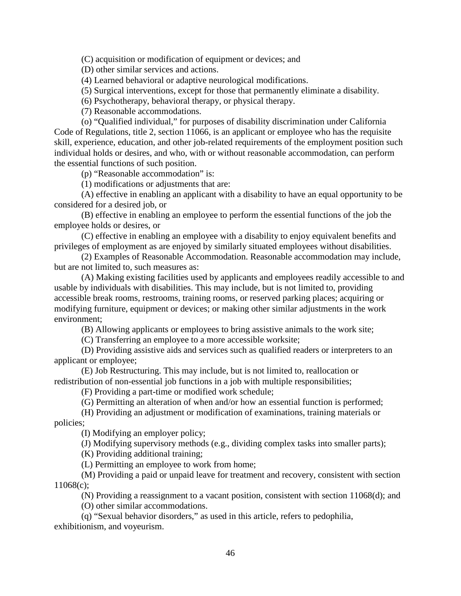(C) acquisition or modification of equipment or devices; and

(D) other similar services and actions.

(4) Learned behavioral or adaptive neurological modifications.

(5) Surgical interventions, except for those that permanently eliminate a disability.

(6) Psychotherapy, behavioral therapy, or physical therapy.

(7) Reasonable accommodations.

(o) "Qualified individual," for purposes of disability discrimination under California Code of Regulations, title 2, section 11066, is an applicant or employee who has the requisite skill, experience, education, and other job-related requirements of the employment position such individual holds or desires, and who, with or without reasonable accommodation, can perform the essential functions of such position.

(p) "Reasonable accommodation" is:

(1) modifications or adjustments that are:

(A) effective in enabling an applicant with a disability to have an equal opportunity to be considered for a desired job, or

(B) effective in enabling an employee to perform the essential functions of the job the employee holds or desires, or

(C) effective in enabling an employee with a disability to enjoy equivalent benefits and privileges of employment as are enjoyed by similarly situated employees without disabilities.

(2) Examples of Reasonable Accommodation. Reasonable accommodation may include, but are not limited to, such measures as:

(A) Making existing facilities used by applicants and employees readily accessible to and usable by individuals with disabilities. This may include, but is not limited to, providing accessible break rooms, restrooms, training rooms, or reserved parking places; acquiring or modifying furniture, equipment or devices; or making other similar adjustments in the work environment;

(B) Allowing applicants or employees to bring assistive animals to the work site;

(C) Transferring an employee to a more accessible worksite;

(D) Providing assistive aids and services such as qualified readers or interpreters to an applicant or employee;

(E) Job Restructuring. This may include, but is not limited to, reallocation or redistribution of non-essential job functions in a job with multiple responsibilities;

(F) Providing a part-time or modified work schedule;

(G) Permitting an alteration of when and/or how an essential function is performed;

(H) Providing an adjustment or modification of examinations, training materials or policies;

(I) Modifying an employer policy;

(J) Modifying supervisory methods (e.g., dividing complex tasks into smaller parts);

(K) Providing additional training;

(L) Permitting an employee to work from home;

(M) Providing a paid or unpaid leave for treatment and recovery, consistent with section 11068(c);

(N) Providing a reassignment to a vacant position, consistent with section 11068(d); and (O) other similar accommodations.

(q) "Sexual behavior disorders," as used in this article, refers to pedophilia, exhibitionism, and voyeurism.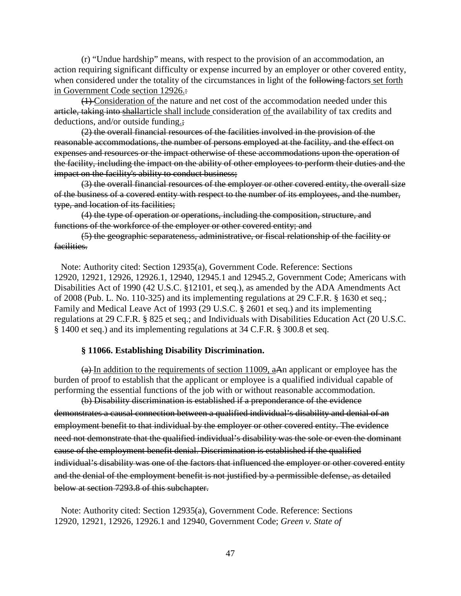(r) "Undue hardship" means, with respect to the provision of an accommodation, an action requiring significant difficulty or expense incurred by an employer or other covered entity, when considered under the totality of the circumstances in light of the following factors set forth in Government Code section 12926.:

(1) Consideration of the nature and net cost of the accommodation needed under this article, taking into shallarticle shall include consideration of the availability of tax credits and deductions, and/or outside funding.;

(2) the overall financial resources of the facilities involved in the provision of the reasonable accommodations, the number of persons employed at the facility, and the effect on expenses and resources or the impact otherwise of these accommodations upon the operation of the facility, including the impact on the ability of other employees to perform their duties and the impact on the facility's ability to conduct business;

(3) the overall financial resources of the employer or other covered entity, the overall size of the business of a covered entity with respect to the number of its employees, and the number, type, and location of its facilities;

(4) the type of operation or operations, including the composition, structure, and functions of the workforce of the employer or other covered entity; and

(5) the geographic separateness, administrative, or fiscal relationship of the facility or facilities.

Note: Authority cited: Section 12935(a), Government Code. Reference: Sections 12920, 12921, 12926, 12926.1, 12940, 12945.1 and 12945.2, Government Code; Americans with Disabilities Act of 1990 (42 U.S.C. §12101, et seq.), as amended by the ADA Amendments Act of 2008 (Pub. L. No. 110-325) and its implementing regulations at 29 C.F.R. § 1630 et seq.; Family and Medical Leave Act of 1993 (29 U.S.C. § 2601 et seq.) and its implementing regulations at 29 C.F.R. § 825 et seq.; and Individuals with Disabilities Education Act (20 U.S.C. § 1400 et seq.) and its implementing regulations at 34 C.F.R. § 300.8 et seq.

### **§ 11066. Establishing Disability Discrimination.**

 $(a)$ -In addition to the requirements of section 11009, aAn applicant or employee has the burden of proof to establish that the applicant or employee is a qualified individual capable of performing the essential functions of the job with or without reasonable accommodation.

(b) Disability discrimination is established if a preponderance of the evidence demonstrates a causal connection between a qualified individual's disability and denial of an employment benefit to that individual by the employer or other covered entity. The evidence need not demonstrate that the qualified individual's disability was the sole or even the dominant cause of the employment benefit denial. Discrimination is established if the qualified individual's disability was one of the factors that influenced the employer or other covered entity and the denial of the employment benefit is not justified by a permissible defense, as detailed below at section 7293.8 of this subchapter.

Note: Authority cited: Section 12935(a), Government Code. Reference: Sections 12920, 12921, 12926, 12926.1 and 12940, Government Code; *Green v. State of*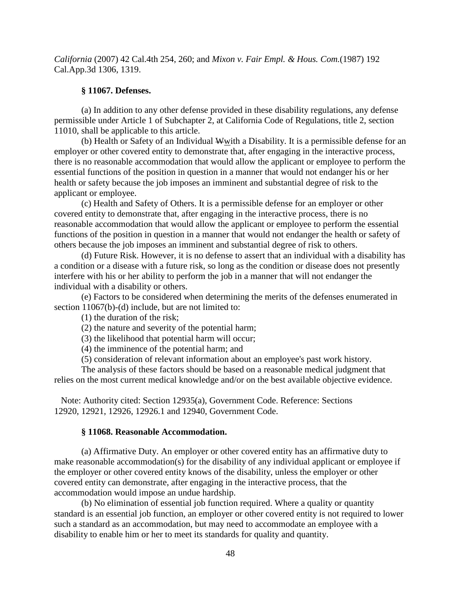*California* (2007) 42 Cal.4th 254, 260; and *Mixon v. Fair Empl. & Hous. Com.*(1987) 192 Cal.App.3d 1306, 1319.

### **§ 11067. Defenses.**

(a) In addition to any other defense provided in these disability regulations, any defense permissible under Article 1 of Subchapter 2, at California Code of Regulations, title 2, section 11010, shall be applicable to this article.

(b) Health or Safety of an Individual Wwith a Disability. It is a permissible defense for an employer or other covered entity to demonstrate that, after engaging in the interactive process, there is no reasonable accommodation that would allow the applicant or employee to perform the essential functions of the position in question in a manner that would not endanger his or her health or safety because the job imposes an imminent and substantial degree of risk to the applicant or employee.

(c) Health and Safety of Others. It is a permissible defense for an employer or other covered entity to demonstrate that, after engaging in the interactive process, there is no reasonable accommodation that would allow the applicant or employee to perform the essential functions of the position in question in a manner that would not endanger the health or safety of others because the job imposes an imminent and substantial degree of risk to others.

(d) Future Risk. However, it is no defense to assert that an individual with a disability has a condition or a disease with a future risk, so long as the condition or disease does not presently interfere with his or her ability to perform the job in a manner that will not endanger the individual with a disability or others.

(e) Factors to be considered when determining the merits of the defenses enumerated in section 11067(b)-(d) include, but are not limited to:

(1) the duration of the risk;

(2) the nature and severity of the potential harm;

(3) the likelihood that potential harm will occur;

(4) the imminence of the potential harm; and

(5) consideration of relevant information about an employee's past work history.

The analysis of these factors should be based on a reasonable medical judgment that relies on the most current medical knowledge and/or on the best available objective evidence.

Note: Authority cited: Section 12935(a), Government Code. Reference: Sections 12920, 12921, 12926, 12926.1 and 12940, Government Code.

#### **§ 11068. Reasonable Accommodation.**

(a) Affirmative Duty. An employer or other covered entity has an affirmative duty to make reasonable accommodation(s) for the disability of any individual applicant or employee if the employer or other covered entity knows of the disability, unless the employer or other covered entity can demonstrate, after engaging in the interactive process, that the accommodation would impose an undue hardship.

(b) No elimination of essential job function required. Where a quality or quantity standard is an essential job function, an employer or other covered entity is not required to lower such a standard as an accommodation, but may need to accommodate an employee with a disability to enable him or her to meet its standards for quality and quantity.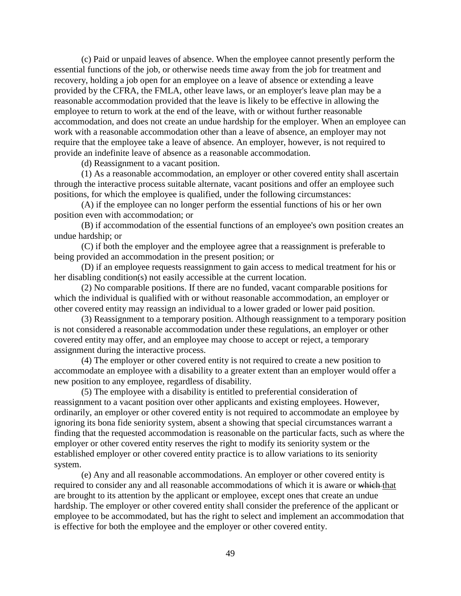(c) Paid or unpaid leaves of absence. When the employee cannot presently perform the essential functions of the job, or otherwise needs time away from the job for treatment and recovery, holding a job open for an employee on a leave of absence or extending a leave provided by the CFRA, the FMLA, other leave laws, or an employer's leave plan may be a reasonable accommodation provided that the leave is likely to be effective in allowing the employee to return to work at the end of the leave, with or without further reasonable accommodation, and does not create an undue hardship for the employer. When an employee can work with a reasonable accommodation other than a leave of absence, an employer may not require that the employee take a leave of absence. An employer, however, is not required to provide an indefinite leave of absence as a reasonable accommodation.

(d) Reassignment to a vacant position.

(1) As a reasonable accommodation, an employer or other covered entity shall ascertain through the interactive process suitable alternate, vacant positions and offer an employee such positions, for which the employee is qualified, under the following circumstances:

(A) if the employee can no longer perform the essential functions of his or her own position even with accommodation; or

(B) if accommodation of the essential functions of an employee's own position creates an undue hardship; or

(C) if both the employer and the employee agree that a reassignment is preferable to being provided an accommodation in the present position; or

(D) if an employee requests reassignment to gain access to medical treatment for his or her disabling condition(s) not easily accessible at the current location.

(2) No comparable positions. If there are no funded, vacant comparable positions for which the individual is qualified with or without reasonable accommodation, an employer or other covered entity may reassign an individual to a lower graded or lower paid position.

(3) Reassignment to a temporary position. Although reassignment to a temporary position is not considered a reasonable accommodation under these regulations, an employer or other covered entity may offer, and an employee may choose to accept or reject, a temporary assignment during the interactive process.

(4) The employer or other covered entity is not required to create a new position to accommodate an employee with a disability to a greater extent than an employer would offer a new position to any employee, regardless of disability.

(5) The employee with a disability is entitled to preferential consideration of reassignment to a vacant position over other applicants and existing employees. However, ordinarily, an employer or other covered entity is not required to accommodate an employee by ignoring its bona fide seniority system, absent a showing that special circumstances warrant a finding that the requested accommodation is reasonable on the particular facts, such as where the employer or other covered entity reserves the right to modify its seniority system or the established employer or other covered entity practice is to allow variations to its seniority system.

(e) Any and all reasonable accommodations. An employer or other covered entity is required to consider any and all reasonable accommodations of which it is aware or which that are brought to its attention by the applicant or employee, except ones that create an undue hardship. The employer or other covered entity shall consider the preference of the applicant or employee to be accommodated, but has the right to select and implement an accommodation that is effective for both the employee and the employer or other covered entity.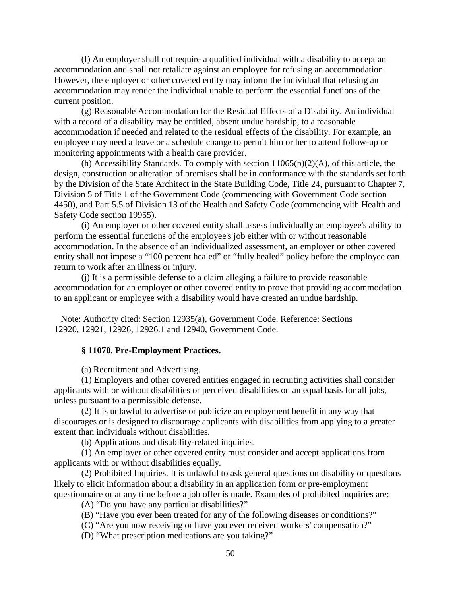(f) An employer shall not require a qualified individual with a disability to accept an accommodation and shall not retaliate against an employee for refusing an accommodation. However, the employer or other covered entity may inform the individual that refusing an accommodation may render the individual unable to perform the essential functions of the current position.

(g) Reasonable Accommodation for the Residual Effects of a Disability. An individual with a record of a disability may be entitled, absent undue hardship, to a reasonable accommodation if needed and related to the residual effects of the disability. For example, an employee may need a leave or a schedule change to permit him or her to attend follow-up or monitoring appointments with a health care provider.

(h) Accessibility Standards. To comply with section  $11065(p)(2)(A)$ , of this article, the design, construction or alteration of premises shall be in conformance with the standards set forth by the Division of the State Architect in the State Building Code, Title 24, pursuant to Chapter 7, Division 5 of Title 1 of the Government Code (commencing with Government Code section 4450), and Part 5.5 of Division 13 of the Health and Safety Code (commencing with Health and Safety Code section 19955).

(i) An employer or other covered entity shall assess individually an employee's ability to perform the essential functions of the employee's job either with or without reasonable accommodation. In the absence of an individualized assessment, an employer or other covered entity shall not impose a "100 percent healed" or "fully healed" policy before the employee can return to work after an illness or injury.

(j) It is a permissible defense to a claim alleging a failure to provide reasonable accommodation for an employer or other covered entity to prove that providing accommodation to an applicant or employee with a disability would have created an undue hardship.

Note: Authority cited: Section 12935(a), Government Code. Reference: Sections 12920, 12921, 12926, 12926.1 and 12940, Government Code.

### **§ 11070. Pre-Employment Practices.**

(a) Recruitment and Advertising.

(1) Employers and other covered entities engaged in recruiting activities shall consider applicants with or without disabilities or perceived disabilities on an equal basis for all jobs, unless pursuant to a permissible defense.

(2) It is unlawful to advertise or publicize an employment benefit in any way that discourages or is designed to discourage applicants with disabilities from applying to a greater extent than individuals without disabilities.

(b) Applications and disability-related inquiries.

(1) An employer or other covered entity must consider and accept applications from applicants with or without disabilities equally.

(2) Prohibited Inquiries. It is unlawful to ask general questions on disability or questions likely to elicit information about a disability in an application form or pre-employment questionnaire or at any time before a job offer is made. Examples of prohibited inquiries are:

(A) "Do you have any particular disabilities?"

(B) "Have you ever been treated for any of the following diseases or conditions?"

(C) "Are you now receiving or have you ever received workers' compensation?"

(D) "What prescription medications are you taking?"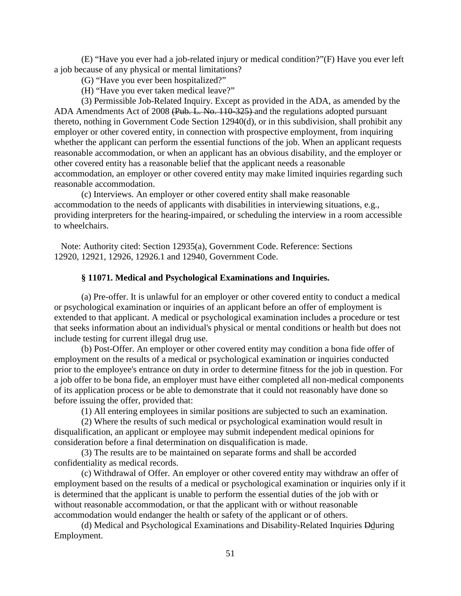(E) "Have you ever had a job-related injury or medical condition?"(F) Have you ever left a job because of any physical or mental limitations?

- (G) "Have you ever been hospitalized?"
- (H) "Have you ever taken medical leave?"

(3) Permissible Job-Related Inquiry. Except as provided in the ADA, as amended by the ADA Amendments Act of 2008 (Pub. L. No. 110-325) and the regulations adopted pursuant thereto, nothing in Government Code Section 12940(d), or in this subdivision, shall prohibit any employer or other covered entity, in connection with prospective employment, from inquiring whether the applicant can perform the essential functions of the job. When an applicant requests reasonable accommodation, or when an applicant has an obvious disability, and the employer or other covered entity has a reasonable belief that the applicant needs a reasonable accommodation, an employer or other covered entity may make limited inquiries regarding such reasonable accommodation.

(c) Interviews. An employer or other covered entity shall make reasonable accommodation to the needs of applicants with disabilities in interviewing situations, e.g., providing interpreters for the hearing-impaired, or scheduling the interview in a room accessible to wheelchairs.

Note: Authority cited: Section 12935(a), Government Code. Reference: Sections 12920, 12921, 12926, 12926.1 and 12940, Government Code.

# **§ 11071. Medical and Psychological Examinations and Inquiries.**

(a) Pre-offer. It is unlawful for an employer or other covered entity to conduct a medical or psychological examination or inquiries of an applicant before an offer of employment is extended to that applicant. A medical or psychological examination includes a procedure or test that seeks information about an individual's physical or mental conditions or health but does not include testing for current illegal drug use.

(b) Post-Offer. An employer or other covered entity may condition a bona fide offer of employment on the results of a medical or psychological examination or inquiries conducted prior to the employee's entrance on duty in order to determine fitness for the job in question. For a job offer to be bona fide, an employer must have either completed all non-medical components of its application process or be able to demonstrate that it could not reasonably have done so before issuing the offer, provided that:

(1) All entering employees in similar positions are subjected to such an examination.

(2) Where the results of such medical or psychological examination would result in disqualification, an applicant or employee may submit independent medical opinions for consideration before a final determination on disqualification is made.

(3) The results are to be maintained on separate forms and shall be accorded confidentiality as medical records.

(c) Withdrawal of Offer. An employer or other covered entity may withdraw an offer of employment based on the results of a medical or psychological examination or inquiries only if it is determined that the applicant is unable to perform the essential duties of the job with or without reasonable accommodation, or that the applicant with or without reasonable accommodation would endanger the health or safety of the applicant or of others.

(d) Medical and Psychological Examinations and Disability-Related Inquiries Dduring Employment.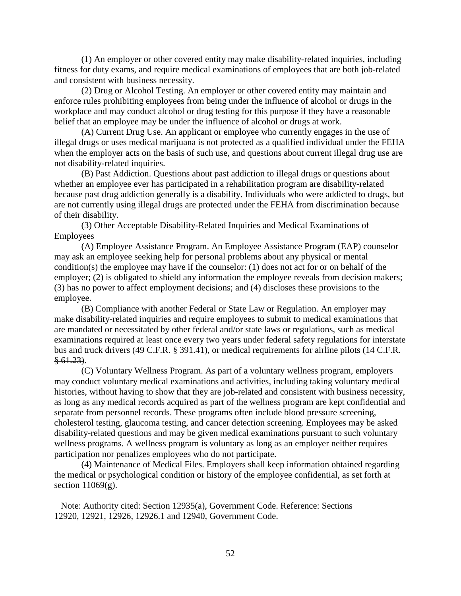(1) An employer or other covered entity may make disability-related inquiries, including fitness for duty exams, and require medical examinations of employees that are both job-related and consistent with business necessity.

(2) Drug or Alcohol Testing. An employer or other covered entity may maintain and enforce rules prohibiting employees from being under the influence of alcohol or drugs in the workplace and may conduct alcohol or drug testing for this purpose if they have a reasonable belief that an employee may be under the influence of alcohol or drugs at work.

(A) Current Drug Use. An applicant or employee who currently engages in the use of illegal drugs or uses medical marijuana is not protected as a qualified individual under the FEHA when the employer acts on the basis of such use, and questions about current illegal drug use are not disability-related inquiries.

(B) Past Addiction. Questions about past addiction to illegal drugs or questions about whether an employee ever has participated in a rehabilitation program are disability-related because past drug addiction generally is a disability. Individuals who were addicted to drugs, but are not currently using illegal drugs are protected under the FEHA from discrimination because of their disability.

(3) Other Acceptable Disability-Related Inquiries and Medical Examinations of Employees

(A) Employee Assistance Program. An Employee Assistance Program (EAP) counselor may ask an employee seeking help for personal problems about any physical or mental condition(s) the employee may have if the counselor: (1) does not act for or on behalf of the employer; (2) is obligated to shield any information the employee reveals from decision makers; (3) has no power to affect employment decisions; and (4) discloses these provisions to the employee.

(B) Compliance with another Federal or State Law or Regulation. An employer may make disability-related inquiries and require employees to submit to medical examinations that are mandated or necessitated by other federal and/or state laws or regulations, such as medical examinations required at least once every two years under federal safety regulations for interstate bus and truck drivers (49 C.F.R. § 391.41), or medical requirements for airline pilots (14 C.F.R.  $§ 61.23.$ 

(C) Voluntary Wellness Program. As part of a voluntary wellness program, employers may conduct voluntary medical examinations and activities, including taking voluntary medical histories, without having to show that they are job-related and consistent with business necessity, as long as any medical records acquired as part of the wellness program are kept confidential and separate from personnel records. These programs often include blood pressure screening, cholesterol testing, glaucoma testing, and cancer detection screening. Employees may be asked disability-related questions and may be given medical examinations pursuant to such voluntary wellness programs. A wellness program is voluntary as long as an employer neither requires participation nor penalizes employees who do not participate.

(4) Maintenance of Medical Files. Employers shall keep information obtained regarding the medical or psychological condition or history of the employee confidential, as set forth at section  $11069(g)$ .

Note: Authority cited: Section 12935(a), Government Code. Reference: Sections 12920, 12921, 12926, 12926.1 and 12940, Government Code.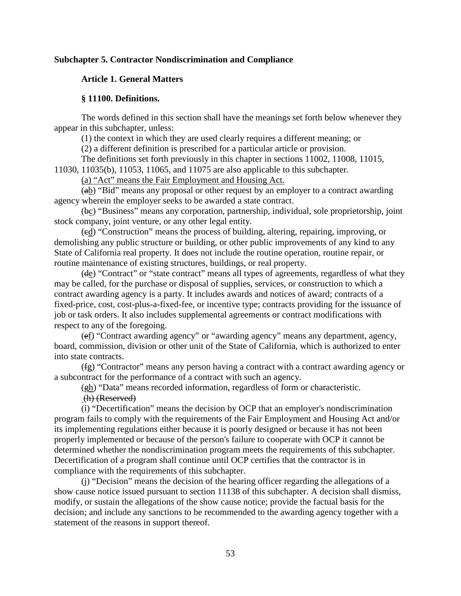### **Subchapter 5. Contractor Nondiscrimination and Compliance**

## **Article 1. General Matters**

### **§ 11100. Definitions.**

The words defined in this section shall have the meanings set forth below whenever they appear in this subchapter, unless:

(1) the context in which they are used clearly requires a different meaning; or

(2) a different definition is prescribed for a particular article or provision.

The definitions set forth previously in this chapter in sections 11002, 11008, 11015,

11030, 11035(b), 11053, 11065, and 11075 are also applicable to this subchapter.

(a) "Act" means the Fair Employment and Housing Act.

(ab) "Bid" means any proposal or other request by an employer to a contract awarding agency wherein the employer seeks to be awarded a state contract.

(bc) "Business" means any corporation, partnership, individual, sole proprietorship, joint stock company, joint venture, or any other legal entity.

(cd) "Construction" means the process of building, altering, repairing, improving, or demolishing any public structure or building, or other public improvements of any kind to any State of California real property. It does not include the routine operation, routine repair, or routine maintenance of existing structures, buildings, or real property.

(de) "Contract" or "state contract" means all types of agreements, regardless of what they may be called, for the purchase or disposal of supplies, services, or construction to which a contract awarding agency is a party. It includes awards and notices of award; contracts of a fixed-price, cost, cost-plus-a-fixed-fee, or incentive type; contracts providing for the issuance of job or task orders. It also includes supplemental agreements or contract modifications with respect to any of the foregoing.

(ef) "Contract awarding agency" or "awarding agency" means any department, agency, board, commission, division or other unit of the State of California, which is authorized to enter into state contracts.

(fg) "Contractor" means any person having a contract with a contract awarding agency or a subcontract for the performance of a contract with such an agency.

 $\frac{(\text{gh})}{(\text{gh})}$  "Data" means recorded information, regardless of form or characteristic.

(h) (Reserved)

(i) "Decertification" means the decision by OCP that an employer's nondiscrimination program fails to comply with the requirements of the Fair Employment and Housing Act and/or its implementing regulations either because it is poorly designed or because it has not been properly implemented or because of the person's failure to cooperate with OCP it cannot be determined whether the nondiscrimination program meets the requirements of this subchapter. Decertification of a program shall continue until OCP certifies that the contractor is in compliance with the requirements of this subchapter.

(j) "Decision" means the decision of the hearing officer regarding the allegations of a show cause notice issued pursuant to section 11138 of this subchapter. A decision shall dismiss, modify, or sustain the allegations of the show cause notice; provide the factual basis for the decision; and include any sanctions to be recommended to the awarding agency together with a statement of the reasons in support thereof.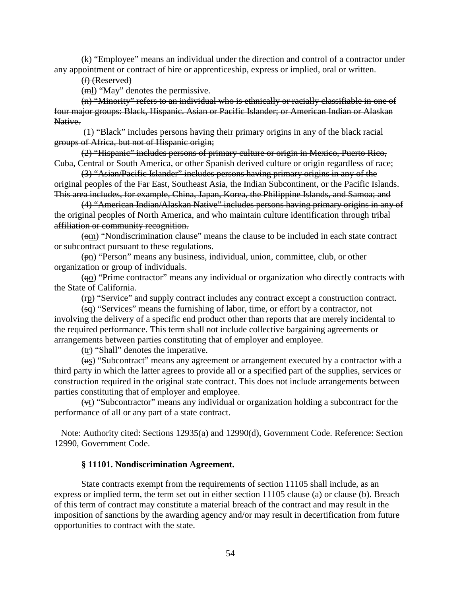(k) "Employee" means an individual under the direction and control of a contractor under any appointment or contract of hire or apprenticeship, express or implied, oral or written.

(*l*) (Reserved)

(ml) "May" denotes the permissive.

(n) "Minority" refers to an individual who is ethnically or racially classifiable in one of four major groups: Black, Hispanic. Asian or Pacific Islander; or American Indian or Alaskan Native.

(1) "Black" includes persons having their primary origins in any of the black racial groups of Africa, but not of Hispanic origin;

(2) "Hispanic" includes persons of primary culture or origin in Mexico, Puerto Rico, Cuba, Central or South America, or other Spanish derived culture or origin regardless of race;

(3) "Asian/Pacific Islander" includes persons having primary origins in any of the original peoples of the Far East, Southeast Asia, the Indian Subcontinent, or the Pacific Islands. This area includes, for example, China, Japan, Korea, the Philippine Islands, and Samoa; and

(4) "American Indian/Alaskan Native" includes persons having primary origins in any of the original peoples of North America, and who maintain culture identification through tribal affiliation or community recognition.

(om) "Nondiscrimination clause" means the clause to be included in each state contract or subcontract pursuant to these regulations.

(pn) "Person" means any business, individual, union, committee, club, or other organization or group of individuals.

(qo) "Prime contractor" means any individual or organization who directly contracts with the State of California.

(rp) "Service" and supply contract includes any contract except a construction contract.

(sq) "Services" means the furnishing of labor, time, or effort by a contractor, not involving the delivery of a specific end product other than reports that are merely incidental to the required performance. This term shall not include collective bargaining agreements or arrangements between parties constituting that of employer and employee.

(tr) "Shall" denotes the imperative.

(us) "Subcontract" means any agreement or arrangement executed by a contractor with a third party in which the latter agrees to provide all or a specified part of the supplies, services or construction required in the original state contract. This does not include arrangements between parties constituting that of employer and employee.

(vt) "Subcontractor" means any individual or organization holding a subcontract for the performance of all or any part of a state contract.

Note: Authority cited: Sections 12935(a) and 12990(d), Government Code. Reference: Section 12990, Government Code.

### **§ 11101. Nondiscrimination Agreement.**

State contracts exempt from the requirements of section 11105 shall include, as an express or implied term, the term set out in either section 11105 clause (a) or clause (b). Breach of this term of contract may constitute a material breach of the contract and may result in the imposition of sanctions by the awarding agency and/or may result in-decertification from future opportunities to contract with the state.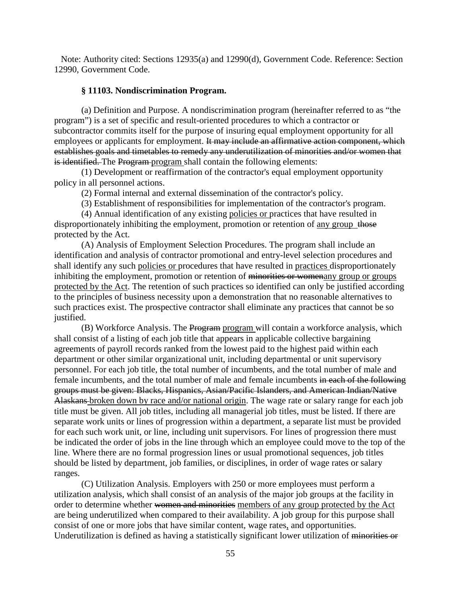Note: Authority cited: Sections 12935(a) and 12990(d), Government Code. Reference: Section 12990, Government Code.

### **§ 11103. Nondiscrimination Program.**

(a) Definition and Purpose. A nondiscrimination program (hereinafter referred to as "the program") is a set of specific and result-oriented procedures to which a contractor or subcontractor commits itself for the purpose of insuring equal employment opportunity for all employees or applicants for employment. It may include an affirmative action component, which establishes goals and timetables to remedy any underutilization of minorities and/or women that is identified. The Program program shall contain the following elements:

(1) Development or reaffirmation of the contractor's equal employment opportunity policy in all personnel actions.

(2) Formal internal and external dissemination of the contractor's policy.

(3) Establishment of responsibilities for implementation of the contractor's program.

(4) Annual identification of any existing policies or practices that have resulted in disproportionately inhibiting the employment, promotion or retention of any group those protected by the Act.

(A) Analysis of Employment Selection Procedures. The program shall include an identification and analysis of contractor promotional and entry-level selection procedures and shall identify any such policies or procedures that have resulted in practices disproportionately inhibiting the employment, promotion or retention of minorities or womenany group or groups protected by the Act. The retention of such practices so identified can only be justified according to the principles of business necessity upon a demonstration that no reasonable alternatives to such practices exist. The prospective contractor shall eliminate any practices that cannot be so justified.

(B) Workforce Analysis. The Program program will contain a workforce analysis, which shall consist of a listing of each job title that appears in applicable collective bargaining agreements of payroll records ranked from the lowest paid to the highest paid within each department or other similar organizational unit, including departmental or unit supervisory personnel. For each job title, the total number of incumbents, and the total number of male and female incumbents, and the total number of male and female incumbents in each of the following groups must be given: Blacks, Hispanics, Asian/Pacific Islanders, and American Indian/Native Alaskans broken down by race and/or national origin. The wage rate or salary range for each job title must be given. All job titles, including all managerial job titles, must be listed. If there are separate work units or lines of progression within a department, a separate list must be provided for each such work unit, or line, including unit supervisors. For lines of progression there must be indicated the order of jobs in the line through which an employee could move to the top of the line. Where there are no formal progression lines or usual promotional sequences, job titles should be listed by department, job families, or disciplines, in order of wage rates or salary ranges.

(C) Utilization Analysis. Employers with 250 or more employees must perform a utilization analysis, which shall consist of an analysis of the major job groups at the facility in order to determine whether women and minorities members of any group protected by the Act are being underutilized when compared to their availability. A job group for this purpose shall consist of one or more jobs that have similar content, wage rates, and opportunities. Underutilization is defined as having a statistically significant lower utilization of minorities or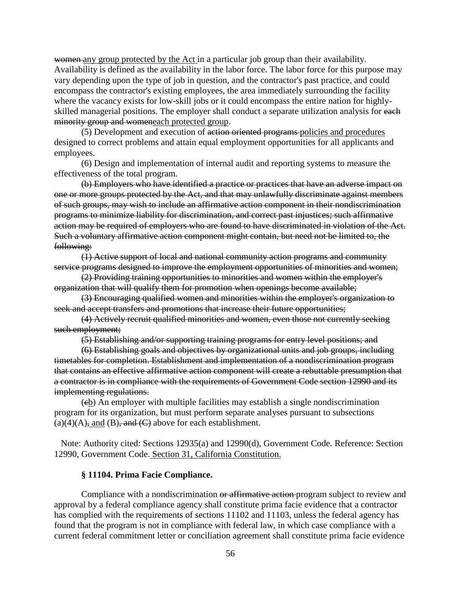women any group protected by the Act in a particular job group than their availability. Availability is defined as the availability in the labor force. The labor force for this purpose may vary depending upon the type of job in question, and the contractor's past practice, and could encompass the contractor's existing employees, the area immediately surrounding the facility where the vacancy exists for low-skill jobs or it could encompass the entire nation for highlyskilled managerial positions. The employer shall conduct a separate utilization analysis for each minority group and womeneach protected group.

(5) Development and execution of action oriented programs policies and procedures designed to correct problems and attain equal employment opportunities for all applicants and employees.

(6) Design and implementation of internal audit and reporting systems to measure the effectiveness of the total program.

(b) Employers who have identified a practice or practices that have an adverse impact on one or more groups protected by the Act, and that may unlawfully discriminate against members of such groups, may wish to include an affirmative action component in their nondiscrimination programs to minimize liability for discrimination, and correct past injustices; such affirmative action may be required of employers who are found to have discriminated in violation of the Act. Such a voluntary affirmative action component might contain, but need not be limited to, the following:

(1) Active support of local and national community action programs and community service programs designed to improve the employment opportunities of minorities and women;

(2) Providing training opportunities to minorities and women within the employer's organization that will qualify them for promotion when openings become available;

(3) Encouraging qualified women and minorities within the employer's organization to seek and accept transfers and promotions that increase their future opportunities;

(4) Actively recruit qualified minorities and women, even those not currently seeking such employment;

(5) Establishing and/or supporting training programs for entry level positions; and

(6) Establishing goals and objectives by organizational units and job groups, including timetables for completion. Establishment and implementation of a nondiscrimination program that contains an effective affirmative action component will create a rebuttable presumption that a contractor is in compliance with the requirements of Government Code section 12990 and its implementing regulations.

(cb) An employer with multiple facilities may establish a single nondiscrimination program for its organization, but must perform separate analyses pursuant to subsections  $(a)(4)(A)$ , and  $(B)$ , and  $(C)$  above for each establishment.

Note: Authority cited: Sections 12935(a) and 12990(d), Government Code. Reference: Section 12990, Government Code. Section 31, California Constitution.

#### **§ 11104. Prima Facie Compliance.**

Compliance with a nondiscrimination or affirmative action program subject to review and approval by a federal compliance agency shall constitute prima facie evidence that a contractor has complied with the requirements of sections 11102 and 11103, unless the federal agency has found that the program is not in compliance with federal law, in which case compliance with a current federal commitment letter or conciliation agreement shall constitute prima facie evidence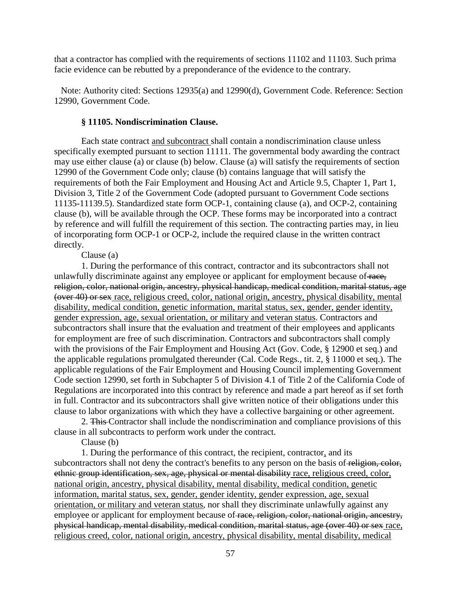that a contractor has complied with the requirements of sections 11102 and 11103. Such prima facie evidence can be rebutted by a preponderance of the evidence to the contrary.

Note: Authority cited: Sections 12935(a) and 12990(d), Government Code. Reference: Section 12990, Government Code.

### **§ 11105. Nondiscrimination Clause.**

Each state contract and subcontract shall contain a nondiscrimination clause unless specifically exempted pursuant to section 11111. The governmental body awarding the contract may use either clause (a) or clause (b) below. Clause (a) will satisfy the requirements of section 12990 of the Government Code only; clause (b) contains language that will satisfy the requirements of both the Fair Employment and Housing Act and Article 9.5, Chapter 1, Part 1, Division 3, Title 2 of the Government Code (adopted pursuant to Government Code sections 11135-11139.5). Standardized state form OCP-1, containing clause (a), and OCP-2, containing clause (b), will be available through the OCP. These forms may be incorporated into a contract by reference and will fulfill the requirement of this section. The contracting parties may, in lieu of incorporating form OCP-1 or OCP-2, include the required clause in the written contract directly.

#### Clause (a)

1. During the performance of this contract, contractor and its subcontractors shall not unlawfully discriminate against any employee or applicant for employment because of race, religion, color, national origin, ancestry, physical handicap, medical condition, marital status, age (over 40) or sex race, religious creed, color, national origin, ancestry, physical disability, mental disability, medical condition, genetic information, marital status, sex, gender, gender identity, gender expression, age, sexual orientation, or military and veteran status. Contractors and subcontractors shall insure that the evaluation and treatment of their employees and applicants for employment are free of such discrimination. Contractors and subcontractors shall comply with the provisions of the Fair Employment and Housing Act (Gov. Code, § 12900 et seq.) and the applicable regulations promulgated thereunder (Cal. Code Regs., tit. 2, § 11000 et seq.). The applicable regulations of the Fair Employment and Housing Council implementing Government Code section 12990, set forth in Subchapter 5 of Division 4.1 of Title 2 of the California Code of Regulations are incorporated into this contract by reference and made a part hereof as if set forth in full. Contractor and its subcontractors shall give written notice of their obligations under this clause to labor organizations with which they have a collective bargaining or other agreement.

2. This Contractor shall include the nondiscrimination and compliance provisions of this clause in all subcontracts to perform work under the contract.

Clause (b)

1. During the performance of this contract, the recipient, contractor, and its subcontractors shall not deny the contract's benefits to any person on the basis of religion, color, ethnic group identification, sex, age, physical or mental disability race, religious creed, color, national origin, ancestry, physical disability, mental disability, medical condition, genetic information, marital status, sex, gender, gender identity, gender expression, age, sexual orientation, or military and veteran status, nor shall they discriminate unlawfully against any employee or applicant for employment because of race, religion, color, national origin, ancestry, physical handicap, mental disability, medical condition, marital status, age (over 40) or sex race, religious creed, color, national origin, ancestry, physical disability, mental disability, medical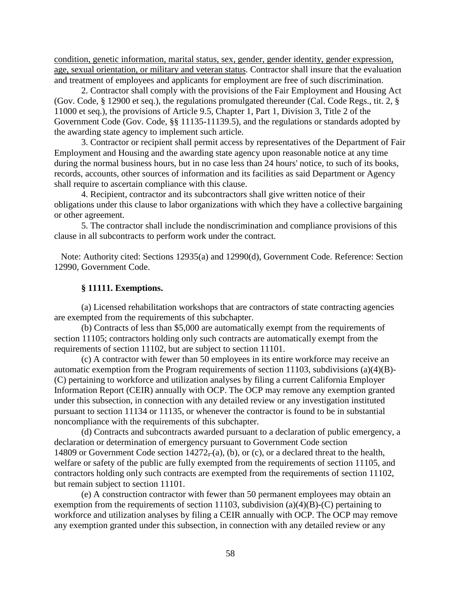condition, genetic information, marital status, sex, gender, gender identity, gender expression, age, sexual orientation, or military and veteran status. Contractor shall insure that the evaluation and treatment of employees and applicants for employment are free of such discrimination.

2. Contractor shall comply with the provisions of the Fair Employment and Housing Act (Gov. Code, § 12900 et seq.), the regulations promulgated thereunder (Cal. Code Regs., tit. 2, § 11000 et seq.), the provisions of Article 9.5, Chapter 1, Part 1, Division 3, Title 2 of the Government Code (Gov. Code, §§ 11135-11139.5), and the regulations or standards adopted by the awarding state agency to implement such article.

3. Contractor or recipient shall permit access by representatives of the Department of Fair Employment and Housing and the awarding state agency upon reasonable notice at any time during the normal business hours, but in no case less than 24 hours' notice, to such of its books, records, accounts, other sources of information and its facilities as said Department or Agency shall require to ascertain compliance with this clause.

4. Recipient, contractor and its subcontractors shall give written notice of their obligations under this clause to labor organizations with which they have a collective bargaining or other agreement.

5. The contractor shall include the nondiscrimination and compliance provisions of this clause in all subcontracts to perform work under the contract.

Note: Authority cited: Sections 12935(a) and 12990(d), Government Code. Reference: Section 12990, Government Code.

#### **§ 11111. Exemptions.**

(a) Licensed rehabilitation workshops that are contractors of state contracting agencies are exempted from the requirements of this subchapter.

(b) Contracts of less than \$5,000 are automatically exempt from the requirements of section 11105; contractors holding only such contracts are automatically exempt from the requirements of section 11102, but are subject to section 11101.

(c) A contractor with fewer than 50 employees in its entire workforce may receive an automatic exemption from the Program requirements of section 11103, subdivisions (a)(4)(B)- (C) pertaining to workforce and utilization analyses by filing a current California Employer Information Report (CEIR) annually with OCP. The OCP may remove any exemption granted under this subsection, in connection with any detailed review or any investigation instituted pursuant to section 11134 or 11135, or whenever the contractor is found to be in substantial noncompliance with the requirements of this subchapter.

(d) Contracts and subcontracts awarded pursuant to a declaration of public emergency, a declaration or determination of emergency pursuant to Government Code section 14809 or Government Code section 14272, (a), (b), or (c), or a declared threat to the health, welfare or safety of the public are fully exempted from the requirements of section 11105, and contractors holding only such contracts are exempted from the requirements of section 11102, but remain subject to section 11101.

(e) A construction contractor with fewer than 50 permanent employees may obtain an exemption from the requirements of section 11103, subdivision (a)(4)(B)-(C) pertaining to workforce and utilization analyses by filing a CEIR annually with OCP. The OCP may remove any exemption granted under this subsection, in connection with any detailed review or any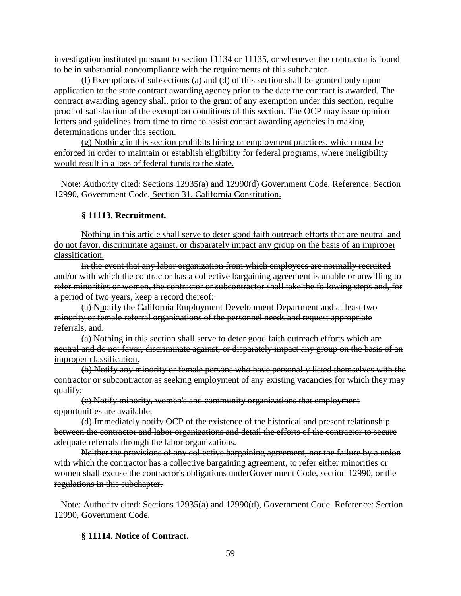investigation instituted pursuant to section 11134 or 11135, or whenever the contractor is found to be in substantial noncompliance with the requirements of this subchapter.

(f) Exemptions of subsections (a) and (d) of this section shall be granted only upon application to the state contract awarding agency prior to the date the contract is awarded. The contract awarding agency shall, prior to the grant of any exemption under this section, require proof of satisfaction of the exemption conditions of this section. The OCP may issue opinion letters and guidelines from time to time to assist contact awarding agencies in making determinations under this section.

(g) Nothing in this section prohibits hiring or employment practices, which must be enforced in order to maintain or establish eligibility for federal programs, where ineligibility would result in a loss of federal funds to the state.

Note: Authority cited: Sections 12935(a) and 12990(d) Government Code. Reference: Section 12990, Government Code. Section 31, California Constitution.

### **§ 11113. Recruitment.**

Nothing in this article shall serve to deter good faith outreach efforts that are neutral and do not favor, discriminate against, or disparately impact any group on the basis of an improper classification.

In the event that any labor organization from which employees are normally recruited and/or with which the contractor has a collective bargaining agreement is unable or unwilling to refer minorities or women, the contractor or subcontractor shall take the following steps and, for a period of two years, keep a record thereof:

(a) Nnotify the California Employment Development Department and at least two minority or female referral organizations of the personnel needs and request appropriate referrals, and.

(a) Nothing in this section shall serve to deter good faith outreach efforts which are neutral and do not favor, discriminate against, or disparately impact any group on the basis of an improper classification.

(b) Notify any minority or female persons who have personally listed themselves with the contractor or subcontractor as seeking employment of any existing vacancies for which they may qualify;

(c) Notify minority, women's and community organizations that employment opportunities are available.

(d) Immediately notify OCP of the existence of the historical and present relationship between the contractor and labor organizations and detail the efforts of the contractor to secure adequate referrals through the labor organizations.

Neither the provisions of any collective bargaining agreement, nor the failure by a union with which the contractor has a collective bargaining agreement, to refer either minorities or women shall excuse the contractor's obligations underGovernment Code, section 12990, or the regulations in this subchapter.

Note: Authority cited: Sections 12935(a) and 12990(d), Government Code. Reference: Section 12990, Government Code.

### **§ 11114. Notice of Contract.**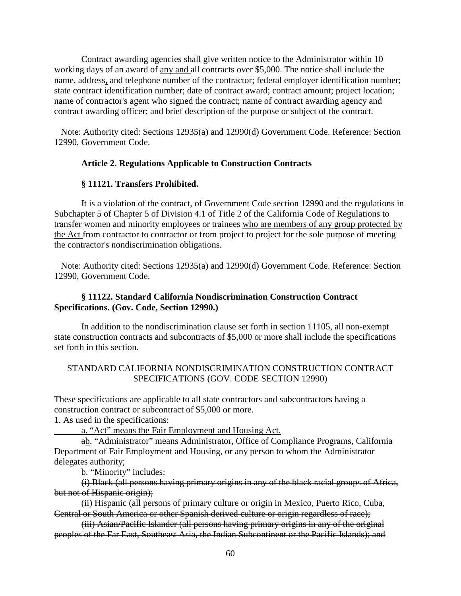Contract awarding agencies shall give written notice to the Administrator within 10 working days of an award of any and all contracts over \$5,000. The notice shall include the name, address, and telephone number of the contractor; federal employer identification number; state contract identification number; date of contract award; contract amount; project location; name of contractor's agent who signed the contract; name of contract awarding agency and contract awarding officer; and brief description of the purpose or subject of the contract.

Note: Authority cited: Sections 12935(a) and 12990(d) Government Code. Reference: Section 12990, Government Code.

# **Article 2. Regulations Applicable to Construction Contracts**

# **§ 11121. Transfers Prohibited.**

It is a violation of the contract, of Government Code section 12990 and the regulations in Subchapter 5 of Chapter 5 of Division 4.1 of Title 2 of the California Code of Regulations to transfer women and minority employees or trainees who are members of any group protected by the Act from contractor to contractor or from project to project for the sole purpose of meeting the contractor's nondiscrimination obligations.

Note: Authority cited: Sections 12935(a) and 12990(d) Government Code. Reference: Section 12990, Government Code.

# **§ 11122. Standard California Nondiscrimination Construction Contract Specifications. (Gov. Code, Section 12990.)**

In addition to the nondiscrimination clause set forth in section 11105, all non-exempt state construction contracts and subcontracts of \$5,000 or more shall include the specifications set forth in this section.

# STANDARD CALIFORNIA NONDISCRIMINATION CONSTRUCTION CONTRACT SPECIFICATIONS (GOV. CODE SECTION 12990)

These specifications are applicable to all state contractors and subcontractors having a construction contract or subcontract of \$5,000 or more.

1. As used in the specifications:

a. "Act" means the Fair Employment and Housing Act.

ab. "Administrator" means Administrator, Office of Compliance Programs, California Department of Fair Employment and Housing, or any person to whom the Administrator delegates authority;

b. "Minority" includes:

(i) Black (all persons having primary origins in any of the black racial groups of Africa, but not of Hispanic origin);

(ii) Hispanic (all persons of primary culture or origin in Mexico, Puerto Rico, Cuba, Central or South America or other Spanish derived culture or origin regardless of race);

(iii) Asian/Pacific Islander (all persons having primary origins in any of the original peoples of the Far East, Southeast Asia, the Indian Subcontinent or the Pacific Islands); and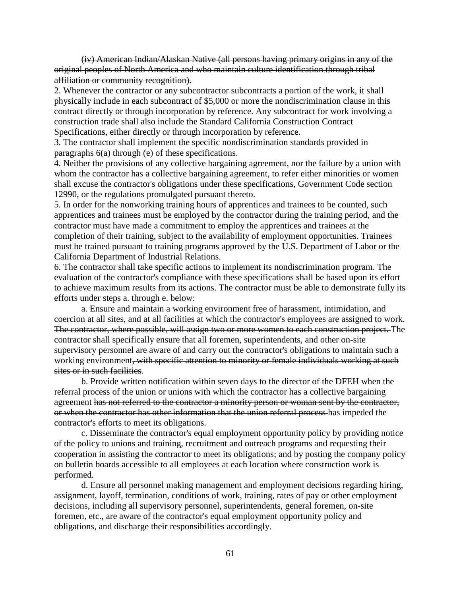(iv) American Indian/Alaskan Native (all persons having primary origins in any of the original peoples of North America and who maintain culture identification through tribal affiliation or community recognition).

2. Whenever the contractor or any subcontractor subcontracts a portion of the work, it shall physically include in each subcontract of \$5,000 or more the nondiscrimination clause in this contract directly or through incorporation by reference. Any subcontract for work involving a construction trade shall also include the Standard California Construction Contract Specifications, either directly or through incorporation by reference.

3. The contractor shall implement the specific nondiscrimination standards provided in paragraphs 6(a) through (e) of these specifications.

4. Neither the provisions of any collective bargaining agreement, nor the failure by a union with whom the contractor has a collective bargaining agreement, to refer either minorities or women shall excuse the contractor's obligations under these specifications, Government Code section 12990, or the regulations promulgated pursuant thereto.

5. In order for the nonworking training hours of apprentices and trainees to be counted, such apprentices and trainees must be employed by the contractor during the training period, and the contractor must have made a commitment to employ the apprentices and trainees at the completion of their training, subject to the availability of employment opportunities. Trainees must be trained pursuant to training programs approved by the U.S. Department of Labor or the California Department of Industrial Relations.

6. The contractor shall take specific actions to implement its nondiscrimination program. The evaluation of the contractor's compliance with these specifications shall be based upon its effort to achieve maximum results from its actions. The contractor must be able to demonstrate fully its efforts under steps a. through e. below:

a. Ensure and maintain a working environment free of harassment, intimidation, and coercion at all sites, and at all facilities at which the contractor's employees are assigned to work. The contractor, where possible, will assign two or more women to each construction project. The contractor shall specifically ensure that all foremen, superintendents, and other on-site supervisory personnel are aware of and carry out the contractor's obligations to maintain such a working environment, with specific attention to minority or female individuals working at such sites or in such facilities.

b. Provide written notification within seven days to the director of the DFEH when the referral process of the union or unions with which the contractor has a collective bargaining agreement has not referred to the contractor a minority person or woman sent by the contractor, or when the contractor has other information that the union referral process has impeded the contractor's efforts to meet its obligations.

c. Disseminate the contractor's equal employment opportunity policy by providing notice of the policy to unions and training, recruitment and outreach programs and requesting their cooperation in assisting the contractor to meet its obligations; and by posting the company policy on bulletin boards accessible to all employees at each location where construction work is performed.

d. Ensure all personnel making management and employment decisions regarding hiring, assignment, layoff, termination, conditions of work, training, rates of pay or other employment decisions, including all supervisory personnel, superintendents, general foremen, on-site foremen, etc., are aware of the contractor's equal employment opportunity policy and obligations, and discharge their responsibilities accordingly.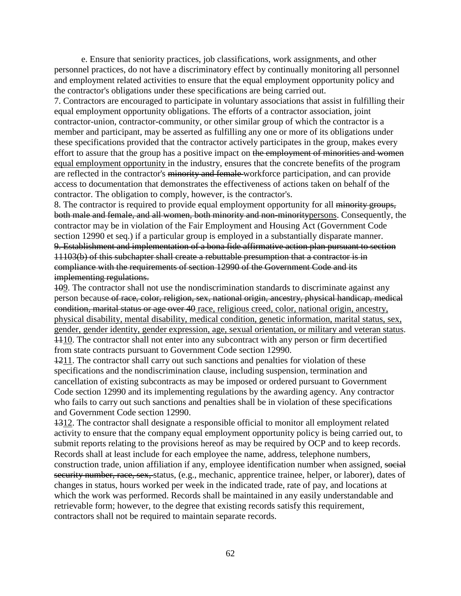e. Ensure that seniority practices, job classifications, work assignments, and other personnel practices, do not have a discriminatory effect by continually monitoring all personnel and employment related activities to ensure that the equal employment opportunity policy and the contractor's obligations under these specifications are being carried out.

7. Contractors are encouraged to participate in voluntary associations that assist in fulfilling their equal employment opportunity obligations. The efforts of a contractor association, joint contractor-union, contractor-community, or other similar group of which the contractor is a member and participant, may be asserted as fulfilling any one or more of its obligations under these specifications provided that the contractor actively participates in the group, makes every effort to assure that the group has a positive impact on the employment of minorities and women equal employment opportunity in the industry, ensures that the concrete benefits of the program are reflected in the contractor's minority and female workforce participation, and can provide access to documentation that demonstrates the effectiveness of actions taken on behalf of the contractor. The obligation to comply, however, is the contractor's.

8. The contractor is required to provide equal employment opportunity for all minority groups, both male and female, and all women, both minority and non-minority persons. Consequently, the contractor may be in violation of the Fair Employment and Housing Act (Government Code section 12990 et seq.) if a particular group is employed in a substantially disparate manner. 9. Establishment and implementation of a bona fide affirmative action plan pursuant to section 11103(b) of this subchapter shall create a rebuttable presumption that a contractor is in compliance with the requirements of section 12990 of the Government Code and its implementing regulations.

109. The contractor shall not use the nondiscrimination standards to discriminate against any person because of race, color, religion, sex, national origin, ancestry, physical handicap, medical condition, marital status or age over 40 race, religious creed, color, national origin, ancestry, physical disability, mental disability, medical condition, genetic information, marital status, sex, gender, gender identity, gender expression, age, sexual orientation, or military and veteran status. 1110. The contractor shall not enter into any subcontract with any person or firm decertified from state contracts pursuant to Government Code section 12990.

1211. The contractor shall carry out such sanctions and penalties for violation of these specifications and the nondiscrimination clause, including suspension, termination and cancellation of existing subcontracts as may be imposed or ordered pursuant to Government Code section 12990 and its implementing regulations by the awarding agency. Any contractor who fails to carry out such sanctions and penalties shall be in violation of these specifications and Government Code section 12990.

1312. The contractor shall designate a responsible official to monitor all employment related activity to ensure that the company equal employment opportunity policy is being carried out, to submit reports relating to the provisions hereof as may be required by OCP and to keep records. Records shall at least include for each employee the name, address, telephone numbers, construction trade, union affiliation if any, employee identification number when assigned, social security number, race, sex, status, (e.g., mechanic, apprentice trainee, helper, or laborer), dates of changes in status, hours worked per week in the indicated trade, rate of pay, and locations at which the work was performed. Records shall be maintained in any easily understandable and retrievable form; however, to the degree that existing records satisfy this requirement, contractors shall not be required to maintain separate records.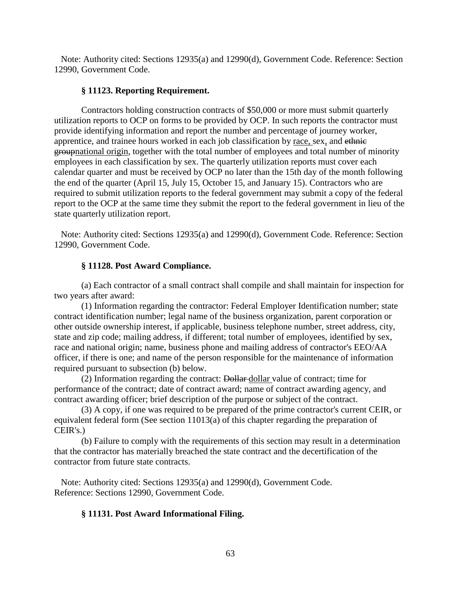Note: Authority cited: Sections 12935(a) and 12990(d), Government Code. Reference: Section 12990, Government Code.

## **§ 11123. Reporting Requirement.**

Contractors holding construction contracts of \$50,000 or more must submit quarterly utilization reports to OCP on forms to be provided by OCP. In such reports the contractor must provide identifying information and report the number and percentage of journey worker, apprentice, and trainee hours worked in each job classification by race, sex, and ethnic groupnational origin, together with the total number of employees and total number of minority employees in each classification by sex. The quarterly utilization reports must cover each calendar quarter and must be received by OCP no later than the 15th day of the month following the end of the quarter (April 15, July 15, October 15, and January 15). Contractors who are required to submit utilization reports to the federal government may submit a copy of the federal report to the OCP at the same time they submit the report to the federal government in lieu of the state quarterly utilization report.

Note: Authority cited: Sections 12935(a) and 12990(d), Government Code. Reference: Section 12990, Government Code.

## **§ 11128. Post Award Compliance.**

(a) Each contractor of a small contract shall compile and shall maintain for inspection for two years after award:

(1) Information regarding the contractor: Federal Employer Identification number; state contract identification number; legal name of the business organization, parent corporation or other outside ownership interest, if applicable, business telephone number, street address, city, state and zip code; mailing address, if different; total number of employees, identified by sex, race and national origin; name, business phone and mailing address of contractor's EEO/AA officer, if there is one; and name of the person responsible for the maintenance of information required pursuant to subsection (b) below.

(2) Information regarding the contract: Dollar dollar value of contract; time for performance of the contract; date of contract award; name of contract awarding agency, and contract awarding officer; brief description of the purpose or subject of the contract.

(3) A copy, if one was required to be prepared of the prime contractor's current CEIR, or equivalent federal form (See section 11013(a) of this chapter regarding the preparation of CEIR's.)

(b) Failure to comply with the requirements of this section may result in a determination that the contractor has materially breached the state contract and the decertification of the contractor from future state contracts.

Note: Authority cited: Sections 12935(a) and 12990(d), Government Code. Reference: Sections 12990, Government Code.

# **§ 11131. Post Award Informational Filing.**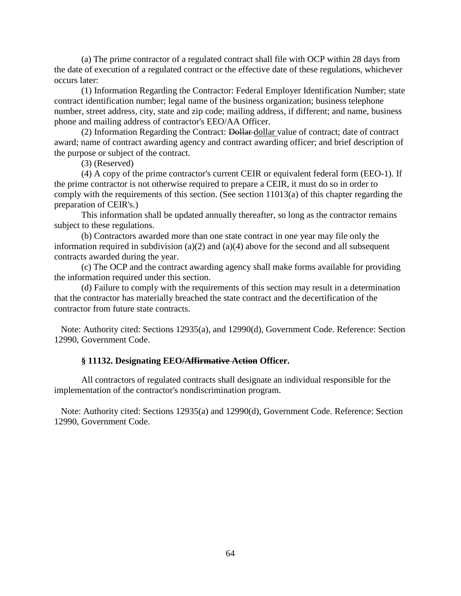(a) The prime contractor of a regulated contract shall file with OCP within 28 days from the date of execution of a regulated contract or the effective date of these regulations, whichever occurs later:

(1) Information Regarding the Contractor: Federal Employer Identification Number; state contract identification number; legal name of the business organization; business telephone number, street address, city, state and zip code; mailing address, if different; and name, business phone and mailing address of contractor's EEO/AA Officer.

(2) Information Regarding the Contract: Dollar dollar value of contract; date of contract award; name of contract awarding agency and contract awarding officer; and brief description of the purpose or subject of the contract.

(3) (Reserved)

(4) A copy of the prime contractor's current CEIR or equivalent federal form (EEO-1). If the prime contractor is not otherwise required to prepare a CEIR, it must do so in order to comply with the requirements of this section. (See section 11013(a) of this chapter regarding the preparation of CEIR's.)

This information shall be updated annually thereafter, so long as the contractor remains subject to these regulations.

(b) Contractors awarded more than one state contract in one year may file only the information required in subdivision (a)(2) and (a)(4) above for the second and all subsequent contracts awarded during the year.

(c) The OCP and the contract awarding agency shall make forms available for providing the information required under this section.

(d) Failure to comply with the requirements of this section may result in a determination that the contractor has materially breached the state contract and the decertification of the contractor from future state contracts.

Note: Authority cited: Sections 12935(a), and 12990(d), Government Code. Reference: Section 12990, Government Code.

## **§ 11132. Designating EEO/Affirmative Action Officer.**

All contractors of regulated contracts shall designate an individual responsible for the implementation of the contractor's nondiscrimination program.

Note: Authority cited: Sections 12935(a) and 12990(d), Government Code. Reference: Section 12990, Government Code.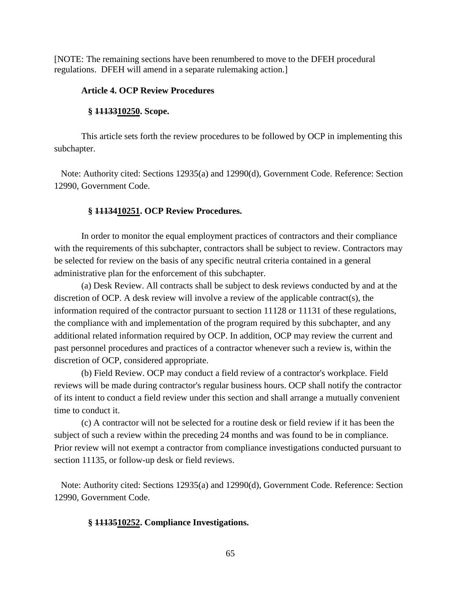[NOTE: The remaining sections have been renumbered to move to the DFEH procedural regulations. DFEH will amend in a separate rulemaking action.]

## **Article 4. OCP Review Procedures**

## **§ 1113310250. Scope.**

This article sets forth the review procedures to be followed by OCP in implementing this subchapter.

Note: Authority cited: Sections 12935(a) and 12990(d), Government Code. Reference: Section 12990, Government Code.

## **§ 1113410251. OCP Review Procedures.**

In order to monitor the equal employment practices of contractors and their compliance with the requirements of this subchapter, contractors shall be subject to review. Contractors may be selected for review on the basis of any specific neutral criteria contained in a general administrative plan for the enforcement of this subchapter.

(a) Desk Review. All contracts shall be subject to desk reviews conducted by and at the discretion of OCP. A desk review will involve a review of the applicable contract(s), the information required of the contractor pursuant to section 11128 or 11131 of these regulations, the compliance with and implementation of the program required by this subchapter, and any additional related information required by OCP. In addition, OCP may review the current and past personnel procedures and practices of a contractor whenever such a review is, within the discretion of OCP, considered appropriate.

(b) Field Review. OCP may conduct a field review of a contractor's workplace. Field reviews will be made during contractor's regular business hours. OCP shall notify the contractor of its intent to conduct a field review under this section and shall arrange a mutually convenient time to conduct it.

(c) A contractor will not be selected for a routine desk or field review if it has been the subject of such a review within the preceding 24 months and was found to be in compliance. Prior review will not exempt a contractor from compliance investigations conducted pursuant to section 11135, or follow-up desk or field reviews.

Note: Authority cited: Sections 12935(a) and 12990(d), Government Code. Reference: Section 12990, Government Code.

### **§ 1113510252. Compliance Investigations.**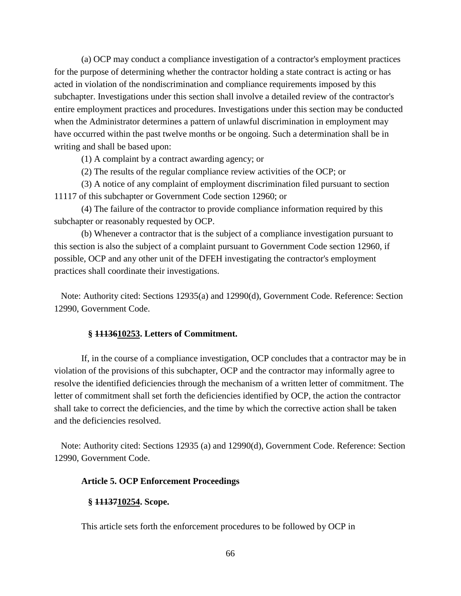(a) OCP may conduct a compliance investigation of a contractor's employment practices for the purpose of determining whether the contractor holding a state contract is acting or has acted in violation of the nondiscrimination and compliance requirements imposed by this subchapter. Investigations under this section shall involve a detailed review of the contractor's entire employment practices and procedures. Investigations under this section may be conducted when the Administrator determines a pattern of unlawful discrimination in employment may have occurred within the past twelve months or be ongoing. Such a determination shall be in writing and shall be based upon:

(1) A complaint by a contract awarding agency; or

(2) The results of the regular compliance review activities of the OCP; or

(3) A notice of any complaint of employment discrimination filed pursuant to section 11117 of this subchapter or Government Code section 12960; or

(4) The failure of the contractor to provide compliance information required by this subchapter or reasonably requested by OCP.

(b) Whenever a contractor that is the subject of a compliance investigation pursuant to this section is also the subject of a complaint pursuant to Government Code section 12960, if possible, OCP and any other unit of the DFEH investigating the contractor's employment practices shall coordinate their investigations.

Note: Authority cited: Sections 12935(a) and 12990(d), Government Code. Reference: Section 12990, Government Code.

# **§ 1113610253. Letters of Commitment.**

If, in the course of a compliance investigation, OCP concludes that a contractor may be in violation of the provisions of this subchapter, OCP and the contractor may informally agree to resolve the identified deficiencies through the mechanism of a written letter of commitment. The letter of commitment shall set forth the deficiencies identified by OCP, the action the contractor shall take to correct the deficiencies, and the time by which the corrective action shall be taken and the deficiencies resolved.

Note: Authority cited: Sections 12935 (a) and 12990(d), Government Code. Reference: Section 12990, Government Code.

### **Article 5. OCP Enforcement Proceedings**

## **§ 1113710254. Scope.**

This article sets forth the enforcement procedures to be followed by OCP in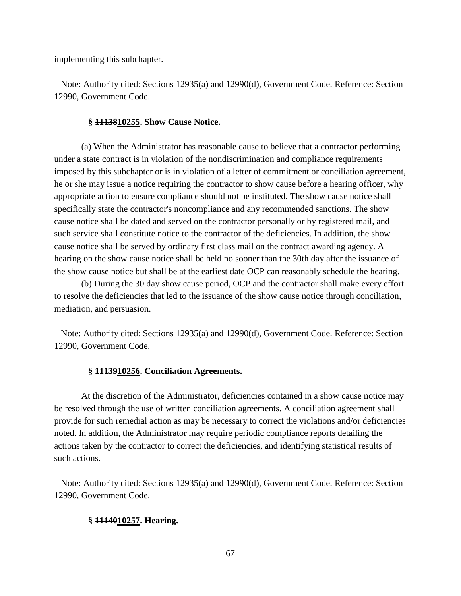implementing this subchapter.

Note: Authority cited: Sections 12935(a) and 12990(d), Government Code. Reference: Section 12990, Government Code.

### **§ 1113810255. Show Cause Notice.**

(a) When the Administrator has reasonable cause to believe that a contractor performing under a state contract is in violation of the nondiscrimination and compliance requirements imposed by this subchapter or is in violation of a letter of commitment or conciliation agreement, he or she may issue a notice requiring the contractor to show cause before a hearing officer, why appropriate action to ensure compliance should not be instituted. The show cause notice shall specifically state the contractor's noncompliance and any recommended sanctions. The show cause notice shall be dated and served on the contractor personally or by registered mail, and such service shall constitute notice to the contractor of the deficiencies. In addition, the show cause notice shall be served by ordinary first class mail on the contract awarding agency. A hearing on the show cause notice shall be held no sooner than the 30th day after the issuance of the show cause notice but shall be at the earliest date OCP can reasonably schedule the hearing.

(b) During the 30 day show cause period, OCP and the contractor shall make every effort to resolve the deficiencies that led to the issuance of the show cause notice through conciliation, mediation, and persuasion.

Note: Authority cited: Sections 12935(a) and 12990(d), Government Code. Reference: Section 12990, Government Code.

#### **§ 1113910256. Conciliation Agreements.**

At the discretion of the Administrator, deficiencies contained in a show cause notice may be resolved through the use of written conciliation agreements. A conciliation agreement shall provide for such remedial action as may be necessary to correct the violations and/or deficiencies noted. In addition, the Administrator may require periodic compliance reports detailing the actions taken by the contractor to correct the deficiencies, and identifying statistical results of such actions.

Note: Authority cited: Sections 12935(a) and 12990(d), Government Code. Reference: Section 12990, Government Code.

### **§ 1114010257. Hearing.**